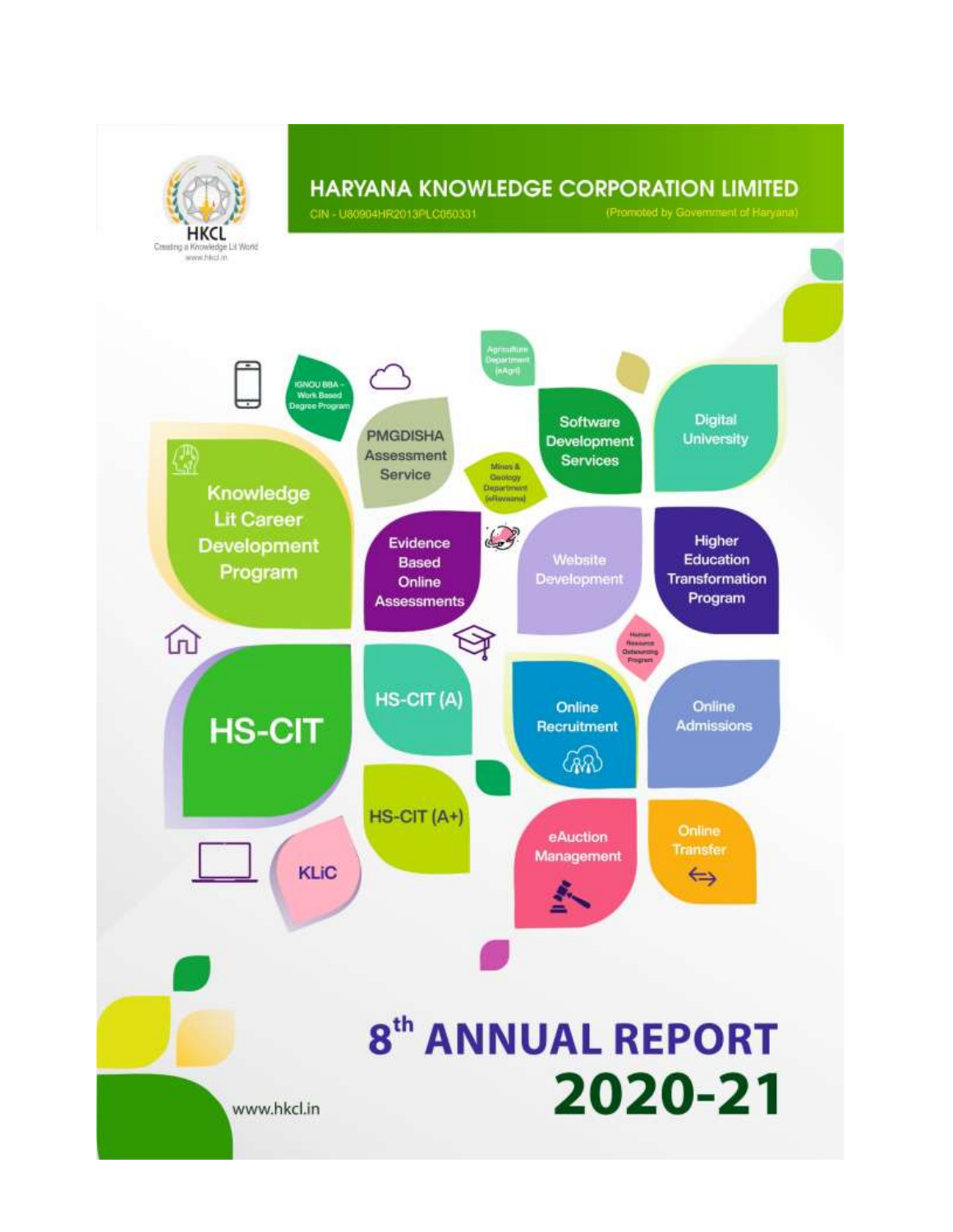

# **HARYANA KNOWLEDGE CORPORATION LIMITED**

CIN - U80904HR2013PLC050331

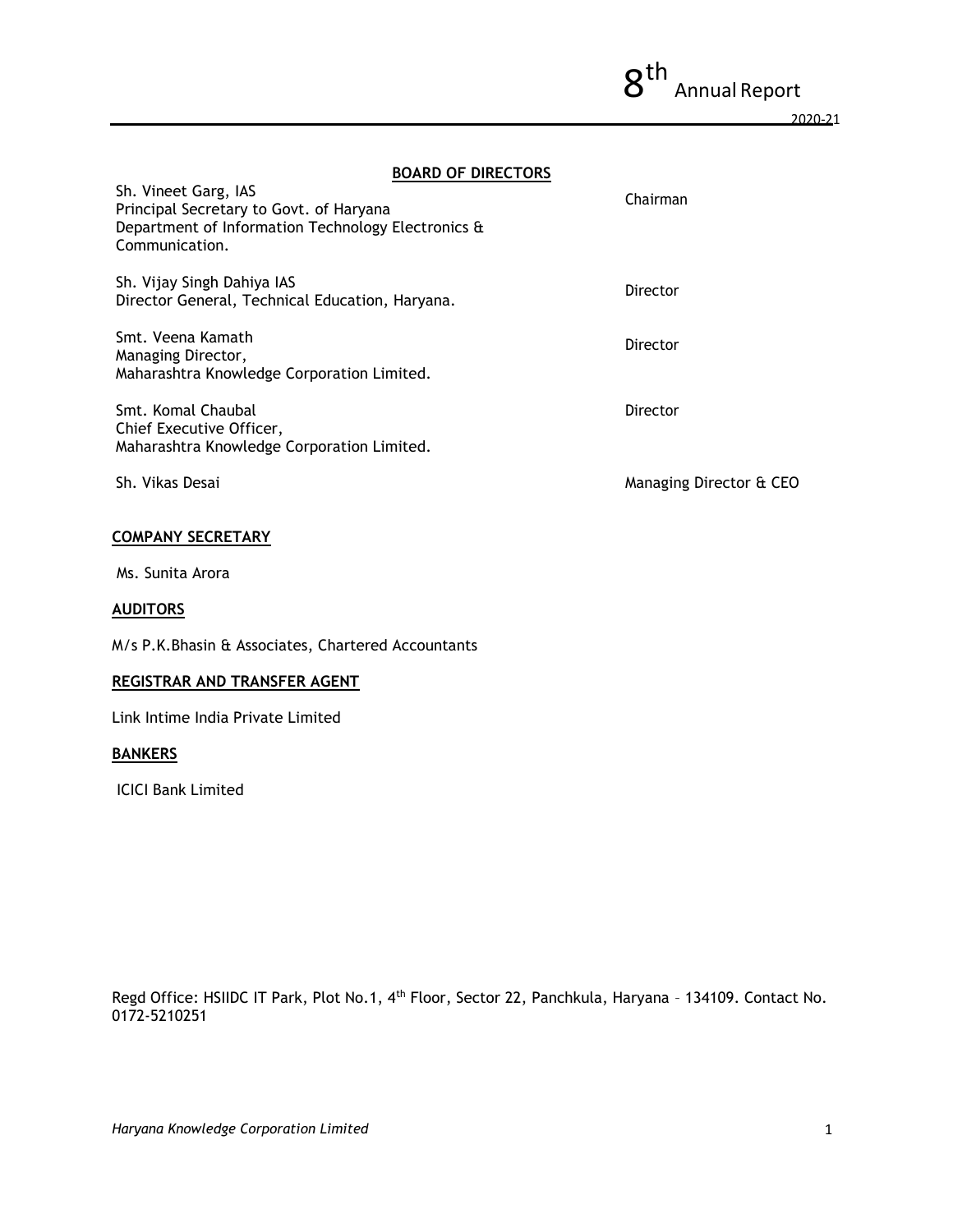

#### **BOARD OF DIRECTORS**

| Sh. Vineet Garg, IAS<br>Principal Secretary to Govt. of Haryana<br>Department of Information Technology Electronics &<br>Communication. | Chairman                |
|-----------------------------------------------------------------------------------------------------------------------------------------|-------------------------|
| Sh. Vijay Singh Dahiya IAS<br>Director General, Technical Education, Haryana.                                                           | Director                |
| Smt. Veena Kamath<br>Managing Director,<br>Maharashtra Knowledge Corporation Limited.                                                   | Director                |
| Smt. Komal Chaubal<br>Chief Executive Officer,<br>Maharashtra Knowledge Corporation Limited.                                            | Director                |
| Sh. Vikas Desai                                                                                                                         | Managing Director & CEO |
| <b>COMPANY SECRETARY</b>                                                                                                                |                         |
| Ms. Sunita Arora                                                                                                                        |                         |
| <b>AUDITORS</b>                                                                                                                         |                         |
| M/s P.K. Bhasin & Associates, Chartered Accountants                                                                                     |                         |
| REGISTRAR AND TRANSFER AGENT                                                                                                            |                         |
| Link Intime India Private Limited                                                                                                       |                         |
|                                                                                                                                         |                         |

### **BANKERS**

ICICI Bank Limited

Regd Office: HSIIDC IT Park, Plot No.1, 4<sup>th</sup> Floor, Sector 22, Panchkula, Haryana - 134109. Contact No. 0172-5210251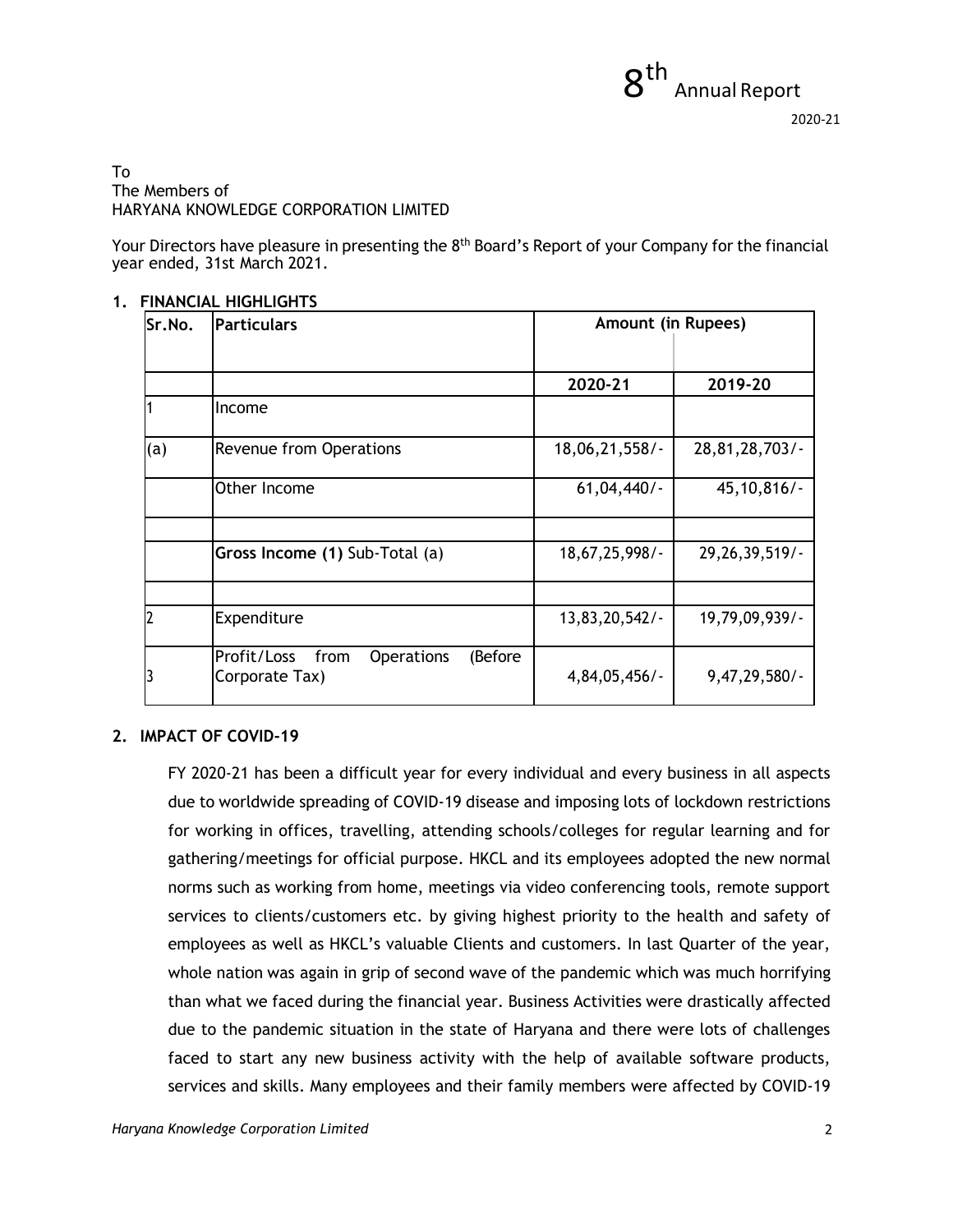$8^{\text{th}}$ Annual Report

## To The Members of HARYANA KNOWLEDGE CORPORATION LIMITED

Your Directors have pleasure in presenting the 8<sup>th</sup> Board's Report of your Company for the financial year ended, 31st March 2021.

| Sr.No. | <b>Particulars</b>                                                    | <b>Amount (in Rupees)</b> |                   |  |  |
|--------|-----------------------------------------------------------------------|---------------------------|-------------------|--|--|
|        |                                                                       | 2020-21                   | 2019-20           |  |  |
| 1      | Income                                                                |                           |                   |  |  |
| (a)    | <b>Revenue from Operations</b>                                        | 18,06,21,558/             | 28,81,28,703/-    |  |  |
|        | Other Income                                                          | 61,04,440/                | 45, 10, 816/-     |  |  |
|        | Gross Income (1) Sub-Total (a)                                        | 18,67,25,998/-            | 29, 26, 39, 519/- |  |  |
|        |                                                                       |                           |                   |  |  |
| 2      | Expenditure                                                           | 13,83,20,542/-            | 19,79,09,939/-    |  |  |
| 3      | <b>Operations</b><br>Profit/Loss<br>(Before<br>from<br>Corporate Tax) | 4,84,05,456/              | 9,47,29,580/      |  |  |

#### **1. FINANCIAL HIGHLIGHTS**

## **2. IMPACT OF COVID-19**

FY 2020-21 has been a difficult year for every individual and every business in all aspects due to worldwide spreading of COVID-19 disease and imposing lots of lockdown restrictions for working in offices, travelling, attending schools/colleges for regular learning and for gathering/meetings for official purpose. HKCL and its employees adopted the new normal norms such as working from home, meetings via video conferencing tools, remote support services to clients/customers etc. by giving highest priority to the health and safety of employees as well as HKCL's valuable Clients and customers. In last Quarter of the year, whole nation was again in grip of second wave of the pandemic which was much horrifying than what we faced during the financial year. Business Activities were drastically affected due to the pandemic situation in the state of Haryana and there were lots of challenges faced to start any new business activity with the help of available software products, services and skills. Many employees and their family members were affected by COVID-19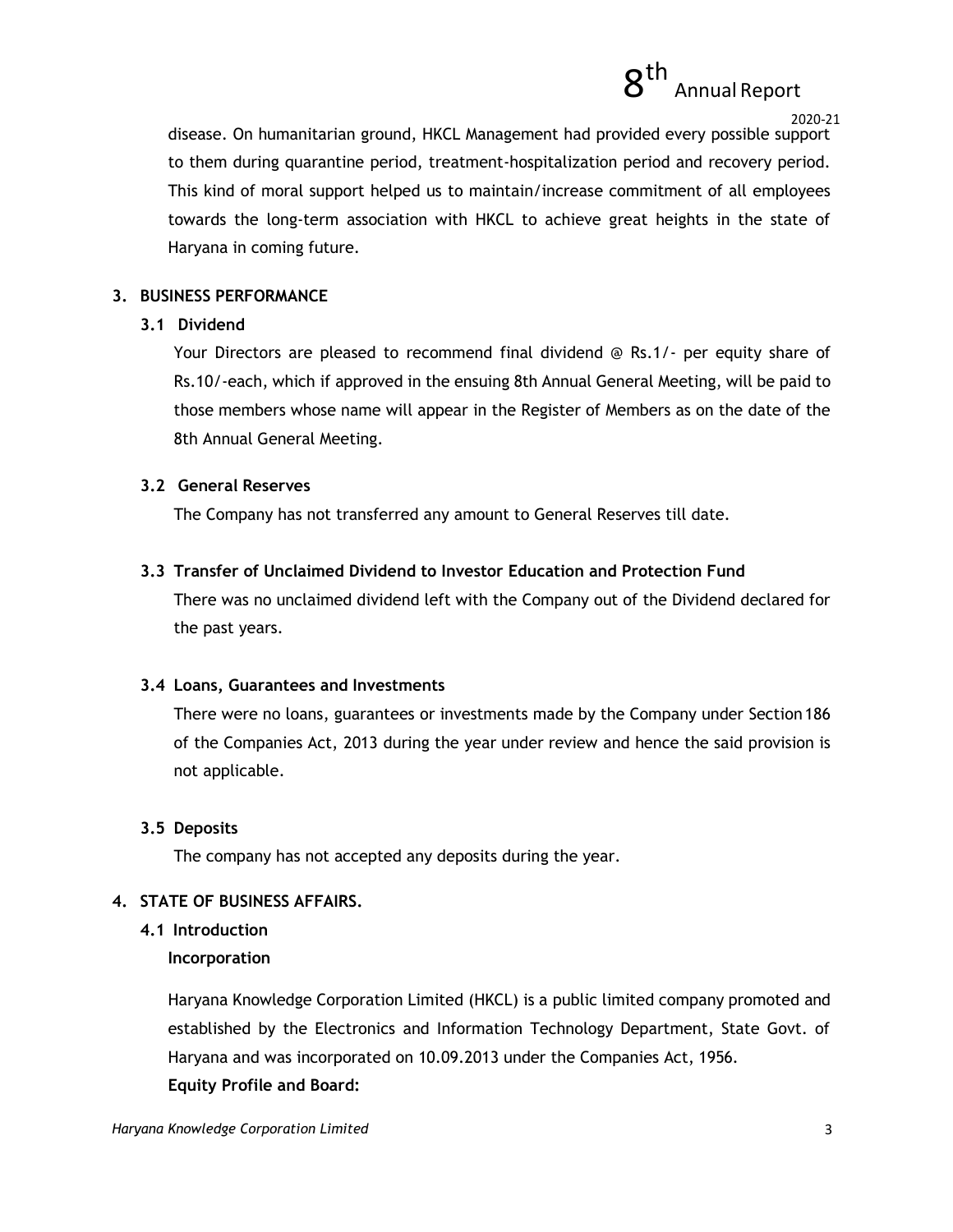

disease. On humanitarian ground, HKCL Management had provided every possible support to them during quarantine period, treatment-hospitalization period and recovery period. This kind of moral support helped us to maintain/increase commitment of all employees towards the long-term association with HKCL to achieve great heights in the state of Haryana in coming future.

## **3. BUSINESS PERFORMANCE**

## **3.1 Dividend**

Your Directors are pleased to recommend final dividend @ Rs.1/- per equity share of Rs.10/-each, which if approved in the ensuing 8th Annual General Meeting, will be paid to those members whose name will appear in the Register of Members as on the date of the 8th Annual General Meeting.

## **3.2 General Reserves**

The Company has not transferred any amount to General Reserves till date.

## **3.3 Transfer of Unclaimed Dividend to Investor Education and Protection Fund**

There was no unclaimed dividend left with the Company out of the Dividend declared for the past years.

## **3.4 Loans, Guarantees and Investments**

There were no loans, guarantees or investments made by the Company under Section 186 of the Companies Act, 2013 during the year under review and hence the said provision is not applicable.

## **3.5 Deposits**

The company has not accepted any deposits during the year.

## **4. STATE OF BUSINESS AFFAIRS.**

## **4.1 Introduction**

## **Incorporation**

Haryana Knowledge Corporation Limited (HKCL) is a public limited company promoted and established by the Electronics and Information Technology Department, State Govt. of Haryana and was incorporated on 10.09.2013 under the Companies Act, 1956. **Equity Profile and Board:**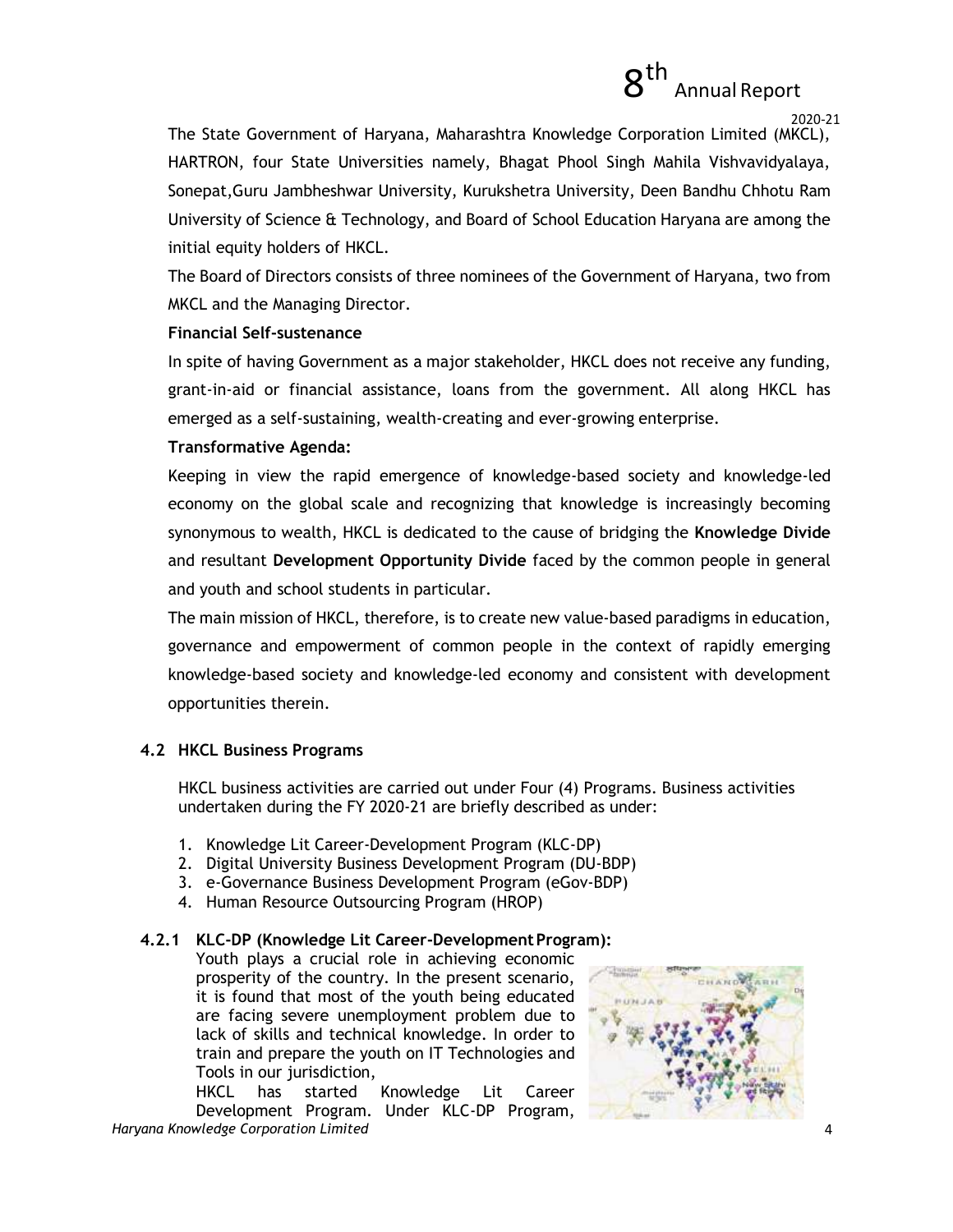## $8^{\text{th}}$ Annual Report

2020-21

The State Government of Haryana, Maharashtra Knowledge Corporation Limited (MKCL), HARTRON, four State Universities namely, Bhagat Phool Singh Mahila Vishvavidyalaya, Sonepat,Guru Jambheshwar University, Kurukshetra University, Deen Bandhu Chhotu Ram University of Science & Technology, and Board of School Education Haryana are among the initial equity holders of HKCL.

The Board of Directors consists of three nominees of the Government of Haryana, two from MKCL and the Managing Director.

## **Financial Self-sustenance**

In spite of having Government as a major stakeholder, HKCL does not receive any funding, grant-in-aid or financial assistance, loans from the government. All along HKCL has emerged as a self-sustaining, wealth-creating and ever-growing enterprise.

## **Transformative Agenda:**

Keeping in view the rapid emergence of knowledge-based society and knowledge-led economy on the global scale and recognizing that knowledge is increasingly becoming synonymous to wealth, HKCL is dedicated to the cause of bridging the **Knowledge Divide**  and resultant **Development Opportunity Divide** faced by the common people in general and youth and school students in particular.

The main mission of HKCL, therefore, is to create new value-based paradigms in education, governance and empowerment of common people in the context of rapidly emerging knowledge-based society and knowledge-led economy and consistent with development opportunities therein.

## **4.2 HKCL Business Programs**

HKCL business activities are carried out under Four (4) Programs. Business activities undertaken during the FY 2020-21 are briefly described as under:

- 1. Knowledge Lit Career-Development Program (KLC-DP)
- 2. Digital University Business Development Program (DU-BDP)
- 3. e-Governance Business Development Program (eGov-BDP)
- 4. Human Resource Outsourcing Program (HROP)

## **4.2.1 KLC-DP (Knowledge Lit Career-DevelopmentProgram):**

Youth plays a crucial role in achieving economic prosperity of the country. In the present scenario, it is found that most of the youth being educated are facing severe unemployment problem due to lack of skills and technical knowledge. In order to train and prepare the youth on IT Technologies and Tools in our jurisdiction,

*Haryana Knowledge Corporation Limited* 4 HKCL has started Knowledge Lit Career Development Program. Under KLC-DP Program,

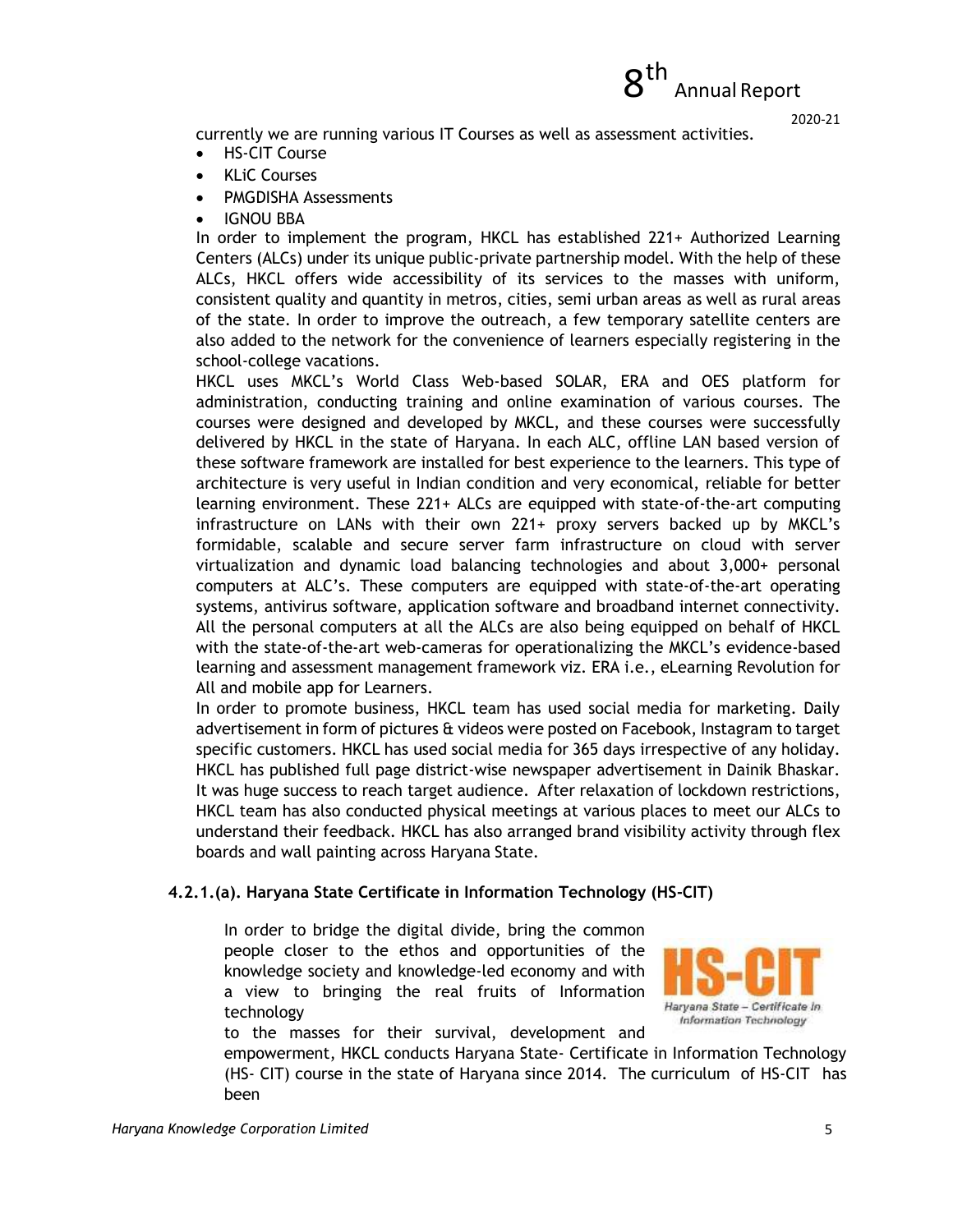

currently we are running various IT Courses as well as assessment activities.

- HS-CIT Course
- KLiC Courses
- PMGDISHA Assessments
- IGNOU BBA

In order to implement the program, HKCL has established 221+ Authorized Learning Centers (ALCs) under its unique public-private partnership model. With the help of these ALCs, HKCL offers wide accessibility of its services to the masses with uniform, consistent quality and quantity in metros, cities, semi urban areas as well as rural areas of the state. In order to improve the outreach, a few temporary satellite centers are also added to the network for the convenience of learners especially registering in the school-college vacations.

HKCL uses MKCL's World Class Web-based SOLAR, ERA and OES platform for administration, conducting training and online examination of various courses. The courses were designed and developed by MKCL, and these courses were successfully delivered by HKCL in the state of Haryana. In each ALC, offline LAN based version of these software framework are installed for best experience to the learners. This type of architecture is very useful in Indian condition and very economical, reliable for better learning environment. These 221+ ALCs are equipped with state-of-the-art computing infrastructure on LANs with their own 221+ proxy servers backed up by MKCL's formidable, scalable and secure server farm infrastructure on cloud with server virtualization and dynamic load balancing technologies and about 3,000+ personal computers at ALC's. These computers are equipped with state-of-the-art operating systems, antivirus software, application software and broadband internet connectivity. All the personal computers at all the ALCs are also being equipped on behalf of HKCL with the state-of-the-art web-cameras for operationalizing the MKCL's evidence-based learning and assessment management framework viz. ERA i.e., eLearning Revolution for All and mobile app for Learners.

In order to promote business, HKCL team has used social media for marketing. Daily advertisement in form of pictures & videos were posted on Facebook, Instagram to target specific customers. HKCL has used social media for 365 days irrespective of any holiday. HKCL has published full page district-wise newspaper advertisement in Dainik Bhaskar. It was huge success to reach target audience. After relaxation of lockdown restrictions, HKCL team has also conducted physical meetings at various places to meet our ALCs to understand their feedback. HKCL has also arranged brand visibility activity through flex boards and wall painting across Haryana State.

## **4.2.1.(a). Haryana State Certificate in Information Technology (HS-CIT)**

In order to bridge the digital divide, bring the common people closer to the ethos and opportunities of the knowledge society and knowledge-led economy and with a view to bringing the real fruits of Information technology



to the masses for their survival, development and empowerment, HKCL conducts Haryana State- Certificate in Information Technology (HS- CIT) course in the state of Haryana since 2014. The curriculum of HS-CIT has been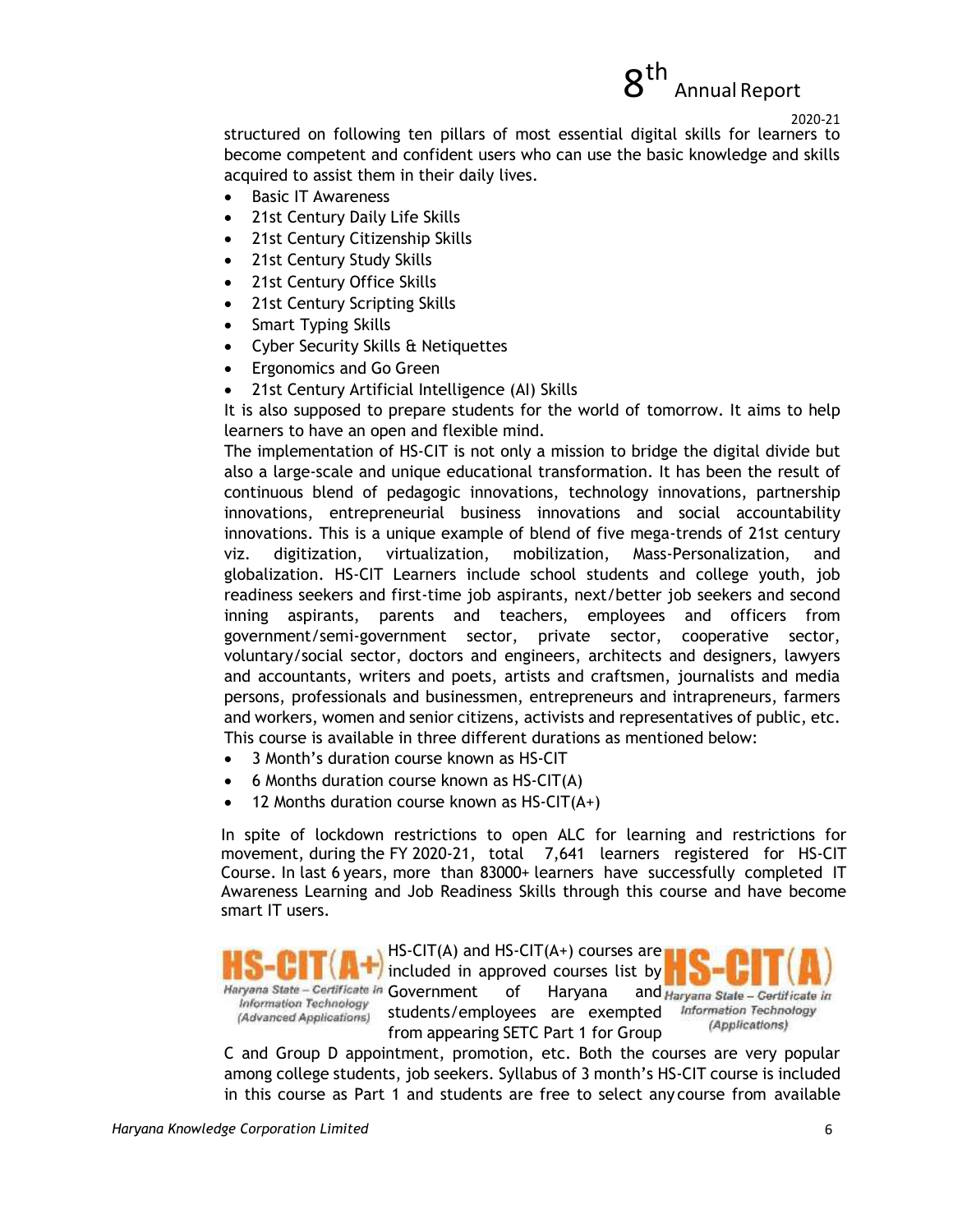## $8^{\text{th}}$ Annual Report

2020-21

structured on following ten pillars of most essential digital skills for learners to become competent and confident users who can use the basic knowledge and skills acquired to assist them in their daily lives.

- Basic IT Awareness
- 21st Century Daily Life Skills
- 21st Century Citizenship Skills
- 21st Century Study Skills
- 21st Century Office Skills
- 21st Century Scripting Skills
- Smart Typing Skills
- Cyber Security Skills & Netiquettes
- Ergonomics and Go Green
- 21st Century Artificial Intelligence (AI) Skills

It is also supposed to prepare students for the world of tomorrow. It aims to help learners to have an open and flexible mind.

The implementation of HS-CIT is not only a mission to bridge the digital divide but also a large-scale and unique educational transformation. It has been the result of continuous blend of pedagogic innovations, technology innovations, partnership innovations, entrepreneurial business innovations and social accountability innovations. This is a unique example of blend of five mega-trends of 21st century viz. digitization, virtualization, mobilization, Mass-Personalization, and globalization. HS-CIT Learners include school students and college youth, job readiness seekers and first-time job aspirants, next/better job seekers and second inning aspirants, parents and teachers, employees and officers from government/semi-government sector, private sector, cooperative sector, voluntary/social sector, doctors and engineers, architects and designers, lawyers and accountants, writers and poets, artists and craftsmen, journalists and media persons, professionals and businessmen, entrepreneurs and intrapreneurs, farmers and workers, women and senior citizens, activists and representatives of public, etc. This course is available in three different durations as mentioned below:

- 3 Month's duration course known as HS-CIT
- 6 Months duration course known as HS-CIT(A)
- 12 Months duration course known as  $HS-CIT(A+)$

In spite of lockdown restrictions to open ALC for learning and restrictions for movement, during the FY 2020-21, total 7,641 learners registered for HS-CIT Course. In last 6 years, more than 83000+ learners have successfully completed IT Awareness Learning and Job Readiness Skills through this course and have become smart IT users.



C and Group D appointment, promotion, etc. Both the courses are very popular among college students, job seekers. Syllabus of 3 month's HS-CIT course is included in this course as Part 1 and students are free to select any course from available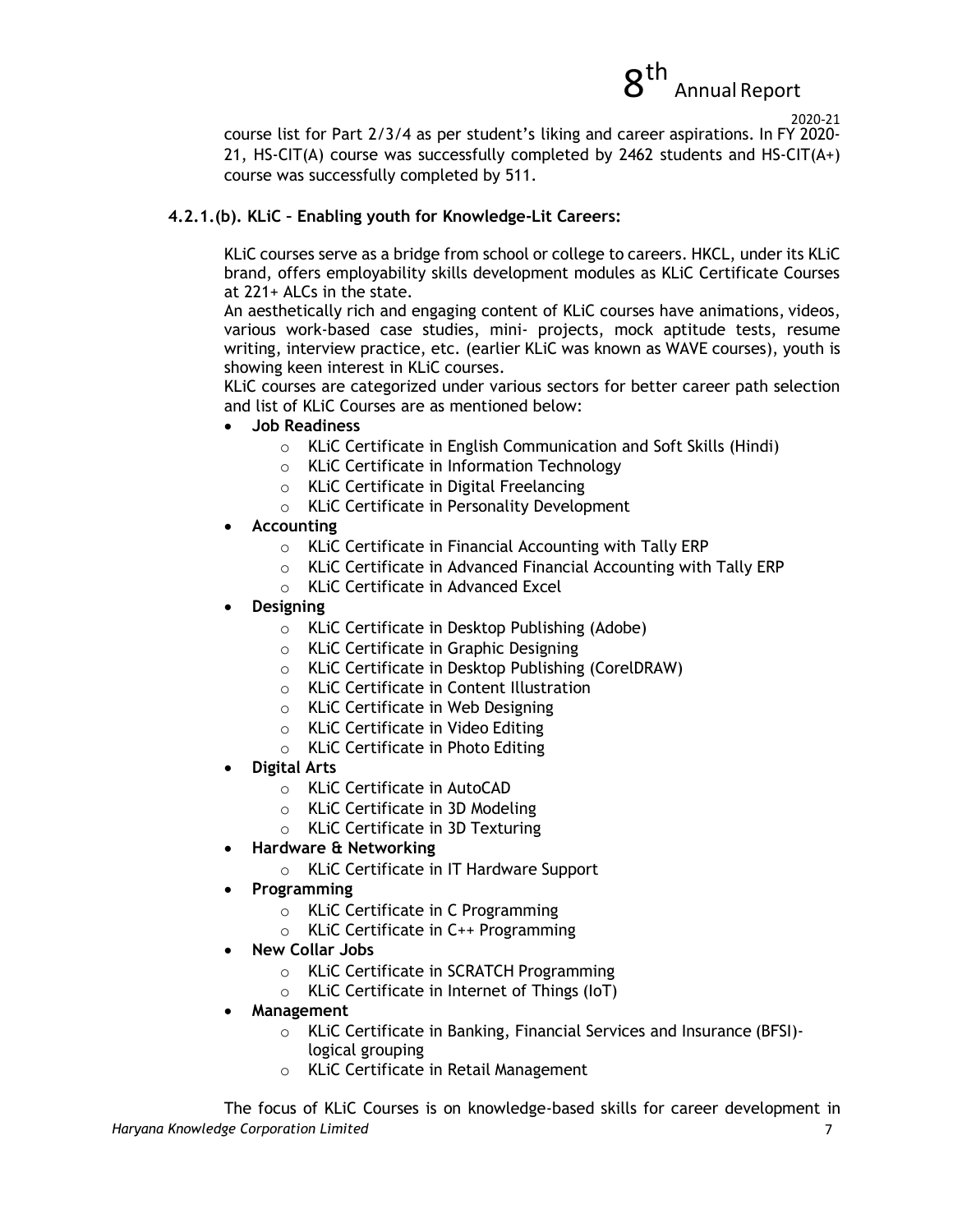

course list for Part 2/3/4 as per student's liking and career aspirations. In FY 2020- 21, HS-CIT(A) course was successfully completed by 2462 students and HS-CIT(A+) course was successfully completed by 511.

### **4.2.1.(b). KLiC – Enabling youth for Knowledge-Lit Careers:**

KLiC courses serve as a bridge from school or college to careers. HKCL, under its KLiC brand, offers employability skills development modules as KLiC Certificate Courses at 221+ ALCs in the state.

An aesthetically rich and engaging content of KLiC courses have animations, videos, various work-based case studies, mini- projects, mock aptitude tests, resume writing, interview practice, etc. (earlier KLiC was known as WAVE courses), youth is showing keen interest in KLiC courses.

KLiC courses are categorized under various sectors for better career path selection and list of KLiC Courses are as mentioned below:

- **Job Readiness**
	- o KLiC Certificate in English Communication and Soft Skills (Hindi)
	- o KLiC Certificate in Information Technology
	- o KLiC Certificate in Digital Freelancing
	- o KLiC Certificate in Personality Development
- **Accounting**
	- o KLiC Certificate in Financial Accounting with Tally ERP
	- $\circ$  KLiC Certificate in Advanced Financial Accounting with Tally ERP
	- o KLiC Certificate in Advanced Excel
- **Designing**
	- o KLiC Certificate in Desktop Publishing (Adobe)
	- o KLiC Certificate in Graphic Designing
	- o KLiC Certificate in Desktop Publishing (CorelDRAW)
	- o KLiC Certificate in Content Illustration
	- o KLiC Certificate in Web Designing
	- o KLiC Certificate in Video Editing
	- o KLiC Certificate in Photo Editing
- **Digital Arts**
	- o KLiC Certificate in AutoCAD
	- o KLiC Certificate in 3D Modeling
	- o KLiC Certificate in 3D Texturing
- **Hardware & Networking**
	- o KLiC Certificate in IT Hardware Support
- **Programming**
	- o KLiC Certificate in C Programming
	- o KLiC Certificate in C++ Programming
- **New Collar Jobs**
	- o KLiC Certificate in SCRATCH Programming
	- o KLiC Certificate in Internet of Things (IoT)
- **Management**
	- o KLiC Certificate in Banking, Financial Services and Insurance (BFSI) logical grouping
	- o KLiC Certificate in Retail Management

*Haryana Knowledge Corporation Limited* 7 The focus of KLiC Courses is on knowledge-based skills for career development in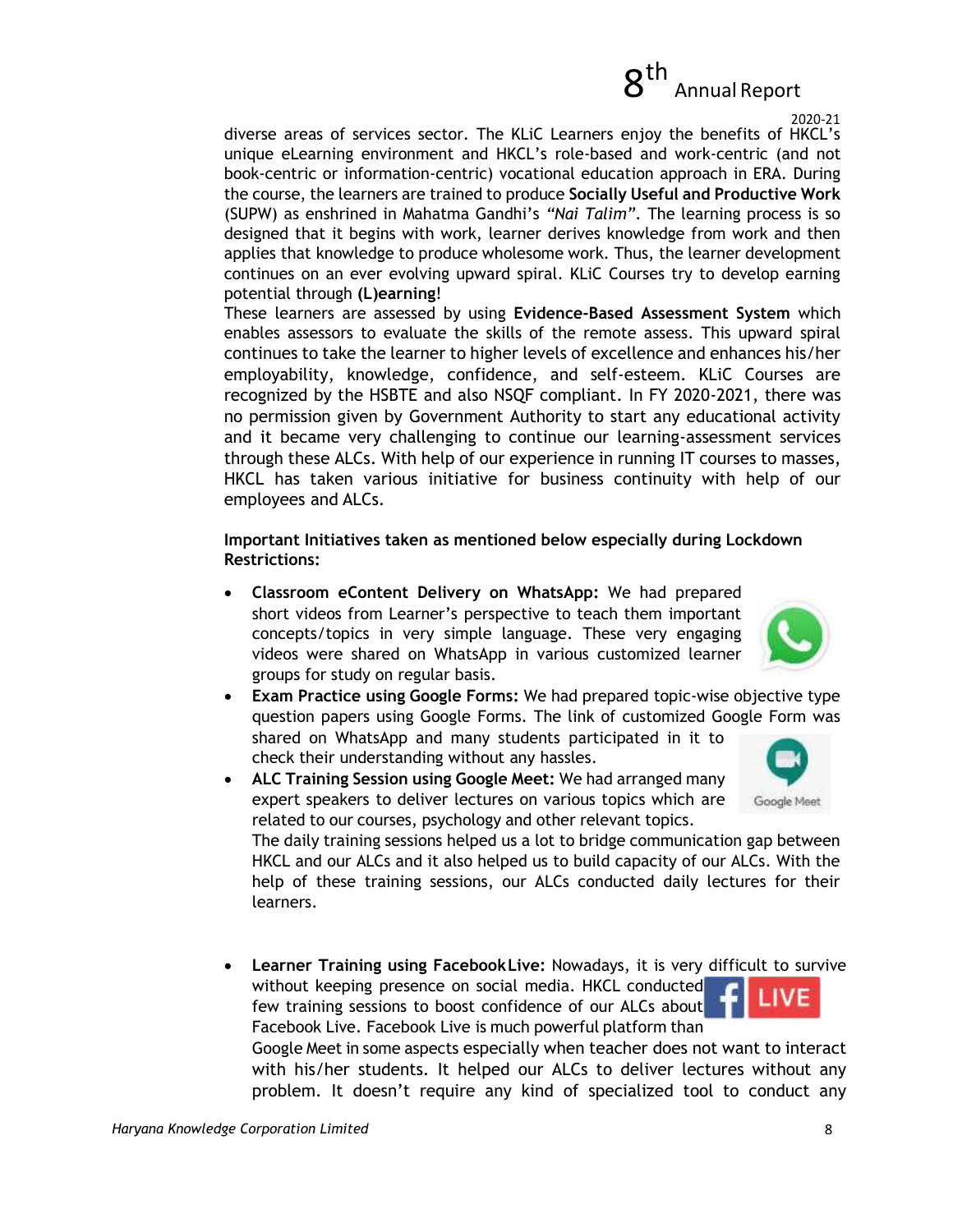#### 8 th Annual Report

2020-21

diverse areas of services sector. The KLiC Learners enjoy the benefits of HKCL's unique eLearning environment and HKCL's role-based and work-centric (and not book-centric or information-centric) vocational education approach in ERA. During the course, the learners are trained to produce **Socially Useful and Productive Work**  (SUPW) as enshrined in Mahatma Gandhi's *"Nai Talim"*. The learning process is so designed that it begins with work, learner derives knowledge from work and then applies that knowledge to produce wholesome work. Thus, the learner development continues on an ever evolving upward spiral. KLiC Courses try to develop earning potential through **(L)earning**!

These learners are assessed by using **Evidence-Based Assessment System** which enables assessors to evaluate the skills of the remote assess. This upward spiral continues to take the learner to higher levels of excellence and enhances his/her employability, knowledge, confidence, and self-esteem. KLiC Courses are recognized by the HSBTE and also NSQF compliant. In FY 2020-2021, there was no permission given by Government Authority to start any educational activity and it became very challenging to continue our learning-assessment services through these ALCs. With help of our experience in running IT courses to masses, HKCL has taken various initiative for business continuity with help of our employees and ALCs.

## **Important Initiatives taken as mentioned below especially during Lockdown Restrictions:**

• **Classroom eContent Delivery on WhatsApp:** We had prepared short videos from Learner's perspective to teach them important concepts/topics in very simple language. These very engaging videos were shared on WhatsApp in various customized learner groups for study on regular basis.



- **Exam Practice using Google Forms:** We had prepared topic-wise objective type question papers using Google Forms. The link of customized Google Form was shared on WhatsApp and many students participated in it to
	- check their understanding without any hassles.
- **ALC Training Session using Google Meet:** We had arranged many expert speakers to deliver lectures on various topics which are related to our courses, psychology and other relevant topics.

Google Meet

The daily training sessions helped us a lot to bridge communication gap between HKCL and our ALCs and it also helped us to build capacity of our ALCs. With the help of these training sessions, our ALCs conducted daily lectures for their learners.

• **Learner Training using FacebookLive:** Nowadays, it is very difficult to survive without keeping presence on social media. HKCL conducted few training sessions to boost confidence of our ALCs about Facebook Live. Facebook Live is much powerful platform than Google Meet in some aspects especially when teacher does not want to interact

with his/her students. It helped our ALCs to deliver lectures without any problem. It doesn't require any kind of specialized tool to conduct any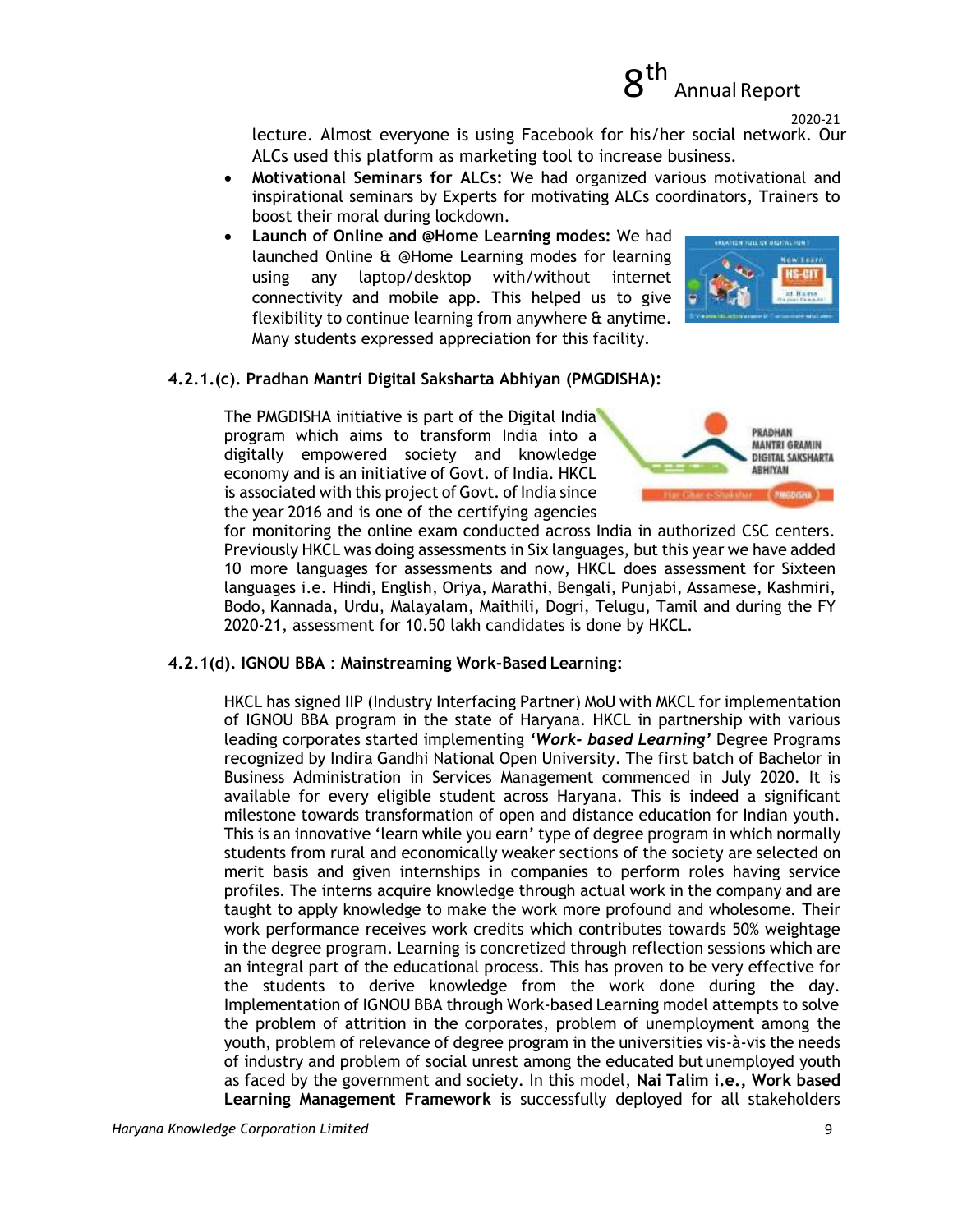

lecture. Almost everyone is using Facebook for his/her social network. Our ALCs used this platform as marketing tool to increase business.

- **Motivational Seminars for ALCs:** We had organized various motivational and inspirational seminars by Experts for motivating ALCs coordinators, Trainers to boost their moral during lockdown.
- **Launch of Online and @Home Learning modes:** We had launched Online & @Home Learning modes for learning using any laptop/desktop with/without internet connectivity and mobile app. This helped us to give flexibility to continue learning from anywhere & anytime. Many students expressed appreciation for this facility.



## **4.2.1.(c). Pradhan Mantri Digital Saksharta Abhiyan (PMGDISHA):**

The PMGDISHA initiative is part of the Digital India program which aims to transform India into a digitally empowered society and knowledge economy and is an initiative of Govt. of India. HKCL is associated with this project of Govt. of India since the year 2016 and is one of the certifying agencies



for monitoring the online exam conducted across India in authorized CSC centers. Previously HKCL was doing assessments in Six languages, but this year we have added 10 more languages for assessments and now, HKCL does assessment for Sixteen languages i.e. Hindi, English, Oriya, Marathi, Bengali, Punjabi, Assamese, Kashmiri, Bodo, Kannada, Urdu, Malayalam, Maithili, Dogri, Telugu, Tamil and during the FY 2020-21, assessment for 10.50 lakh candidates is done by HKCL.

#### **4.2.1(d). IGNOU BBA** : **Mainstreaming Work-Based Learning:**

HKCL has signed IIP (Industry Interfacing Partner) MoU with MKCL for implementation of IGNOU BBA program in the state of Haryana. HKCL in partnership with various leading corporates started implementing *'Work- based Learning'* Degree Programs recognized by Indira Gandhi National Open University. The first batch of Bachelor in Business Administration in Services Management commenced in July 2020. It is available for every eligible student across Haryana. This is indeed a significant milestone towards transformation of open and distance education for Indian youth. This is an innovative 'learn while you earn' type of degree program in which normally students from rural and economically weaker sections of the society are selected on merit basis and given internships in companies to perform roles having service profiles. The interns acquire knowledge through actual work in the company and are taught to apply knowledge to make the work more profound and wholesome. Their work performance receives work credits which contributes towards 50% weightage in the degree program. Learning is concretized through reflection sessions which are an integral part of the educational process. This has proven to be very effective for the students to derive knowledge from the work done during the day. Implementation of IGNOU BBA through Work-based Learning model attempts to solve the problem of attrition in the corporates, problem of unemployment among the youth, problem of relevance of degree program in the universities vis-à-vis the needs of industry and problem of social unrest among the educated butunemployed youth as faced by the government and society. In this model, **Nai Talim i.e., Work based Learning Management Framework** is successfully deployed for all stakeholders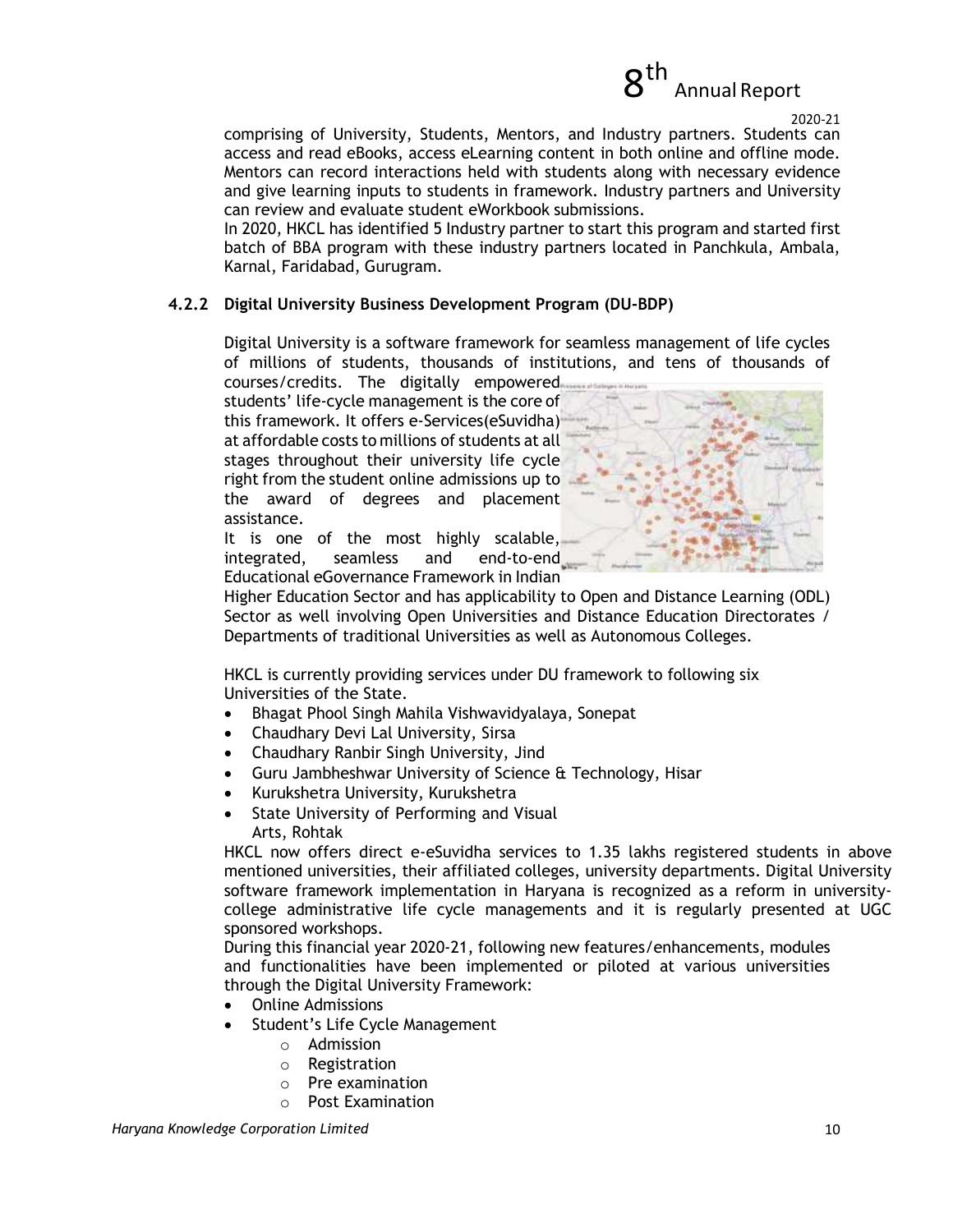

comprising of University, Students, Mentors, and Industry partners. Students can access and read eBooks, access eLearning content in both online and offline mode. Mentors can record interactions held with students along with necessary evidence and give learning inputs to students in framework. Industry partners and University can review and evaluate student eWorkbook submissions.

In 2020, HKCL has identified 5 Industry partner to start this program and started first batch of BBA program with these industry partners located in Panchkula, Ambala, Karnal, Faridabad, Gurugram.

#### **4.2.2 Digital University Business Development Program (DU-BDP)**

Digital University is a software framework for seamless management of life cycles of millions of students, thousands of institutions, and tens of thousands of courses/credits. The digitally empowered

students' life-cycle management is the core of this framework. It offers e-Services(eSuvidha) at affordable costs to millions of students at all stages throughout their university life cycle right from the student online admissions up to the award of degrees and placement assistance.

It is one of the most highly scalable, integrated, seamless and end-to-end Educational eGovernance Framework in Indian



Higher Education Sector and has applicability to Open and Distance Learning (ODL) Sector as well involving Open Universities and Distance Education Directorates / Departments of traditional Universities as well as Autonomous Colleges.

HKCL is currently providing services under DU framework to following six Universities of the State.

- Bhagat Phool Singh Mahila Vishwavidyalaya, Sonepat
- Chaudhary Devi Lal University, Sirsa
- Chaudhary Ranbir Singh University, Jind
- Guru Jambheshwar University of Science & Technology, Hisar
- Kurukshetra University, Kurukshetra
- State University of Performing and Visual Arts, Rohtak

HKCL now offers direct e-eSuvidha services to 1.35 lakhs registered students in above mentioned universities, their affiliated colleges, university departments. Digital University software framework implementation in Haryana is recognized as a reform in universitycollege administrative life cycle managements and it is regularly presented at UGC sponsored workshops.

During this financial year 2020-21, following new features/enhancements, modules and functionalities have been implemented or piloted at various universities through the Digital University Framework:

- Online Admissions
- Student's Life Cycle Management
	- o Admission
	- o Registration
	- o Pre examination
	- o Post Examination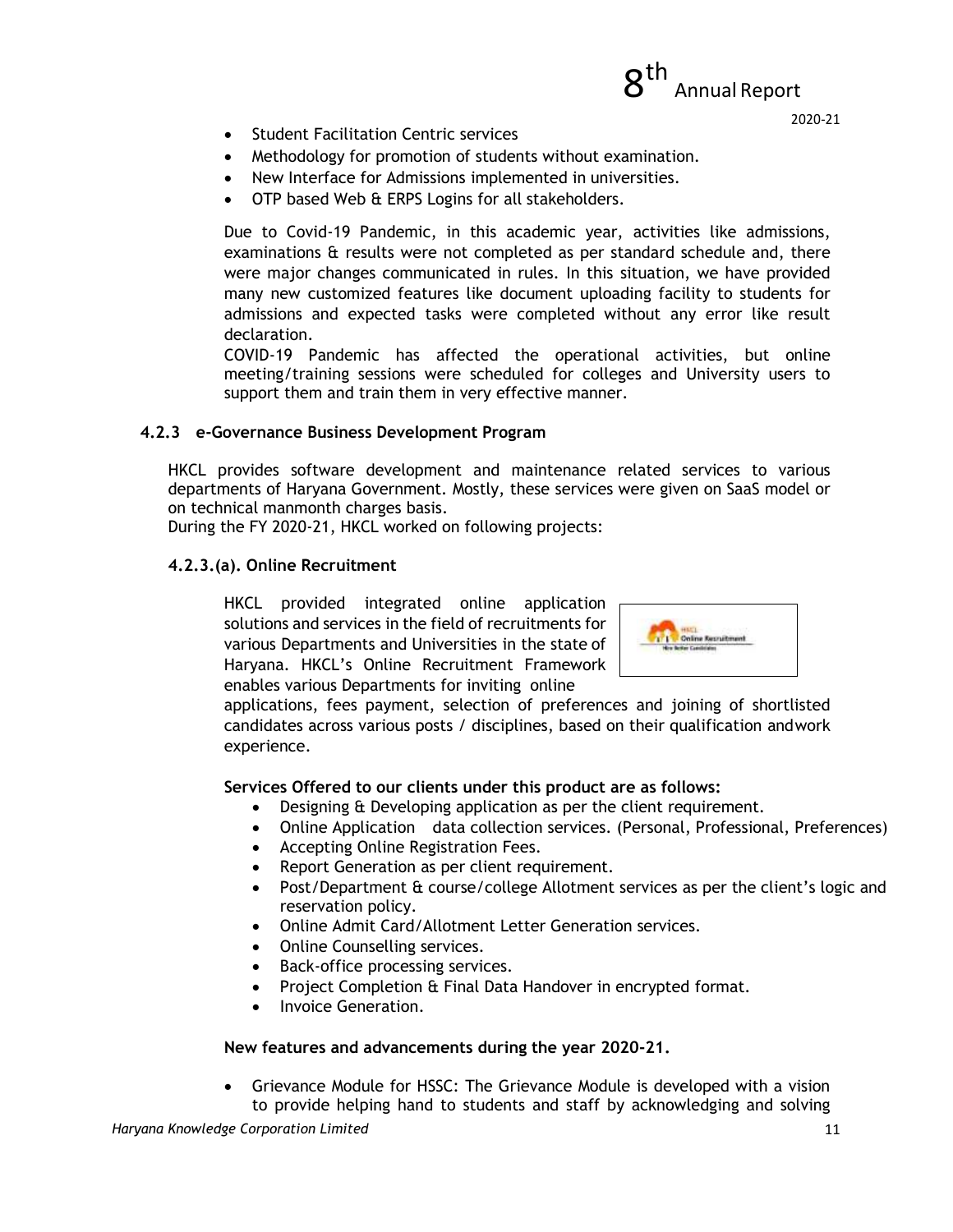

- Student Facilitation Centric services
- Methodology for promotion of students without examination.
- New Interface for Admissions implemented in universities.
- OTP based Web & ERPS Logins for all stakeholders.

Due to Covid-19 Pandemic, in this academic year, activities like admissions, examinations & results were not completed as per standard schedule and, there were major changes communicated in rules. In this situation, we have provided many new customized features like document uploading facility to students for admissions and expected tasks were completed without any error like result declaration.

COVID-19 Pandemic has affected the operational activities, but online meeting/training sessions were scheduled for colleges and University users to support them and train them in very effective manner.

## **4.2.3 e-Governance Business Development Program**

HKCL provides software development and maintenance related services to various departments of Haryana Government. Mostly, these services were given on SaaS model or on technical manmonth charges basis.

During the FY 2020-21, HKCL worked on following projects:

#### **4.2.3.(a). Online Recruitment**

HKCL provided integrated online application solutions and services in the field of recruitments for various Departments and Universities in the state of Haryana. HKCL's Online Recruitment Framework enables various Departments for inviting online



applications, fees payment, selection of preferences and joining of shortlisted candidates across various posts / disciplines, based on their qualification andwork experience.

**Services Offered to our clients under this product are as follows:**

- Designing & Developing application as per the client requirement.
- Online Application data collection services. (Personal, Professional, Preferences)
- Accepting Online Registration Fees.
- Report Generation as per client requirement.
- Post/Department & course/college Allotment services as per the client's logic and reservation policy.
- Online Admit Card/Allotment Letter Generation services.
- Online Counselling services.
- Back-office processing services.
- Project Completion & Final Data Handover in encrypted format.
- Invoice Generation.

#### **New features and advancements during the year 2020-21.**

• Grievance Module for HSSC: The Grievance Module is developed with a vision to provide helping hand to students and staff by acknowledging and solving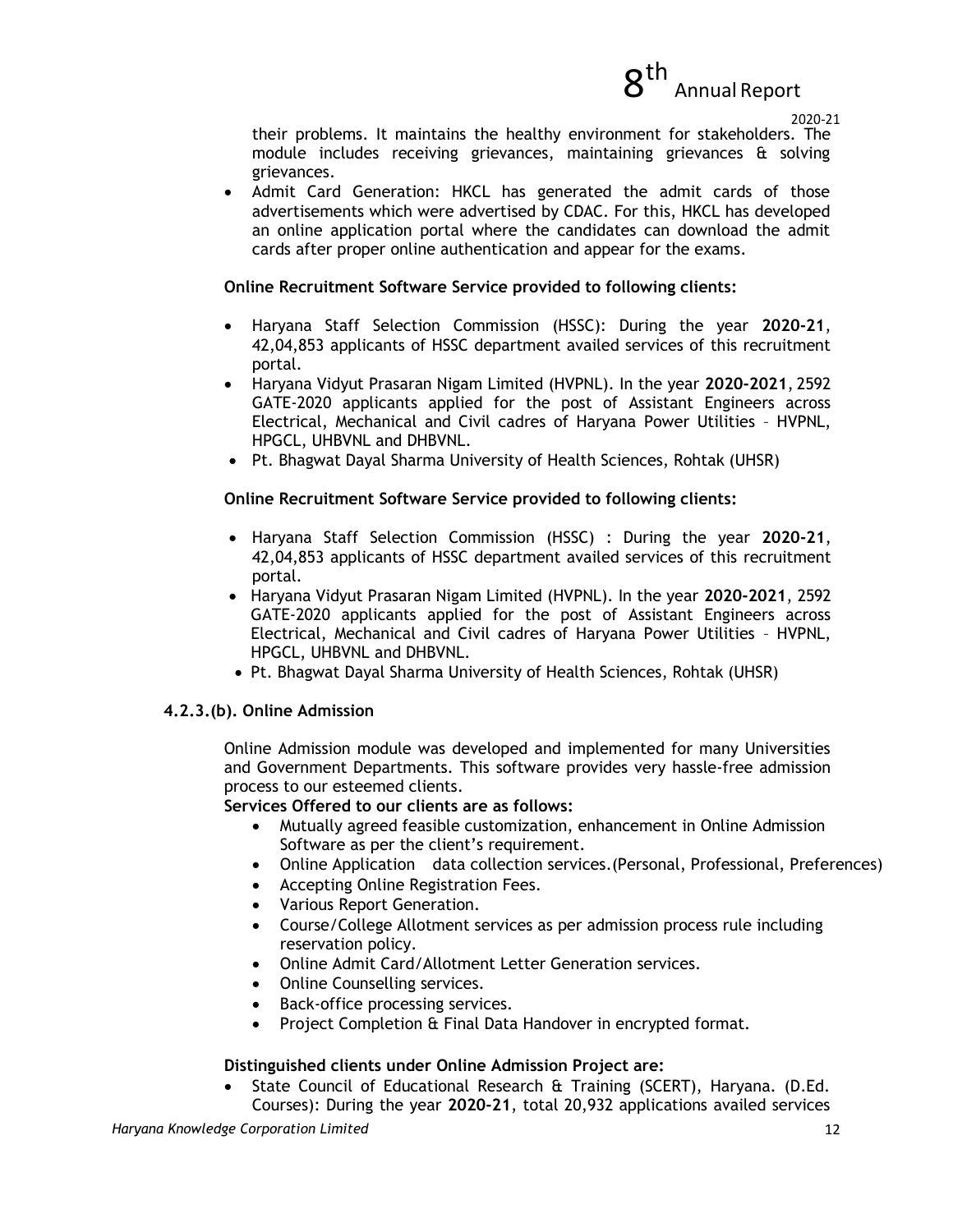

their problems. It maintains the healthy environment for stakeholders. The module includes receiving grievances, maintaining grievances & solving grievances.

• Admit Card Generation: HKCL has generated the admit cards of those advertisements which were advertised by CDAC. For this, HKCL has developed an online application portal where the candidates can download the admit cards after proper online authentication and appear for the exams.

#### **Online Recruitment Software Service provided to following clients:**

- Haryana Staff Selection Commission (HSSC): During the year **2020-21**, 42,04,853 applicants of HSSC department availed services of this recruitment portal.
- Haryana Vidyut Prasaran Nigam Limited (HVPNL). In the year **2020-2021**, 2592 GATE-2020 applicants applied for the post of Assistant Engineers across Electrical, Mechanical and Civil cadres of Haryana Power Utilities – HVPNL, HPGCL, UHBVNL and DHBVNL.
- Pt. Bhagwat Dayal Sharma University of Health Sciences, Rohtak (UHSR)

## **Online Recruitment Software Service provided to following clients:**

- Haryana Staff Selection Commission (HSSC) : During the year **2020-21**, 42,04,853 applicants of HSSC department availed services of this recruitment portal.
- Haryana Vidyut Prasaran Nigam Limited (HVPNL). In the year **2020-2021**, 2592 GATE-2020 applicants applied for the post of Assistant Engineers across Electrical, Mechanical and Civil cadres of Haryana Power Utilities – HVPNL, HPGCL, UHBVNL and DHBVNL.
- Pt. Bhagwat Dayal Sharma University of Health Sciences, Rohtak (UHSR)

## **4.2.3.(b). Online Admission**

Online Admission module was developed and implemented for many Universities and Government Departments. This software provides very hassle-free admission process to our esteemed clients.

## **Services Offered to our clients are as follows:**

- Mutually agreed feasible customization, enhancement in Online Admission Software as per the client's requirement.
- Online Application data collection services.(Personal, Professional, Preferences)
- Accepting Online Registration Fees.
- Various Report Generation.
- Course/College Allotment services as per admission process rule including reservation policy.
- Online Admit Card/Allotment Letter Generation services.
- Online Counselling services.
- Back-office processing services.
- Project Completion & Final Data Handover in encrypted format.

## **Distinguished clients under Online Admission Project are:**

• State Council of Educational Research & Training (SCERT), Haryana. (D.Ed. Courses): During the year **2020-21**, total 20,932 applications availed services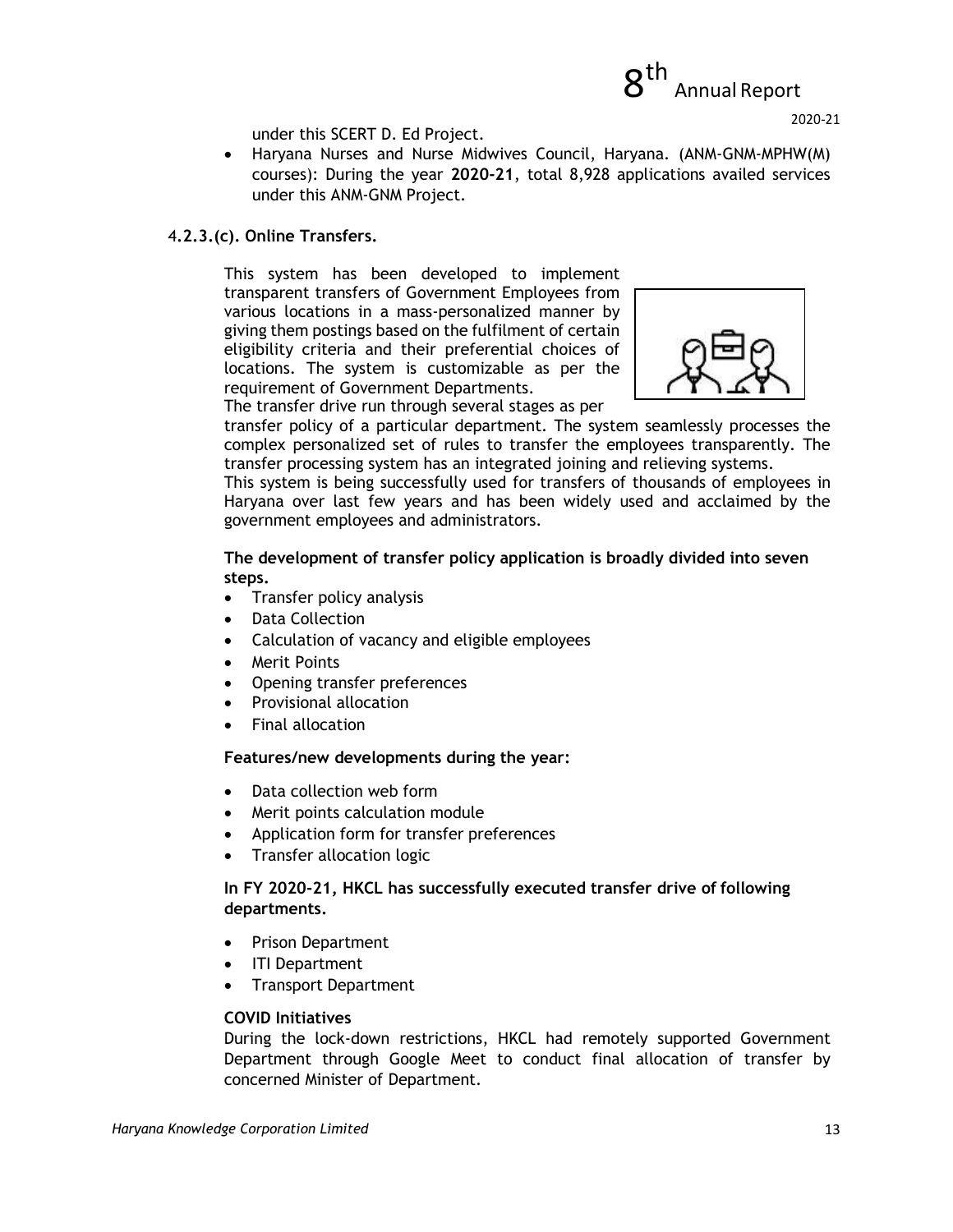

under this SCERT D. Ed Project.

• Haryana Nurses and Nurse Midwives Council, Haryana. (ANM-GNM-MPHW(M) courses): During the year **2020-21**, total 8,928 applications availed services under this ANM-GNM Project.

## 4**.2.3.(c). Online Transfers.**

This system has been developed to implement transparent transfers of Government Employees from various locations in a mass-personalized manner by giving them postings based on the fulfilment of certain eligibility criteria and their preferential choices of locations. The system is customizable as per the requirement of Government Departments.



The transfer drive run through several stages as per

transfer policy of a particular department. The system seamlessly processes the complex personalized set of rules to transfer the employees transparently. The transfer processing system has an integrated joining and relieving systems.

This system is being successfully used for transfers of thousands of employees in Haryana over last few years and has been widely used and acclaimed by the government employees and administrators.

## **The development of transfer policy application is broadly divided into seven steps.**

- Transfer policy analysis
- Data Collection
- Calculation of vacancy and eligible employees
- Merit Points
- Opening transfer preferences
- Provisional allocation
- Final allocation

## **Features/new developments during the year:**

- Data collection web form
- Merit points calculation module
- Application form for transfer preferences
- Transfer allocation logic

## **In FY 2020-21, HKCL has successfully executed transfer drive of following departments.**

- Prison Department
- ITI Department
- Transport Department

## **COVID Initiatives**

During the lock-down restrictions, HKCL had remotely supported Government Department through Google Meet to conduct final allocation of transfer by concerned Minister of Department.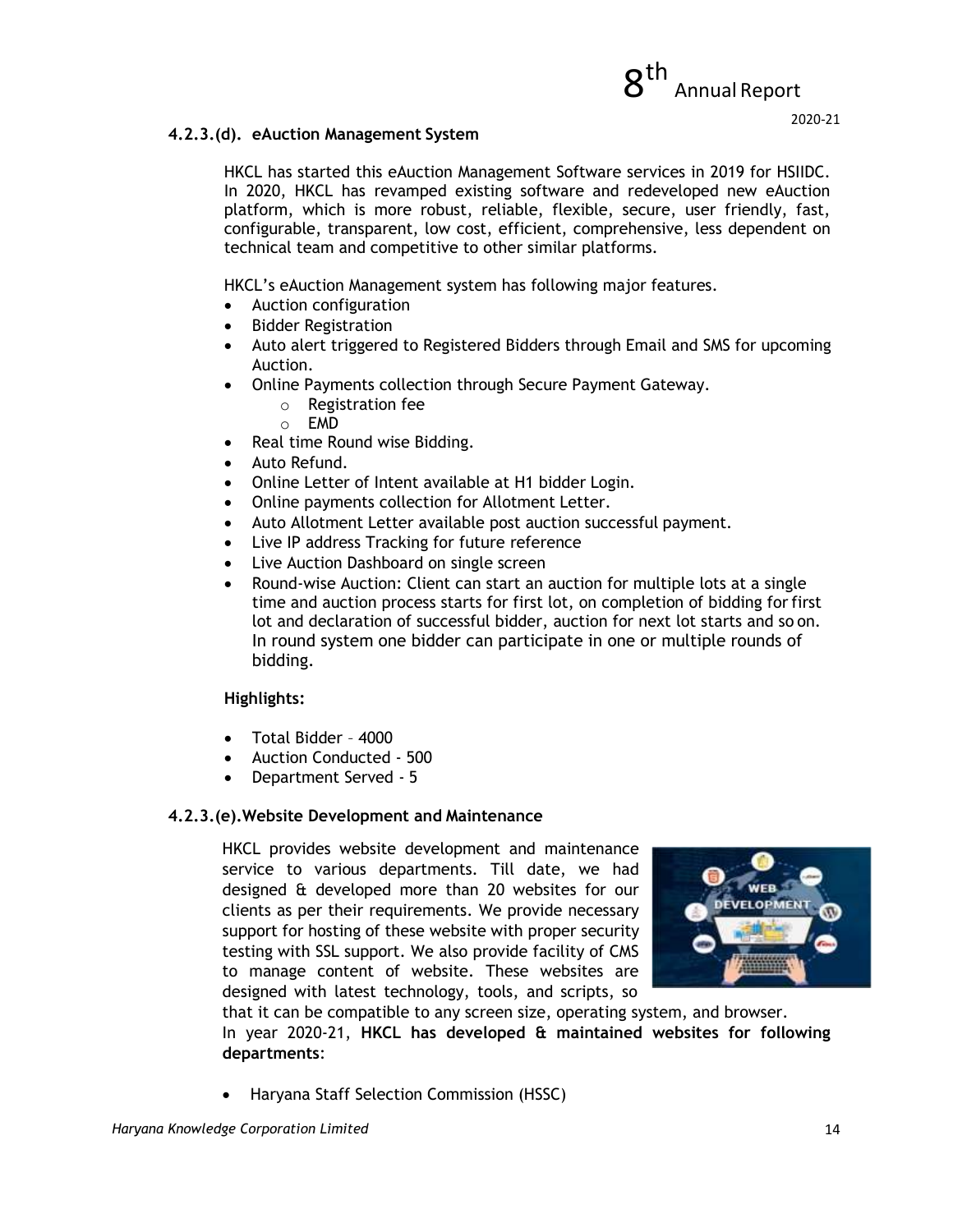

### **4.2.3.(d). eAuction Management System**

HKCL has started this eAuction Management Software services in 2019 for HSIIDC. In 2020, HKCL has revamped existing software and redeveloped new eAuction platform, which is more robust, reliable, flexible, secure, user friendly, fast, configurable, transparent, low cost, efficient, comprehensive, less dependent on technical team and competitive to other similar platforms.

HKCL's eAuction Management system has following major features.

- Auction configuration
- **Bidder Registration**
- Auto alert triggered to Registered Bidders through Email and SMS for upcoming Auction.
- Online Payments collection through Secure Payment Gateway.
	- o Registration fee
		- o EMD
- Real time Round wise Bidding.
- Auto Refund.
- Online Letter of Intent available at H1 bidder Login.
- Online payments collection for Allotment Letter.
- Auto Allotment Letter available post auction successful payment.
- Live IP address Tracking for future reference
- Live Auction Dashboard on single screen
- Round-wise Auction: Client can start an auction for multiple lots at a single time and auction process starts for first lot, on completion of bidding forfirst lot and declaration of successful bidder, auction for next lot starts and so on. In round system one bidder can participate in one or multiple rounds of bidding.

## **Highlights:**

- Total Bidder 4000
- Auction Conducted 500
- Department Served 5

## **4.2.3.(e).Website Development and Maintenance**

HKCL provides website development and maintenance service to various departments. Till date, we had designed & developed more than 20 websites for our clients as per their requirements. We provide necessary support for hosting of these website with proper security testing with SSL support. We also provide facility of CMS to manage content of website. These websites are designed with latest technology, tools, and scripts, so



that it can be compatible to any screen size, operating system, and browser. In year 2020-21, **HKCL has developed & maintained websites for following departments**:

• Haryana Staff Selection Commission (HSSC)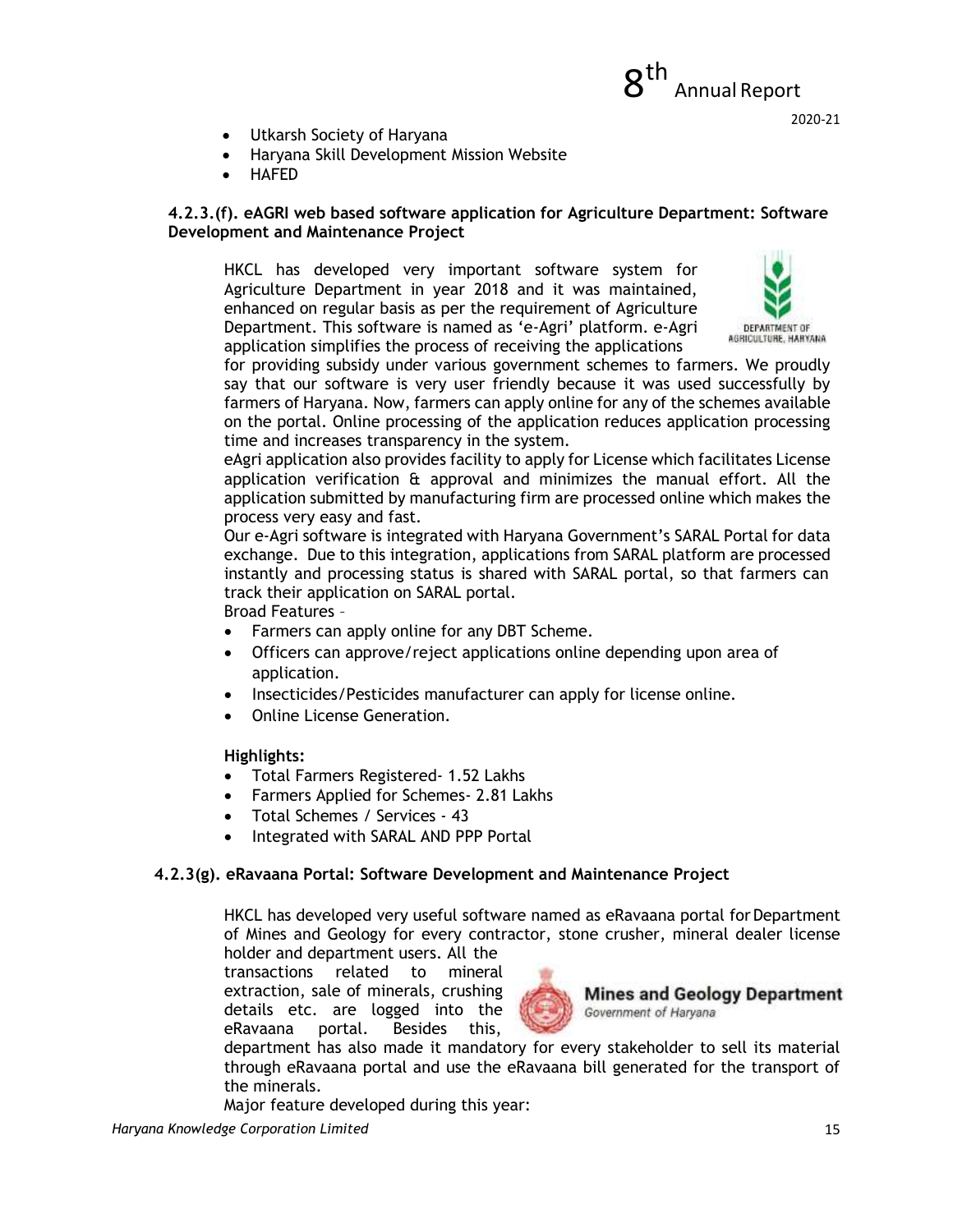

- Utkarsh Society of Haryana
- Haryana Skill Development Mission Website
- **HAFED**

## **4.2.3.(f). eAGRI web based software application for Agriculture Department: Software Development and Maintenance Project**

HKCL has developed very important software system for Agriculture Department in year 2018 and it was maintained, enhanced on regular basis as per the requirement of Agriculture Department. This software is named as 'e-Agri' platform. e-Agri application simplifies the process of receiving the applications



for providing subsidy under various government schemes to farmers. We proudly say that our software is very user friendly because it was used successfully by farmers of Haryana. Now, farmers can apply online for any of the schemes available on the portal. Online processing of the application reduces application processing time and increases transparency in the system.

eAgri application also provides facility to apply for License which facilitates License application verification & approval and minimizes the manual effort. All the application submitted by manufacturing firm are processed online which makes the process very easy and fast.

Our e-Agri software is integrated with Haryana Government's SARAL Portal for data exchange. Due to this integration, applications from SARAL platform are processed instantly and processing status is shared with SARAL portal, so that farmers can track their application on SARAL portal.

Broad Features –

- Farmers can apply online for any DBT Scheme.
- Officers can approve/reject applications online depending upon area of application.
- Insecticides/Pesticides manufacturer can apply for license online.
- Online License Generation.

## **Highlights:**

- Total Farmers Registered- 1.52 Lakhs
- Farmers Applied for Schemes- 2.81 Lakhs
- Total Schemes / Services 43
- Integrated with SARAL AND PPP Portal

## **4.2.3(g). eRavaana Portal: Software Development and Maintenance Project**

HKCL has developed very useful software named as eRavaana portal for Department of Mines and Geology for every contractor, stone crusher, mineral dealer license holder and department users. All the

transactions related to mineral extraction, sale of minerals, crushing details etc. are logged into the eRavaana portal. Besides this,



**Mines and Geology Department** Government of Harvana

department has also made it mandatory for every stakeholder to sell its material through eRavaana portal and use the eRavaana bill generated for the transport of the minerals.

Major feature developed during this year: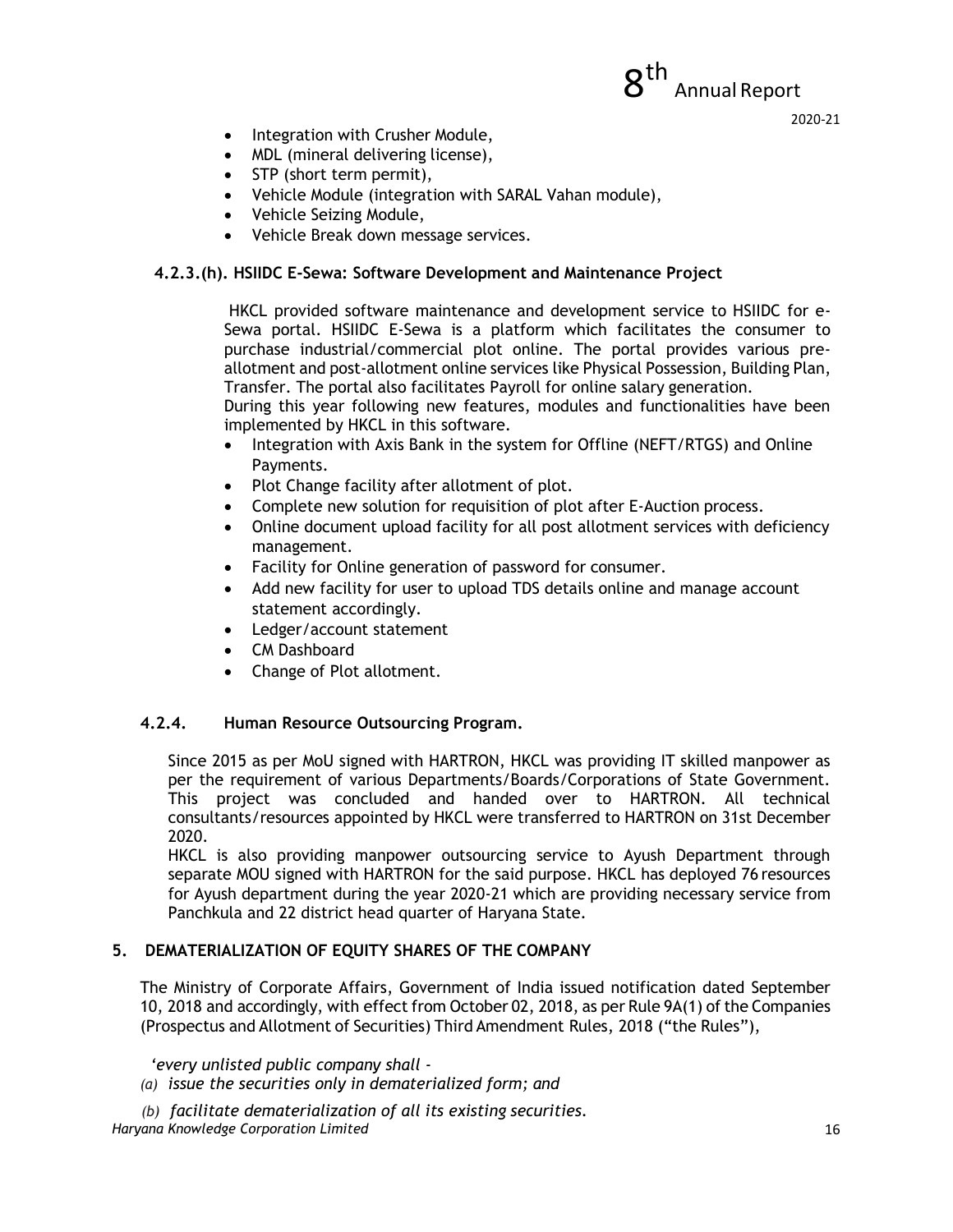

- Integration with Crusher Module,
- MDL (mineral delivering license),
- STP (short term permit),
- Vehicle Module (integration with SARAL Vahan module),
- Vehicle Seizing Module,
- Vehicle Break down message services.

## **4.2.3.(h). HSIIDC E-Sewa: Software Development and Maintenance Project**

HKCL provided software maintenance and development service to HSIIDC for e-Sewa portal. HSIIDC E-Sewa is a platform which facilitates the consumer to purchase industrial/commercial plot online. The portal provides various preallotment and post-allotment online services like Physical Possession, Building Plan, Transfer. The portal also facilitates Payroll for online salary generation.

During this year following new features, modules and functionalities have been implemented by HKCL in this software.

- Integration with Axis Bank in the system for Offline (NEFT/RTGS) and Online Payments.
- Plot Change facility after allotment of plot.
- Complete new solution for requisition of plot after E-Auction process.
- Online document upload facility for all post allotment services with deficiency management.
- Facility for Online generation of password for consumer.
- Add new facility for user to upload TDS details online and manage account statement accordingly.
- Ledger/account statement
- CM Dashboard
- Change of Plot allotment.

## **4.2.4. Human Resource Outsourcing Program.**

Since 2015 as per MoU signed with HARTRON, HKCL was providing IT skilled manpower as per the requirement of various Departments/Boards/Corporations of State Government. This project was concluded and handed over to HARTRON. All technical consultants/resources appointed by HKCL were transferred to HARTRON on 31st December 2020.

HKCL is also providing manpower outsourcing service to Ayush Department through separate MOU signed with HARTRON for the said purpose. HKCL has deployed 76 resources for Ayush department during the year 2020-21 which are providing necessary service from Panchkula and 22 district head quarter of Haryana State.

## **5. DEMATERIALIZATION OF EQUITY SHARES OF THE COMPANY**

The Ministry of Corporate Affairs, Government of India issued notification dated September 10, 2018 and accordingly, with effect from October 02, 2018, as per Rule 9A(1) of the Companies (Prospectus and Allotment of Securities) Third Amendment Rules, 2018 ("the Rules"),

*'every unlisted public company shall -*

*(a) issue the securities only in dematerialized form; and*

*Haryana Knowledge Corporation Limited* 16 *(b) facilitate dematerialization of all its existing securities.*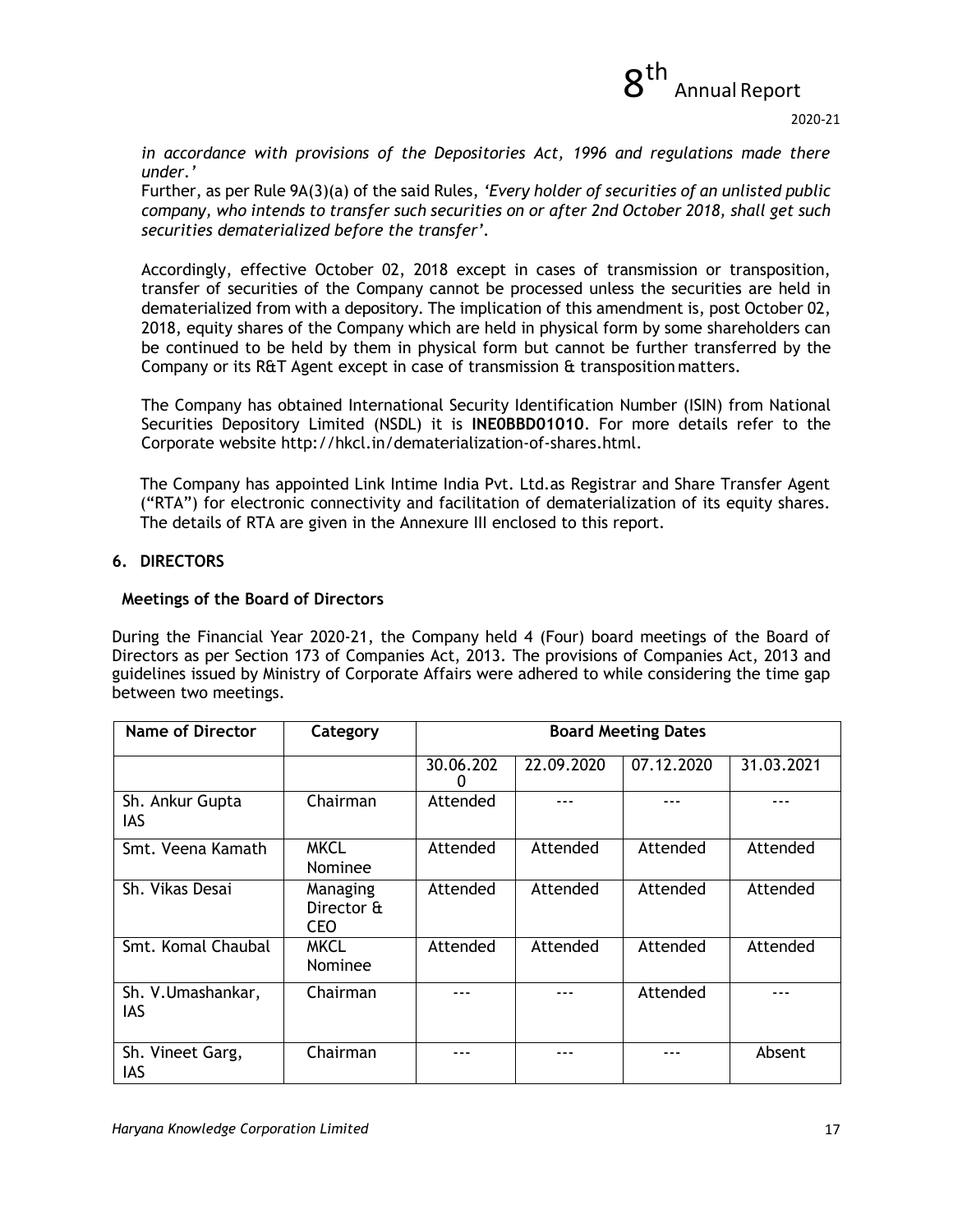

*in accordance with provisions of the Depositories Act, 1996 and regulations made there under.'*

Further, as per Rule 9A(3)(a) of the said Rules, *'Every holder of securities of an unlisted public company, who intends to transfer such securities on or after 2nd October 2018, shall get such securities dematerialized before the transfer'.*

Accordingly, effective October 02, 2018 except in cases of transmission or transposition, transfer of securities of the Company cannot be processed unless the securities are held in dematerialized from with a depository. The implication of this amendment is, post October 02, 2018, equity shares of the Company which are held in physical form by some shareholders can be continued to be held by them in physical form but cannot be further transferred by the Company or its R&T Agent except in case of transmission & transposition matters.

The Company has obtained International Security Identification Number (ISIN) from National Securities Depository Limited (NSDL) it is **INE0BBD01010**. For more details refer to the Corporate website [http://hkcl.in/dematerialization-of-shares.html.](http://hkcl.in/dematerialization-of-shares.html)

The Company has appointed Link Intime India Pvt. Ltd.as Registrar and Share Transfer Agent ("RTA") for electronic connectivity and facilitation of dematerialization of its equity shares. The details of RTA are given in the Annexure III enclosed to this report.

## **6. DIRECTORS**

#### **Meetings of the Board of Directors**

During the Financial Year 2020-21, the Company held 4 (Four) board meetings of the Board of Directors as per Section 173 of Companies Act, 2013. The provisions of Companies Act, 2013 and guidelines issued by Ministry of Corporate Affairs were adhered to while considering the time gap between two meetings.

| <b>Name of Director</b>  | Category                       | <b>Board Meeting Dates</b> |            |            |            |  |  |  |  |
|--------------------------|--------------------------------|----------------------------|------------|------------|------------|--|--|--|--|
|                          |                                | 30.06.202                  | 22.09.2020 | 07.12.2020 | 31.03.2021 |  |  |  |  |
| Sh. Ankur Gupta<br>IAS   | Chairman                       | Attended                   |            |            |            |  |  |  |  |
| Smt. Veena Kamath        | <b>MKCL</b><br>Nominee         | Attended                   | Attended   | Attended   | Attended   |  |  |  |  |
| Sh. Vikas Desai          | Managing<br>Director &<br>CEO. | Attended                   | Attended   | Attended   | Attended   |  |  |  |  |
| Smt. Komal Chaubal       | <b>MKCL</b><br>Nominee         | Attended                   | Attended   | Attended   | Attended   |  |  |  |  |
| Sh. V.Umashankar,<br>IAS | Chairman                       |                            |            | Attended   |            |  |  |  |  |
| Sh. Vineet Garg,<br>IAS  | Chairman                       |                            |            |            | Absent     |  |  |  |  |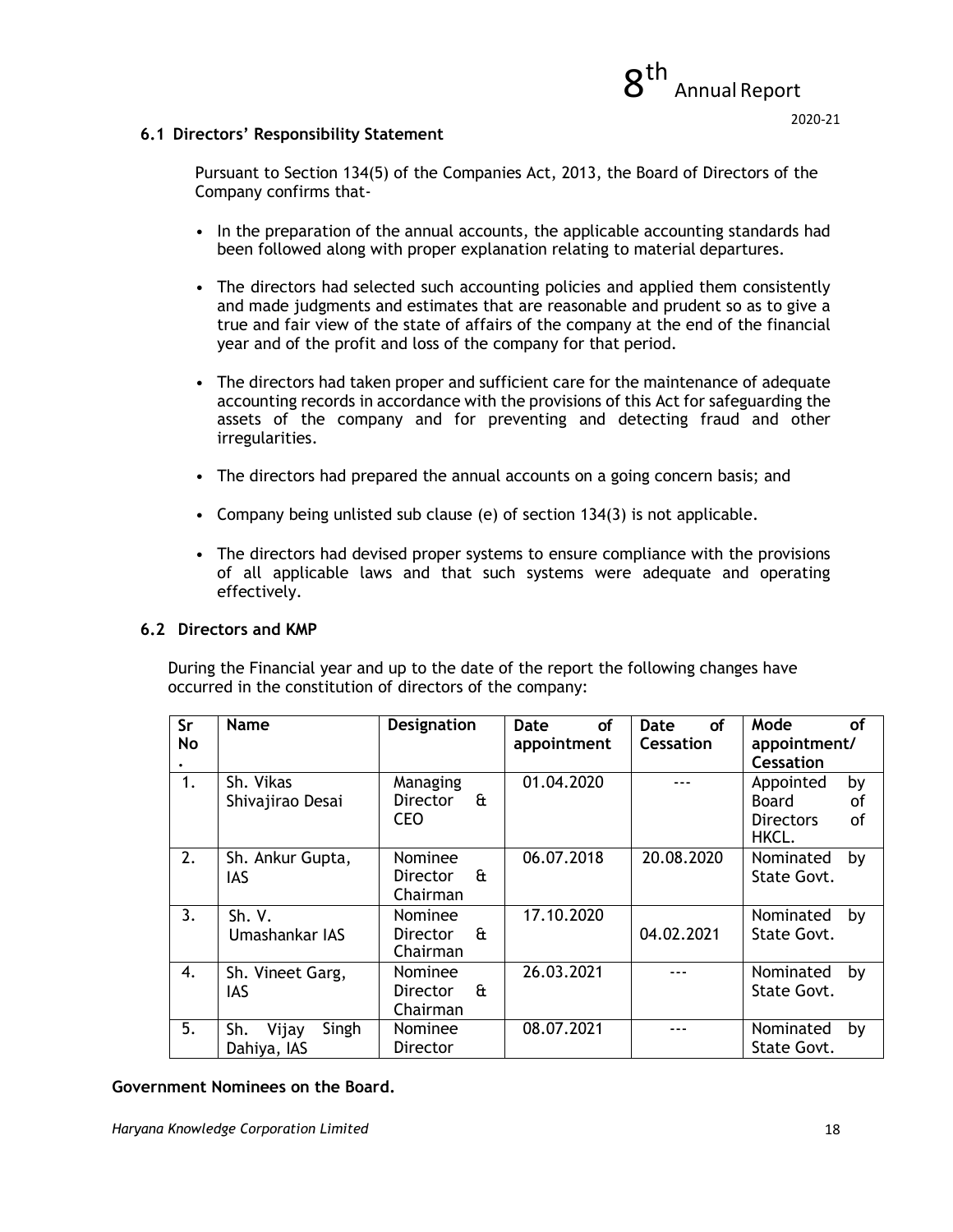

#### **6.1 Directors' Responsibility Statement**

Pursuant to Section 134(5) of the Companies Act, 2013, the Board of Directors of the Company confirms that-

- In the preparation of the annual accounts, the applicable accounting standards had been followed along with proper explanation relating to material departures.
- The directors had selected such accounting policies and applied them consistently and made judgments and estimates that are reasonable and prudent so as to give a true and fair view of the state of affairs of the company at the end of the financial year and of the profit and loss of the company for that period.
- The directors had taken proper and sufficient care for the maintenance of adequate accounting records in accordance with the provisions of this Act for safeguarding the assets of the company and for preventing and detecting fraud and other irregularities.
- The directors had prepared the annual accounts on a going concern basis; and
- Company being unlisted sub clause (e) of section 134(3) is not applicable.
- The directors had devised proper systems to ensure compliance with the provisions of all applicable laws and that such systems were adequate and operating effectively.

## **6.2 Directors and KMP**

During the Financial year and up to the date of the report the following changes have occurred in the constitution of directors of the company:

| Sr | <b>Name</b>                          | Designation                                        | of<br>Date  | of<br>Date | Mode<br><b>of</b>                                                 |
|----|--------------------------------------|----------------------------------------------------|-------------|------------|-------------------------------------------------------------------|
| No |                                      |                                                    | appointment | Cessation  | appointment/<br>Cessation                                         |
| 1. | Sh. Vikas<br>Shivajirao Desai        | Managing<br><b>Director</b><br>$\mathbf{f}$<br>CEO | 01.04.2020  |            | Appointed<br>by<br>Board<br>οf<br>of<br><b>Directors</b><br>HKCL. |
| 2. | Sh. Ankur Gupta,<br><b>IAS</b>       | Nominee<br>£.<br>Director<br>Chairman              | 06.07.2018  | 20.08.2020 | by<br>Nominated<br>State Govt.                                    |
| 3. | Sh. V.<br>Umashankar IAS             | Nominee<br>$\mathbf{f}$<br>Director<br>Chairman    | 17.10.2020  | 04.02.2021 | Nominated<br>by<br>State Govt.                                    |
| 4. | Sh. Vineet Garg,<br>IAS              | <b>Nominee</b><br>£<br>Director<br>Chairman        | 26.03.2021  |            | Nominated<br>by<br>State Govt.                                    |
| 5. | Sh.<br>Vijay<br>Singh<br>Dahiya, IAS | Nominee<br>Director                                | 08.07.2021  |            | Nominated<br>by<br>State Govt.                                    |

#### **Government Nominees on the Board.**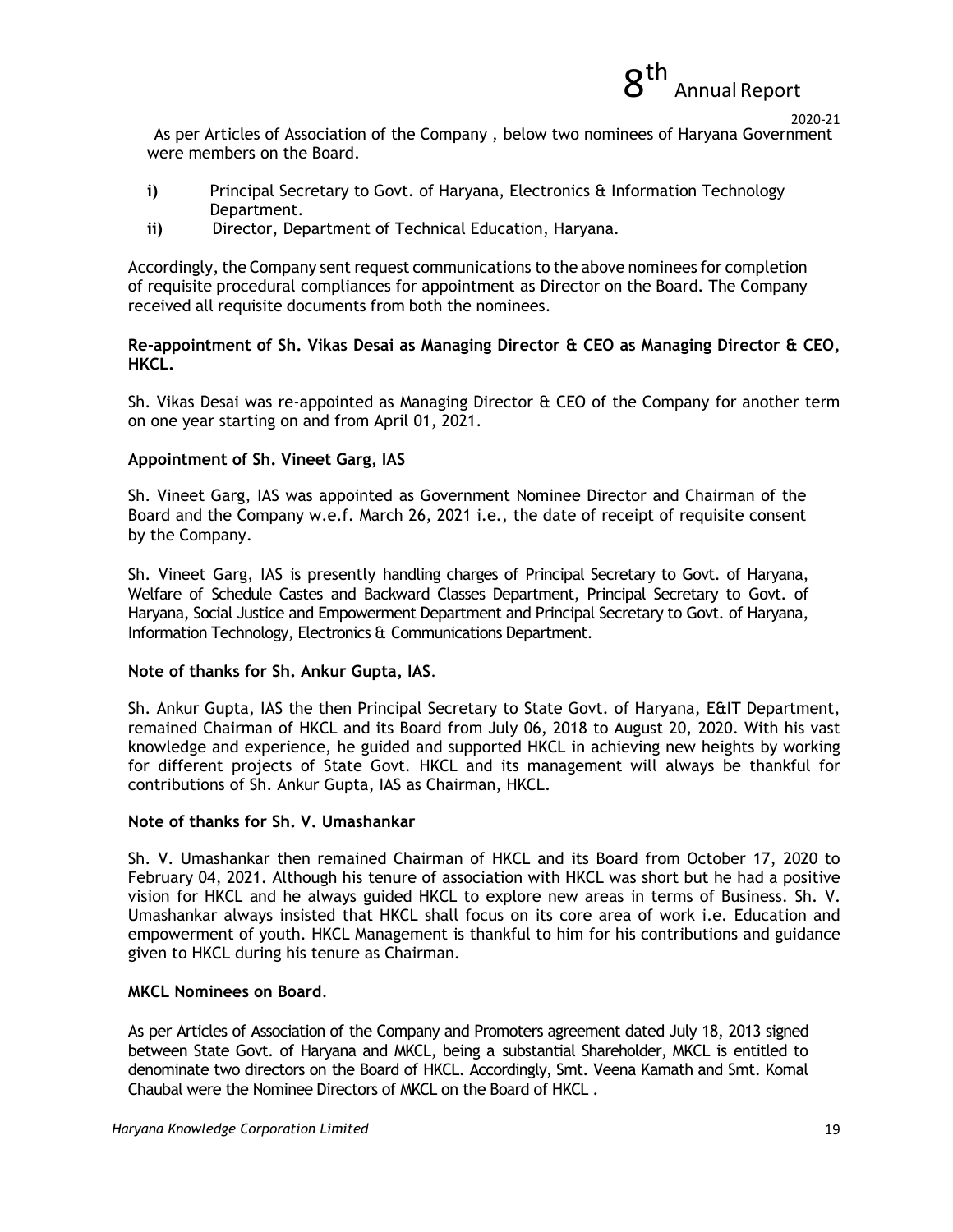

As per Articles of Association of the Company , below two nominees of Haryana Government were members on the Board.

- **i)** Principal Secretary to Govt. of Haryana, Electronics & Information Technology Department.
- **ii)** Director, Department of Technical Education, Haryana.

Accordingly, the Company sent request communications to the above nominees for completion of requisite procedural compliances for appointment as Director on the Board. The Company received all requisite documents from both the nominees.

### **Re-appointment of Sh. Vikas Desai as Managing Director & CEO as Managing Director & CEO, HKCL.**

Sh. Vikas Desai was re-appointed as Managing Director & CEO of the Company for another term on one year starting on and from April 01, 2021.

#### **Appointment of Sh. Vineet Garg, IAS**

Sh. Vineet Garg, IAS was appointed as Government Nominee Director and Chairman of the Board and the Company w.e.f. March 26, 2021 i.e., the date of receipt of requisite consent by the Company.

Sh. Vineet Garg, IAS is presently handling charges of Principal Secretary to Govt. of Haryana, Welfare of Schedule Castes and Backward Classes Department, Principal Secretary to Govt. of Haryana, Social Justice and Empowerment Department and Principal Secretary to Govt. of Haryana, Information Technology, Electronics & Communications Department.

#### **Note of thanks for Sh. Ankur Gupta, IAS**.

Sh. Ankur Gupta, IAS the then Principal Secretary to State Govt. of Haryana, E&IT Department, remained Chairman of HKCL and its Board from July 06, 2018 to August 20, 2020. With his vast knowledge and experience, he guided and supported HKCL in achieving new heights by working for different projects of State Govt. HKCL and its management will always be thankful for contributions of Sh. Ankur Gupta, IAS as Chairman, HKCL.

### **Note of thanks for Sh. V. Umashankar**

Sh. V. Umashankar then remained Chairman of HKCL and its Board from October 17, 2020 to February 04, 2021. Although his tenure of association with HKCL was short but he had a positive vision for HKCL and he always guided HKCL to explore new areas in terms of Business. Sh. V. Umashankar always insisted that HKCL shall focus on its core area of work i.e. Education and empowerment of youth. HKCL Management is thankful to him for his contributions and guidance given to HKCL during his tenure as Chairman.

#### **MKCL Nominees on Board**.

As per Articles of Association of the Company and Promoters agreement dated July 18, 2013 signed between State Govt. of Haryana and MKCL, being a substantial Shareholder, MKCL is entitled to denominate two directors on the Board of HKCL. Accordingly, Smt. Veena Kamath and Smt. Komal Chaubal were the Nominee Directors of MKCL on the Board of HKCL .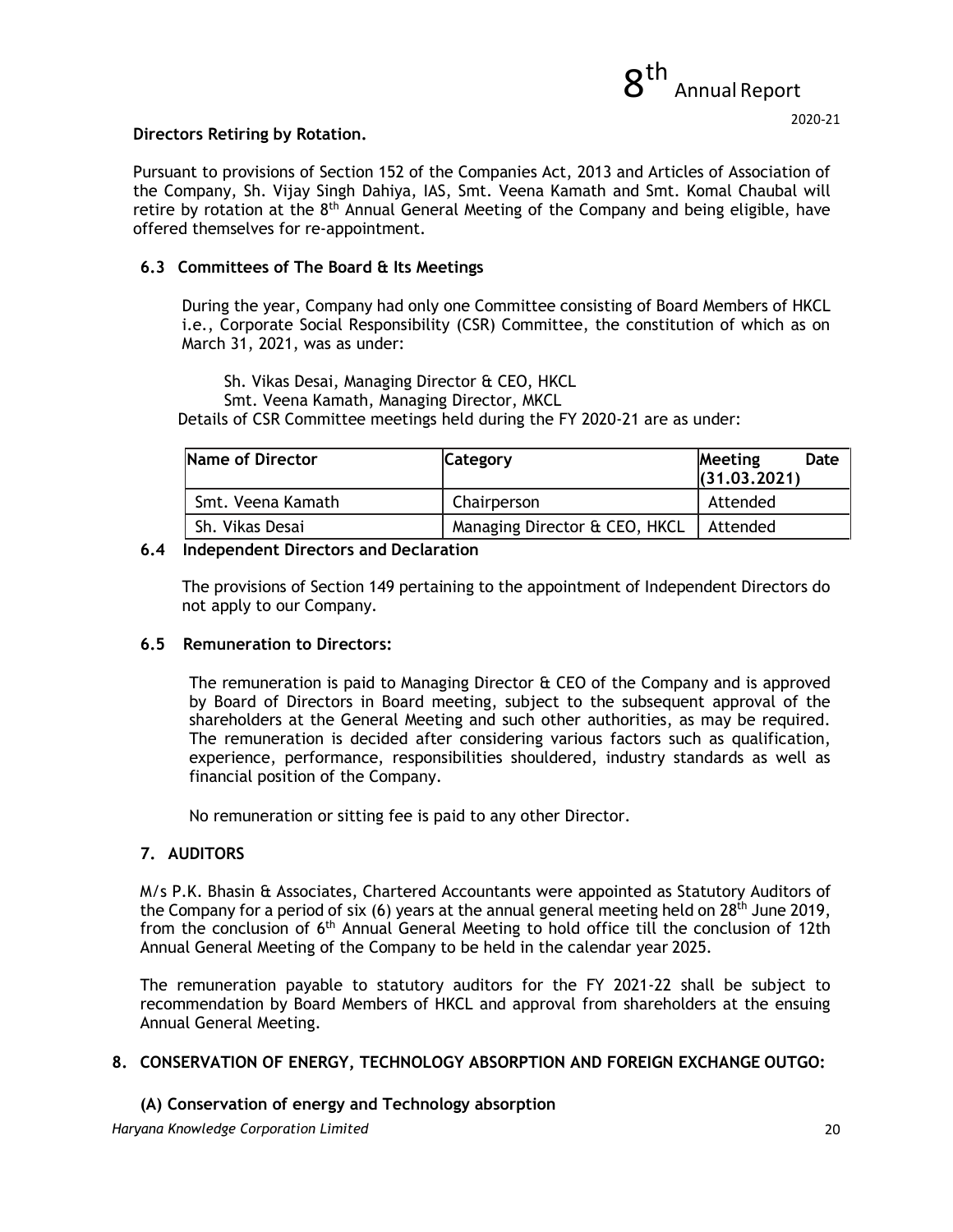

#### **Directors Retiring by Rotation.**

Pursuant to provisions of Section 152 of the Companies Act, 2013 and Articles of Association of the Company, Sh. Vijay Singh Dahiya, IAS, Smt. Veena Kamath and Smt. Komal Chaubal will retire by rotation at the  $8<sup>th</sup>$  Annual General Meeting of the Company and being eligible, have offered themselves for re-appointment.

## **6.3 Committees of The Board & Its Meetings**

During the year, Company had only one Committee consisting of Board Members of HKCL i.e., Corporate Social Responsibility (CSR) Committee, the constitution of which as on March 31, 2021, was as under:

#### Sh. Vikas Desai, Managing Director & CEO, HKCL

Smt. Veena Kamath, Managing Director, MKCL

Details of CSR Committee meetings held during the FY 2020-21 are as under:

| Name of Director  | <b>Category</b>               | Meeting<br>Date<br>(31.03.2021) |
|-------------------|-------------------------------|---------------------------------|
| Smt. Veena Kamath | Chairperson                   | Attended                        |
| Sh. Vikas Desai   | Managing Director & CEO, HKCL | Attended                        |

#### **6.4 Independent Directors and Declaration**

The provisions of Section 149 pertaining to the appointment of Independent Directors do not apply to our Company.

#### **6.5 Remuneration to Directors:**

The remuneration is paid to Managing Director & CEO of the Company and is approved by Board of Directors in Board meeting, subject to the subsequent approval of the shareholders at the General Meeting and such other authorities, as may be required. The remuneration is decided after considering various factors such as qualification, experience, performance, responsibilities shouldered, industry standards as well as financial position of the Company.

No remuneration or sitting fee is paid to any other Director.

## **7. AUDITORS**

M/s P.K. Bhasin & Associates, Chartered Accountants were appointed as Statutory Auditors of the Company for a period of six (6) years at the annual general meeting held on 28<sup>th</sup> June 2019, from the conclusion of  $6<sup>th</sup>$  Annual General Meeting to hold office till the conclusion of 12th Annual General Meeting of the Company to be held in the calendar year 2025.

The remuneration payable to statutory auditors for the FY 2021-22 shall be subject to recommendation by Board Members of HKCL and approval from shareholders at the ensuing Annual General Meeting.

## **8. CONSERVATION OF ENERGY, TECHNOLOGY ABSORPTION AND FOREIGN EXCHANGE OUTGO:**

#### **(A) Conservation of energy and Technology absorption**

*Haryana Knowledge Corporation Limited* 20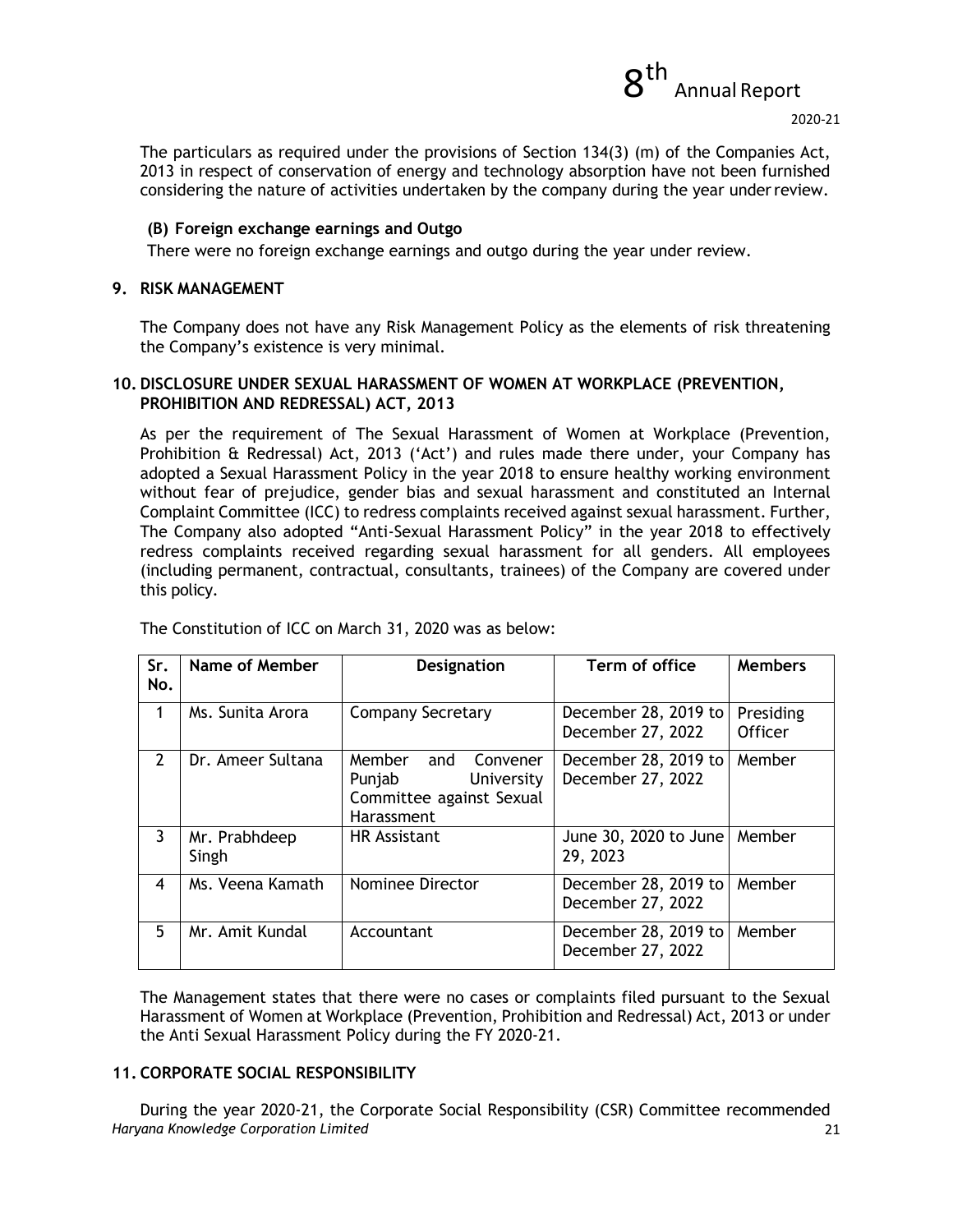

The particulars as required under the provisions of Section 134(3) (m) of the Companies Act, 2013 in respect of conservation of energy and technology absorption have not been furnished considering the nature of activities undertaken by the company during the year underreview.

#### **(B) Foreign exchange earnings and Outgo**

There were no foreign exchange earnings and outgo during the year under review.

#### **9. RISK MANAGEMENT**

The Company does not have any Risk Management Policy as the elements of risk threatening the Company's existence is very minimal.

### **10. DISCLOSURE UNDER SEXUAL HARASSMENT OF WOMEN AT WORKPLACE (PREVENTION, PROHIBITION AND REDRESSAL) ACT, 2013**

As per the requirement of The Sexual Harassment of Women at Workplace (Prevention, Prohibition & Redressal) Act, 2013 ('Act') and rules made there under, your Company has adopted a Sexual Harassment Policy in the year 2018 to ensure healthy working environment without fear of prejudice, gender bias and sexual harassment and constituted an Internal Complaint Committee (ICC) to redress complaints received against sexual harassment. Further, The Company also adopted "Anti-Sexual Harassment Policy" in the year 2018 to effectively redress complaints received regarding sexual harassment for all genders. All employees (including permanent, contractual, consultants, trainees) of the Company are covered under this policy.

| Sr.<br>No.              | Name of Member         | Designation                                                                                 | Term of office                            | <b>Members</b>       |
|-------------------------|------------------------|---------------------------------------------------------------------------------------------|-------------------------------------------|----------------------|
| 1                       | Ms. Sunita Arora       | <b>Company Secretary</b>                                                                    | December 28, 2019 to<br>December 27, 2022 | Presiding<br>Officer |
| $\overline{2}$          | Dr. Ameer Sultana      | Member<br>and<br>Convener<br>University<br>Punjab<br>Committee against Sexual<br>Harassment | December 28, 2019 to<br>December 27, 2022 | Member               |
| 3                       | Mr. Prabhdeep<br>Singh | <b>HR</b> Assistant                                                                         | June 30, 2020 to June<br>29, 2023         | Member               |
| $\overline{\mathbf{4}}$ | Ms. Veena Kamath       | Nominee Director                                                                            | December 28, 2019 to<br>December 27, 2022 | Member               |
| 5                       | Mr. Amit Kundal        | Accountant                                                                                  | December 28, 2019 to<br>December 27, 2022 | Member               |

The Constitution of ICC on March 31, 2020 was as below:

The Management states that there were no cases or complaints filed pursuant to the Sexual Harassment of Women at Workplace (Prevention, Prohibition and Redressal) Act, 2013 or under the Anti Sexual Harassment Policy during the FY 2020-21.

#### **11. CORPORATE SOCIAL RESPONSIBILITY**

*Haryana Knowledge Corporation Limited* 21 During the year 2020-21, the Corporate Social Responsibility (CSR) Committee recommended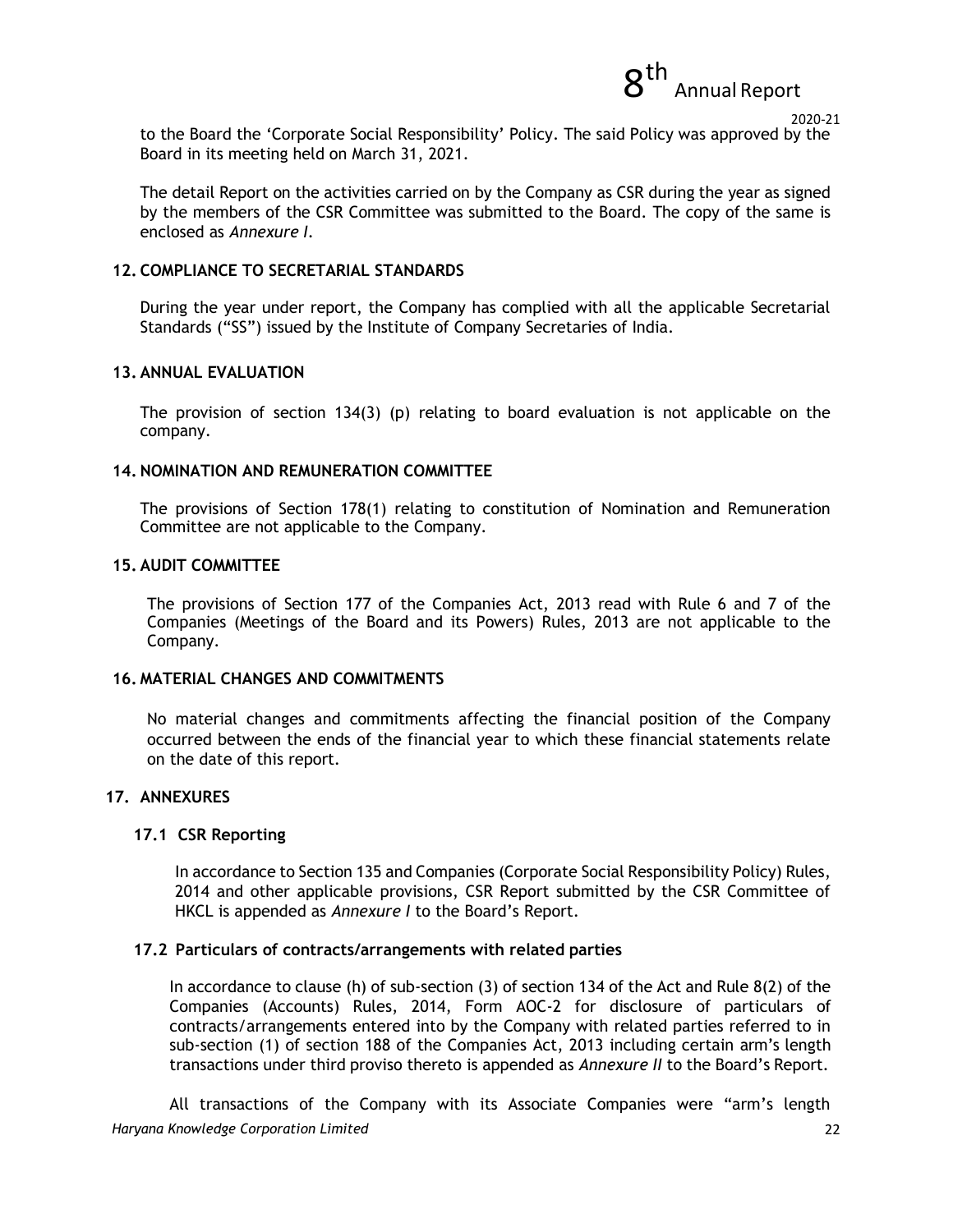

to the Board the 'Corporate Social Responsibility' Policy. The said Policy was approved by the Board in its meeting held on March 31, 2021.

The detail Report on the activities carried on by the Company as CSR during the year as signed by the members of the CSR Committee was submitted to the Board. The copy of the same is enclosed as *Annexure I.*

#### **12. COMPLIANCE TO SECRETARIAL STANDARDS**

During the year under report, the Company has complied with all the applicable Secretarial Standards ("SS") issued by the Institute of Company Secretaries of India.

#### **13. ANNUAL EVALUATION**

The provision of section 134(3) (p) relating to board evaluation is not applicable on the company.

#### **14. NOMINATION AND REMUNERATION COMMITTEE**

The provisions of Section 178(1) relating to constitution of Nomination and Remuneration Committee are not applicable to the Company.

#### **15. AUDIT COMMITTEE**

The provisions of Section 177 of the Companies Act, 2013 read with Rule 6 and 7 of the Companies (Meetings of the Board and its Powers) Rules, 2013 are not applicable to the Company.

#### **16. MATERIAL CHANGES AND COMMITMENTS**

No material changes and commitments affecting the financial position of the Company occurred between the ends of the financial year to which these financial statements relate on the date of this report.

## **17. ANNEXURES**

#### **17.1 CSR Reporting**

In accordance to Section 135 and Companies (Corporate Social Responsibility Policy) Rules, 2014 and other applicable provisions, CSR Report submitted by the CSR Committee of HKCL is appended as *Annexure I* to the Board's Report.

## **17.2 Particulars of contracts/arrangements with related parties**

In accordance to clause (h) of sub-section (3) of section 134 of the Act and Rule 8(2) of the Companies (Accounts) Rules, 2014, Form AOC-2 for disclosure of particulars of contracts/arrangements entered into by the Company with related parties referred to in sub-section (1) of section 188 of the Companies Act, 2013 including certain arm's length transactions under third proviso thereto is appended as *Annexure II* to the Board's Report.

*Haryana Knowledge Corporation Limited* 22 All transactions of the Company with its Associate Companies were "arm's length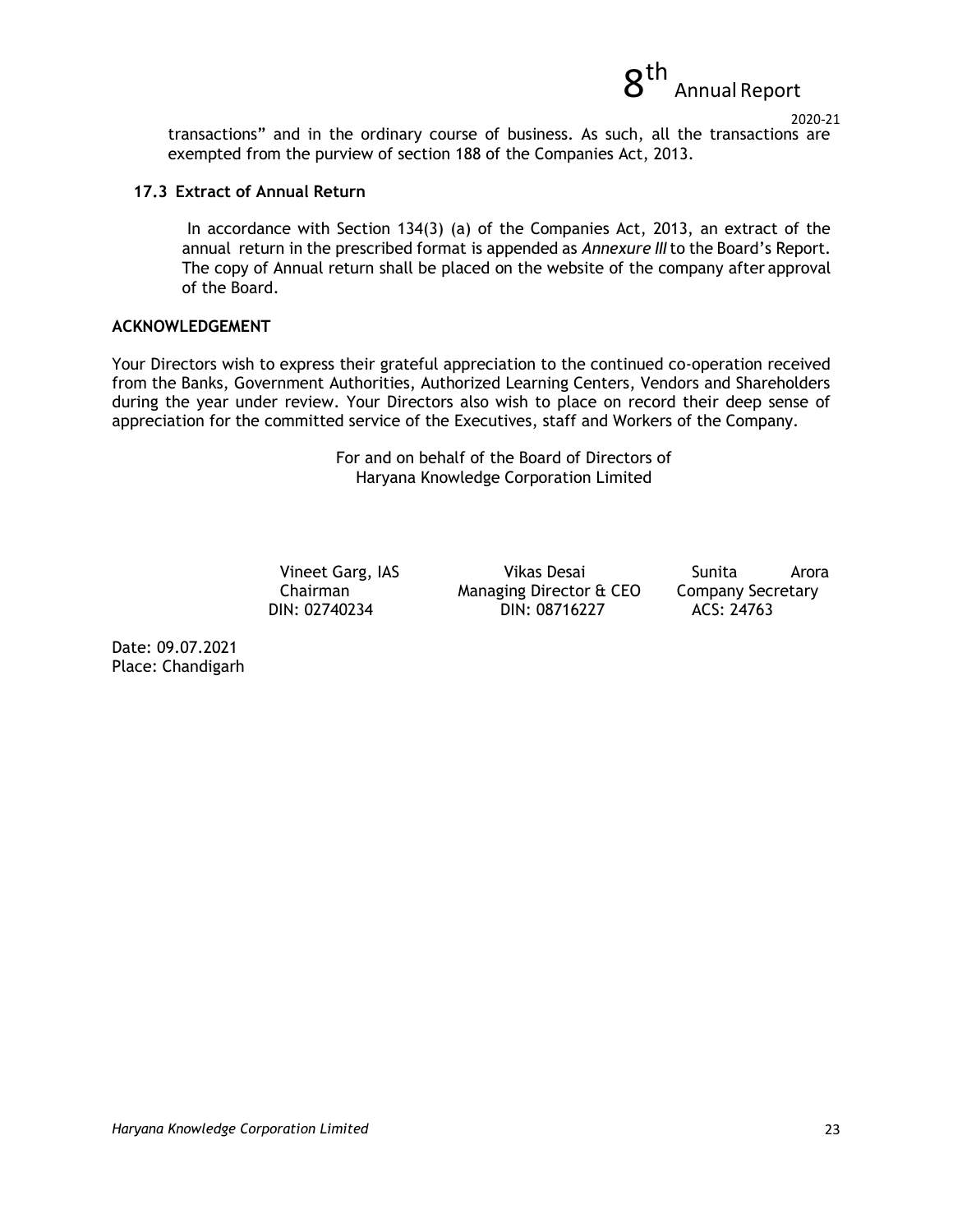

transactions" and in the ordinary course of business. As such, all the transactions are exempted from the purview of section 188 of the Companies Act, 2013.

#### **17.3 Extract of Annual Return**

In accordance with Section 134(3) (a) of the Companies Act, 2013, an extract of the annual return in the prescribed format is appended as *Annexure III*to the Board's Report. The copy of Annual return shall be placed on the website of the company after approval of the Board.

#### **ACKNOWLEDGEMENT**

Your Directors wish to express their grateful appreciation to the continued co-operation received from the Banks, Government Authorities, Authorized Learning Centers, Vendors and Shareholders during the year under review. Your Directors also wish to place on record their deep sense of appreciation for the committed service of the Executives, staff and Workers of the Company.

> For and on behalf of the Board of Directors of Haryana Knowledge Corporation Limited

Vineet Garg, IAS Vikas Desai Sunita Arora Chairman Managing Director & CEO Company Secretary DIN: 02740234 DIN: 08716227 ACS: 24763

Date: 09.07.2021 Place: Chandigarh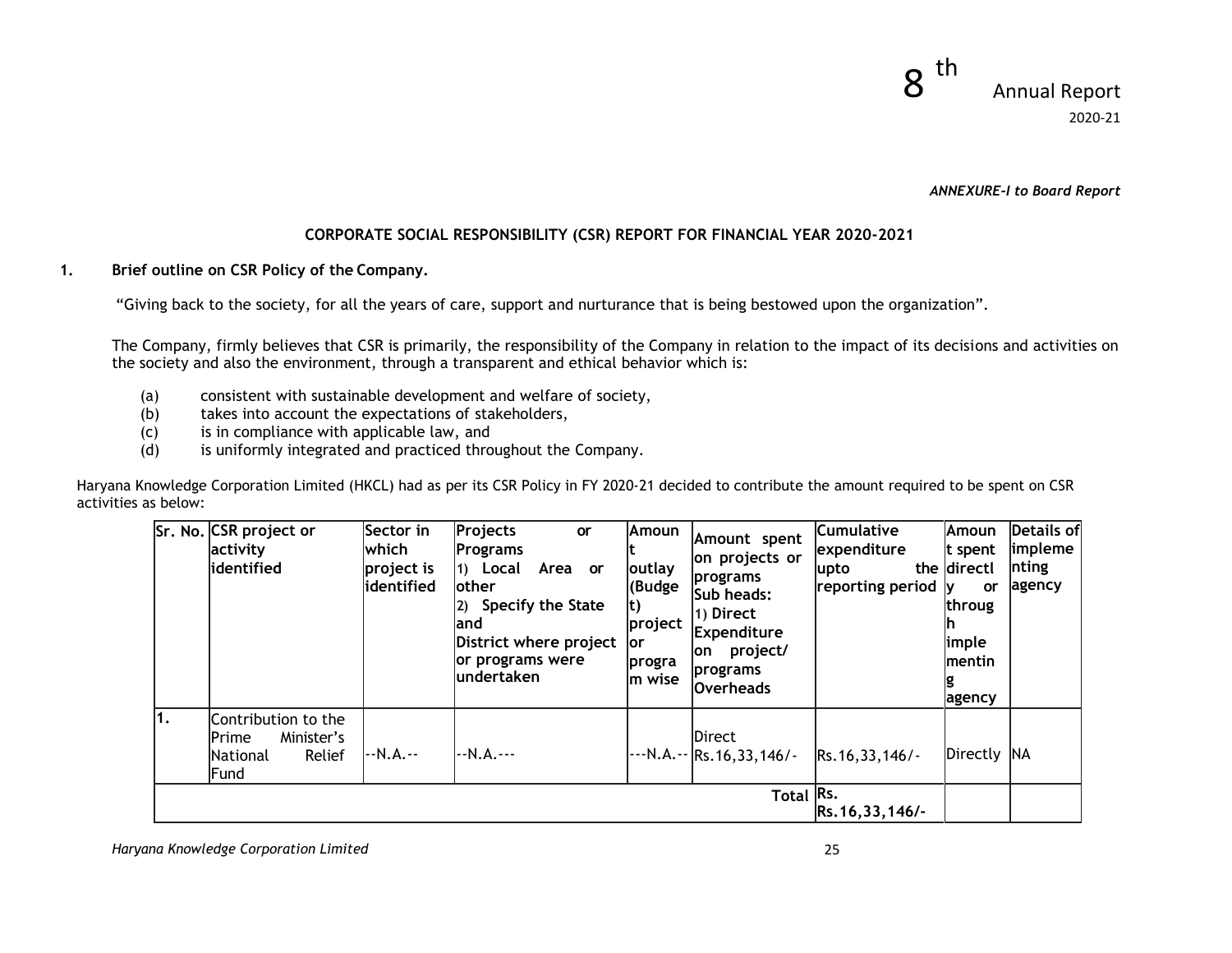

*ANNEXURE-I to Board Report*

#### **CORPORATE SOCIAL RESPONSIBILITY (CSR) REPORT FOR FINANCIAL YEAR 2020-2021**

#### **1. Brief outline on CSR Policy of the Company.**

"Giving back to the society, for all the years of care, support and nurturance that is being bestowed upon the organization".

The Company, firmly believes that CSR is primarily, the responsibility of the Company in relation to the impact of its decisions and activities on the society and also the environment, through a transparent and ethical behavior which is:

- (a) consistent with sustainable development and welfare of society,
- (b) takes into account the expectations of stakeholders,
- (c) is in compliance with applicable law, and
- (d) is uniformly integrated and practiced throughout the Company.

Haryana Knowledge Corporation Limited (HKCL) had as per its CSR Policy in FY 2020-21 decided to contribute the amount required to be spent on CSR activities as below:

|     | Sr. No. CSR project or<br>activity<br><b>lidentified</b>                          | Sector in<br>lwhich<br>project is<br>lidentified | Projects<br><b>or</b><br><b>Programs</b><br>1) Local<br>Area<br><b>or</b><br>lother<br>Specify the State<br>12).<br>land<br>District where project<br>or programs were<br>lundertaken | Amoun<br>outlay<br>Budge<br>lt)<br>project<br>lor<br>progra<br>m wise | Amount spent<br>on projects or<br>programs<br>Sub heads:<br>1) Direct<br><b>Expenditure</b><br>on project/<br>programs<br>lOverheads | <b>Cumulative</b><br>expenditure<br> upto<br>reporting period  y | Amoun<br>t spent<br>the directl<br>or<br> throug<br><i>imple</i><br>Imentin<br>Ig<br>agency | Details of<br><i>impleme</i><br><b>Inting</b><br><b>agency</b> |
|-----|-----------------------------------------------------------------------------------|--------------------------------------------------|---------------------------------------------------------------------------------------------------------------------------------------------------------------------------------------|-----------------------------------------------------------------------|--------------------------------------------------------------------------------------------------------------------------------------|------------------------------------------------------------------|---------------------------------------------------------------------------------------------|----------------------------------------------------------------|
| 11. | Contribution to the<br>Minister's<br>lPrime.<br>Relief<br><b>National</b><br>Fund | l--N.A.--                                        | l--N.A.---                                                                                                                                                                            |                                                                       | Direct<br>$\cdot$ - $\cdot$ N.A. $\cdot$ - Rs.16,33,146/-<br>Total Rs.                                                               | RS.16, 33, 146/<br>Rs. 16, 33, 146/-                             | Directly NA                                                                                 |                                                                |

*Haryana Knowledge Corporation Limited* 25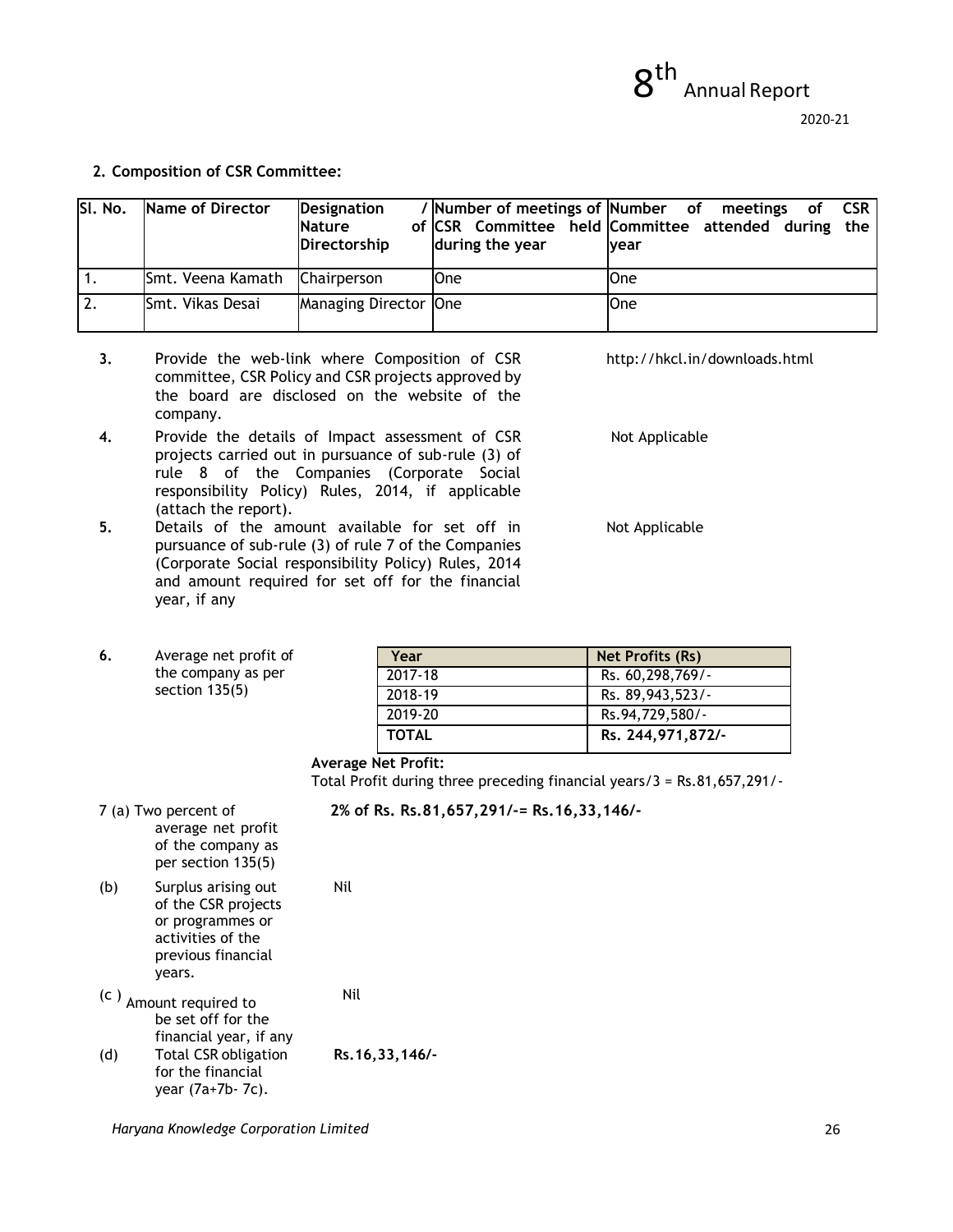**2. Composition of CSR Committee:**

| SI. No. | Name of Director              | Designation<br><b>Nature</b><br>Directorship | / Number of meetings of Number of<br>during the year | of CSR I<br>meetings<br>of CSR Committee held Committee attended during the<br>Ivear |
|---------|-------------------------------|----------------------------------------------|------------------------------------------------------|--------------------------------------------------------------------------------------|
|         | Smt. Veena Kamath Chairperson |                                              | lOne                                                 | <b>O</b> ne                                                                          |
| 2.      | Smt. Vikas Desai              | Managing Director One                        |                                                      | <b>One</b>                                                                           |

- **3.** Provide the web-link where Composition of CSR committee, CSR Policy and CSR projects approved by the board are disclosed on the website of the company.
- **4.** Provide the details of Impact assessment of CSR projects carried out in pursuance of sub-rule (3) of rule 8 of the Companies (Corporate Social responsibility Policy) Rules, 2014, if applicable (attach the report).
- **5.** Details of the amount available for set off in pursuance of sub-rule (3) of rule 7 of the Companies (Corporate Social responsibility Policy) Rules, 2014 and amount required for set off for the financial year, if any

<http://hkcl.in/downloads.html>

Not Applicable

Not Applicable

**6.** Average net profit of the company as per section 135(5)

| Year         | Net Profits (Rs)   |
|--------------|--------------------|
| 2017-18      | Rs. 60.298.769/-   |
| 2018-19      | Rs. 89, 943, 523/- |
| 2019-20      | Rs.94,729,580/-    |
| <b>TOTAL</b> | Rs. 244,971,872/-  |

**Average Net Profit:**

Total Profit during three preceding financial years/3 = Rs.81,657,291/-

**2% of Rs. Rs.81,657,291/-= Rs.16,33,146/-**

7 (a) Two percent of average net profit of the company as per section 135(5)

Nil

- (b) Surplus arising out of the CSR projects or programmes or activities of the previous financial years. (c ) Amount required to Nil
- be set off for the financial year, if any (d) Total CSR obligation for the financial year (7a+7b- 7c). **Rs.16,33,146/-**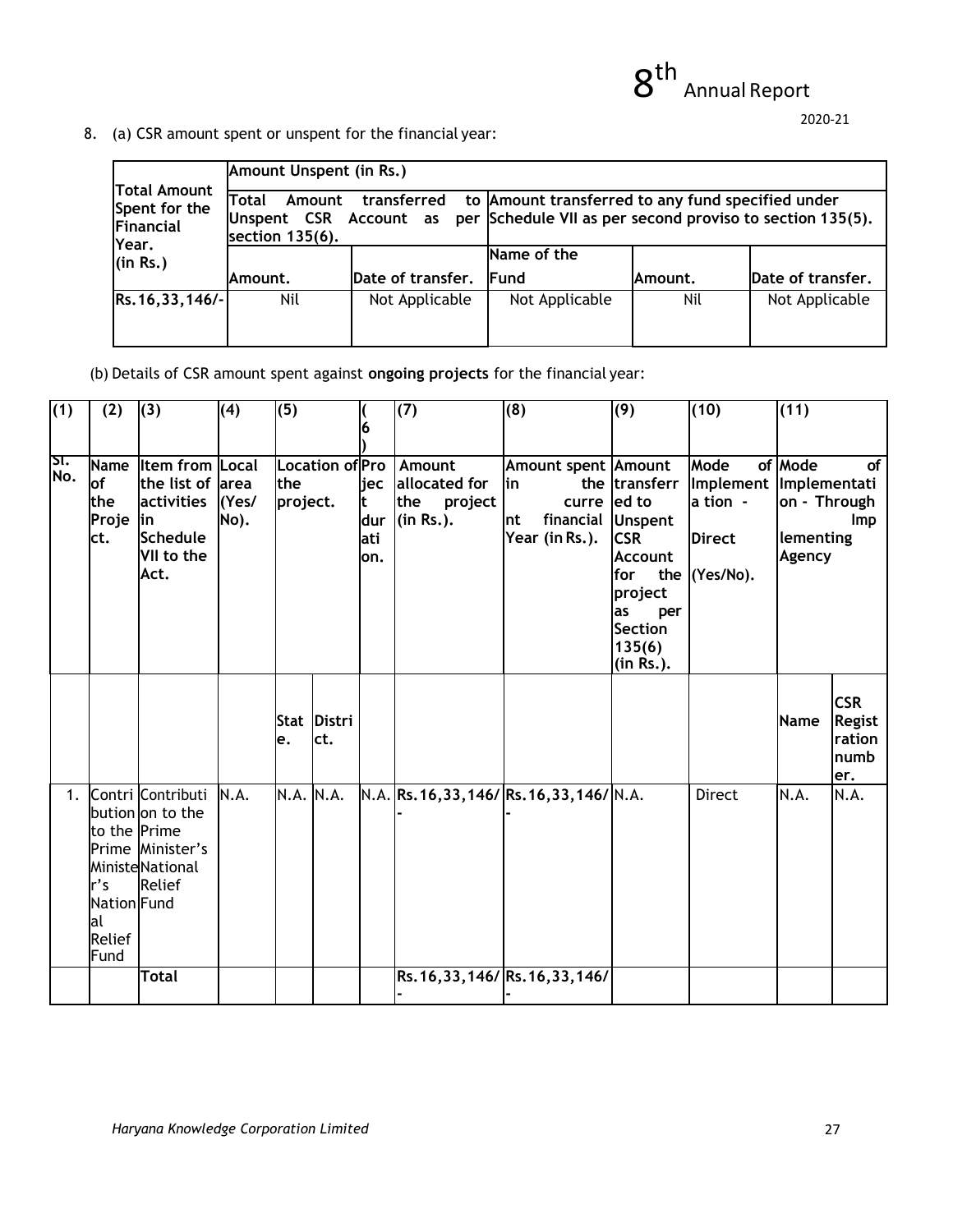

8. (a) CSR amount spent or unspent for the financial year:

| <b>Total Amount</b><br>Spent for the<br>Financial<br>Year. | Amount Unspent (in Rs.)                              |                           |                                                                                                                |          |                   |  |  |  |  |  |
|------------------------------------------------------------|------------------------------------------------------|---------------------------|----------------------------------------------------------------------------------------------------------------|----------|-------------------|--|--|--|--|--|
|                                                            | Total<br>Amount<br>Unspent CSR<br>section $135(6)$ . | transferred<br>Account as | to Amount transferred to any fund specified under<br>per Schedule VII as per second proviso to section 135(5). |          |                   |  |  |  |  |  |
| (in Rs.)                                                   |                                                      |                           | Name of the                                                                                                    |          |                   |  |  |  |  |  |
|                                                            | lAmount.                                             | Date of transfer.         | lFund                                                                                                          | lAmount. | Date of transfer. |  |  |  |  |  |
| Rs. 16, 33, 146/-                                          | Nil<br>Not Applicable                                |                           | Not Applicable                                                                                                 | Nil      | Not Applicable    |  |  |  |  |  |

(b) Details of CSR amount spent against **ongoing projects** for the financial year:

| (1)        | (2)                                                          | (3)                                                                                                     | (4)           | (5)             |                    | 6                                  | (7)                                                 | (8)                                                                                      | (9)                                                                                                                     | (10)                                                                       | (11)                                           |                                                      |
|------------|--------------------------------------------------------------|---------------------------------------------------------------------------------------------------------|---------------|-----------------|--------------------|------------------------------------|-----------------------------------------------------|------------------------------------------------------------------------------------------|-------------------------------------------------------------------------------------------------------------------------|----------------------------------------------------------------------------|------------------------------------------------|------------------------------------------------------|
| Sī.<br>No. | lof<br>the<br>Proje<br>lct.                                  | Name Item from Local<br>the list of larea<br>activities<br>lin<br><b>Schedule</b><br>VII to the<br>Act. | (Yes/<br>No). | the<br>project. | Location of Pro    | liec<br>It.<br>dur<br>lati<br>lon. | Amount<br>allocated for<br>the project<br>(in Rs.). | <b>Amount spent Amount</b><br>lin<br>curre<br>financial Unspent<br>Int<br>Year (in Rs.). | the transferr<br>ed to<br><b>CSR</b><br>Account<br>for<br>the<br>project<br>as<br>per<br>Section<br>135(6)<br>(in Rs.). | Mode<br>Implement   Implementati<br>a tion -<br><b>Direct</b><br>(Yes/No). | of Mode<br>on - Through<br>lementing<br>Agency | of<br><b>Imp</b>                                     |
|            |                                                              |                                                                                                         |               | e.              | Stat Distri<br>ct. |                                    |                                                     |                                                                                          |                                                                                                                         |                                                                            | Name                                           | <b>CSR</b><br><b>Regist</b><br>ration<br>numb<br>er. |
| 1.         | to the Prime<br>lr's<br>Nation Fund<br>lal<br>Relief<br>Fund | Contri Contributi N.A.<br>bution on to the<br>Prime Minister's<br><b>Ministe National</b><br>Relief     |               | N.A. N.A.       |                    |                                    |                                                     | $N.A.$ Rs. 16, 33, 146/ Rs. 16, 33, 146/ N.A.                                            |                                                                                                                         | <b>Direct</b>                                                              | N.A.                                           | N.A.                                                 |
|            |                                                              | <b>Total</b>                                                                                            |               |                 |                    |                                    |                                                     | Rs. 16, 33, 146/Rs. 16, 33, 146/                                                         |                                                                                                                         |                                                                            |                                                |                                                      |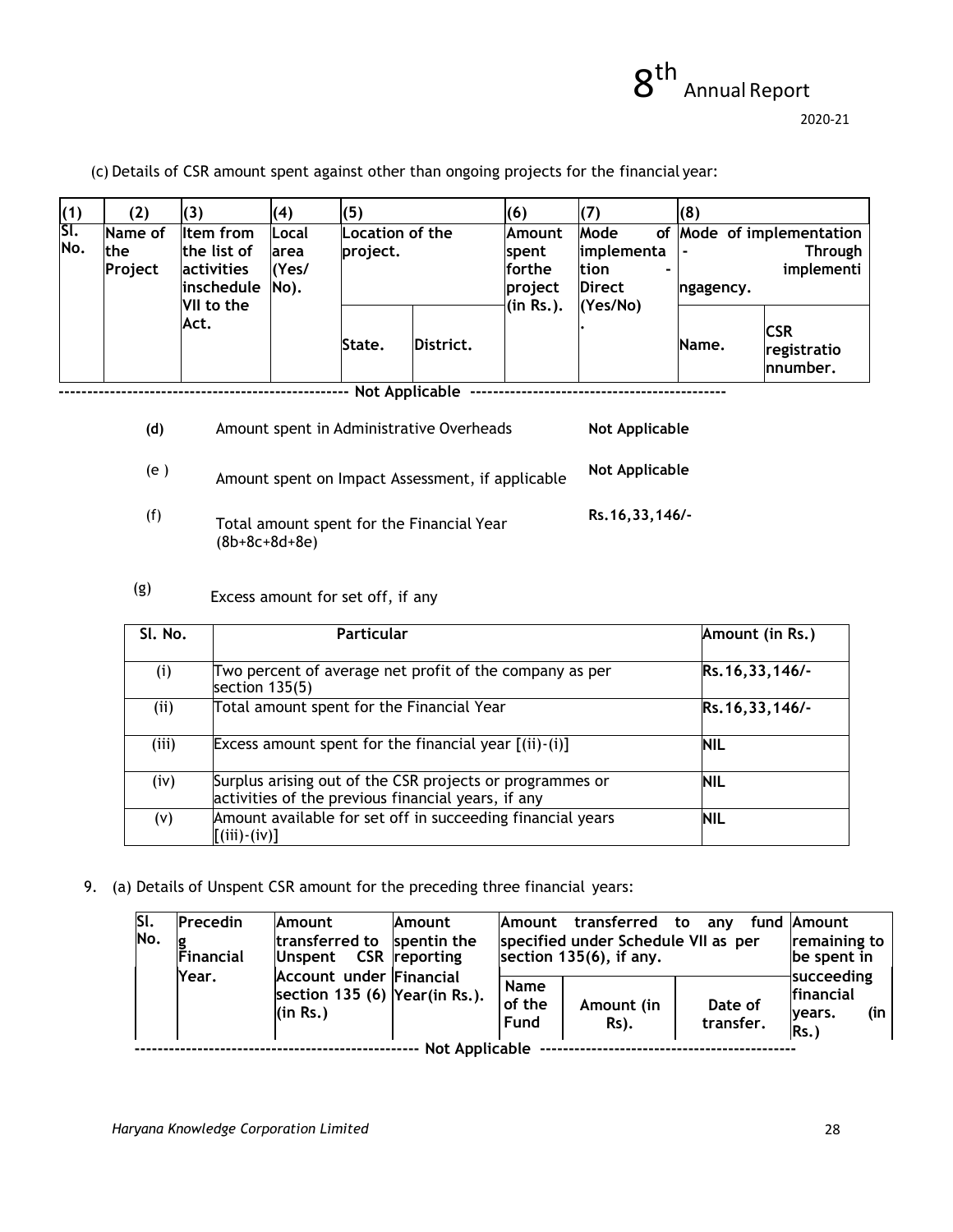

(c) Details of CSR amount spent against other than ongoing projects for the financial year:

| $\frac{(1)}{SI}$ | (2)                        | (3)                                                  | (4)                            | (5)                         |           | (6)                                         |                                                    | (8) |           |                                                    |
|------------------|----------------------------|------------------------------------------------------|--------------------------------|-----------------------------|-----------|---------------------------------------------|----------------------------------------------------|-----|-----------|----------------------------------------------------|
| No.              | Name of<br>lthe<br>Project | Item from<br>the list of<br>activities<br>inschedule | Local<br>area<br>(Yes/<br>No). | Location of the<br>project. |           | <b>Amount</b><br>spent<br>forthe<br>project | Mode<br><i>implementa</i><br>tion<br><b>Direct</b> |     | ngagency. | of Mode of implementation<br>Through<br>implementi |
|                  |                            | VII to the<br>Act.                                   |                                | State.                      | District. | (in Rs.).                                   | (Yes/No)                                           |     | Name.     | <b>CSR</b><br>registratio<br>Innumber.             |
|                  |                            |                                                      |                                | Not Applicable              |           |                                             |                                                    |     |           |                                                    |

| (d) | Amount spent in Administrative Overheads                     | Not Applicable    |
|-----|--------------------------------------------------------------|-------------------|
| (e) | Amount spent on Impact Assessment, if applicable             | Not Applicable    |
| (f) | Total amount spent for the Financial Year<br>$(8b+8c+8d+8e)$ | Rs. 16, 33, 146/- |

# (g) Excess amount for set off, if any

| SI. No. | <b>Particular</b>                                                                                              | Amount (in Rs.)   |
|---------|----------------------------------------------------------------------------------------------------------------|-------------------|
| (i)     | Two percent of average net profit of the company as per<br>section $135(5)$                                    | Rs. 16, 33, 146/- |
| (i)     | Total amount spent for the Financial Year                                                                      | Rs. 16, 33, 146/- |
| (iii)   | Excess amount spent for the financial year $[(ii)-(i)]$                                                        | <b>NIL</b>        |
| (iv)    | Surplus arising out of the CSR projects or programmes or<br>activities of the previous financial years, if any | <b>NIL</b>        |
| (v)     | Amount available for set off in succeeding financial years<br>$[(iii)-(iv)]$                                   | <b>NIL</b>        |

9. (a) Details of Unspent CSR amount for the preceding three financial years:

| Name<br>section $135(6)$ Year(in Rs.).<br><b>Ifinancial</b>                    | $\overline{\mathsf{SL}}$<br>No. | <b>Precedin</b><br>Financial | <b>Amount</b><br>transferred to<br>Unspent CSR reporting | <b>Amount</b><br>spentin the |        | Amount transferred to<br>specified under Schedule VII as per<br>section $135(6)$ , if any. | anv     | fund lAmount<br>remaining to<br>be spent in |
|--------------------------------------------------------------------------------|---------------------------------|------------------------------|----------------------------------------------------------|------------------------------|--------|--------------------------------------------------------------------------------------------|---------|---------------------------------------------|
| vears.<br><b>Fund</b><br>transfer.<br>Rs).<br>$Rs.$ )<br><b>Not Applicable</b> |                                 | Year.                        | Account under Financial<br>(in Rs.)                      |                              | of the | Amount (in                                                                                 | Date of | succeeding<br>(in                           |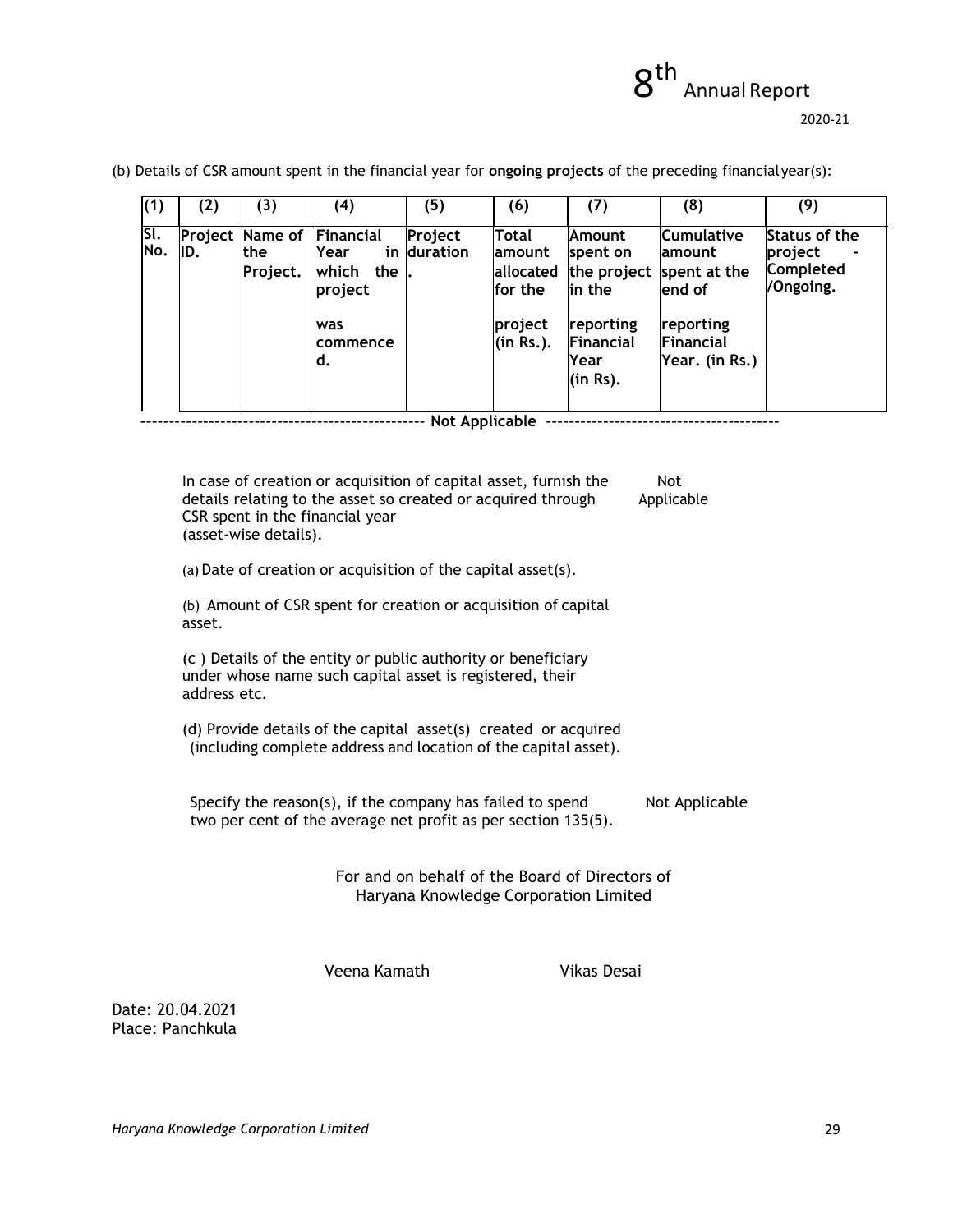

| (1)         | (2)  | (3)                                        | (4)                                                                    | (5)                    | (6)                                                | (7)                                                                                                        | (8)                                                                                                | (9)                                                                  |
|-------------|------|--------------------------------------------|------------------------------------------------------------------------|------------------------|----------------------------------------------------|------------------------------------------------------------------------------------------------------------|----------------------------------------------------------------------------------------------------|----------------------------------------------------------------------|
| IST.<br>No. | IID. | <b>Project Name of</b><br>lthe<br>Project. | Financial<br>Year<br>which<br>the<br>project<br>was<br>commence<br>Id. | Project<br>in duration | Total<br>amount<br>for the<br>project<br>(in Rs.). | <b>Amount</b><br>spent on<br>allocated the project<br>in the<br>reporting<br>Financial<br>Year<br>(in Rs). | <b>Cumulative</b><br>lamount<br>spent at the<br>end of<br>reporting<br>Financial<br>Year. (in Rs.) | Status of the<br>project<br>$\blacksquare$<br>Completed<br>/Ongoing. |

(b) Details of CSR amount spent in the financial year for **ongoing projects** of the preceding financialyear(s):

**-------------------------------------------------- Not Applicable -----------------------------------------**

In case of creation or acquisition of capital asset, furnish the details relating to the asset so created or acquired through CSR spent in the financial year (asset-wise details). Not Applicable

(a) Date of creation or acquisition of the capital asset(s).

(b) Amount of CSR spent for creation or acquisition of capital asset.

(c ) Details of the entity or public authority or beneficiary under whose name such capital asset is registered, their address etc.

(d) Provide details of the capital asset(s) created or acquired (including complete address and location of the capital asset).

Specify the reason(s), if the company has failed to spend two per cent of the average net profit as per section 135(5). Not Applicable

> For and on behalf of the Board of Directors of Haryana Knowledge Corporation Limited

Veena Kamath Vikas Desai

Date: 20.04.2021 Place: Panchkula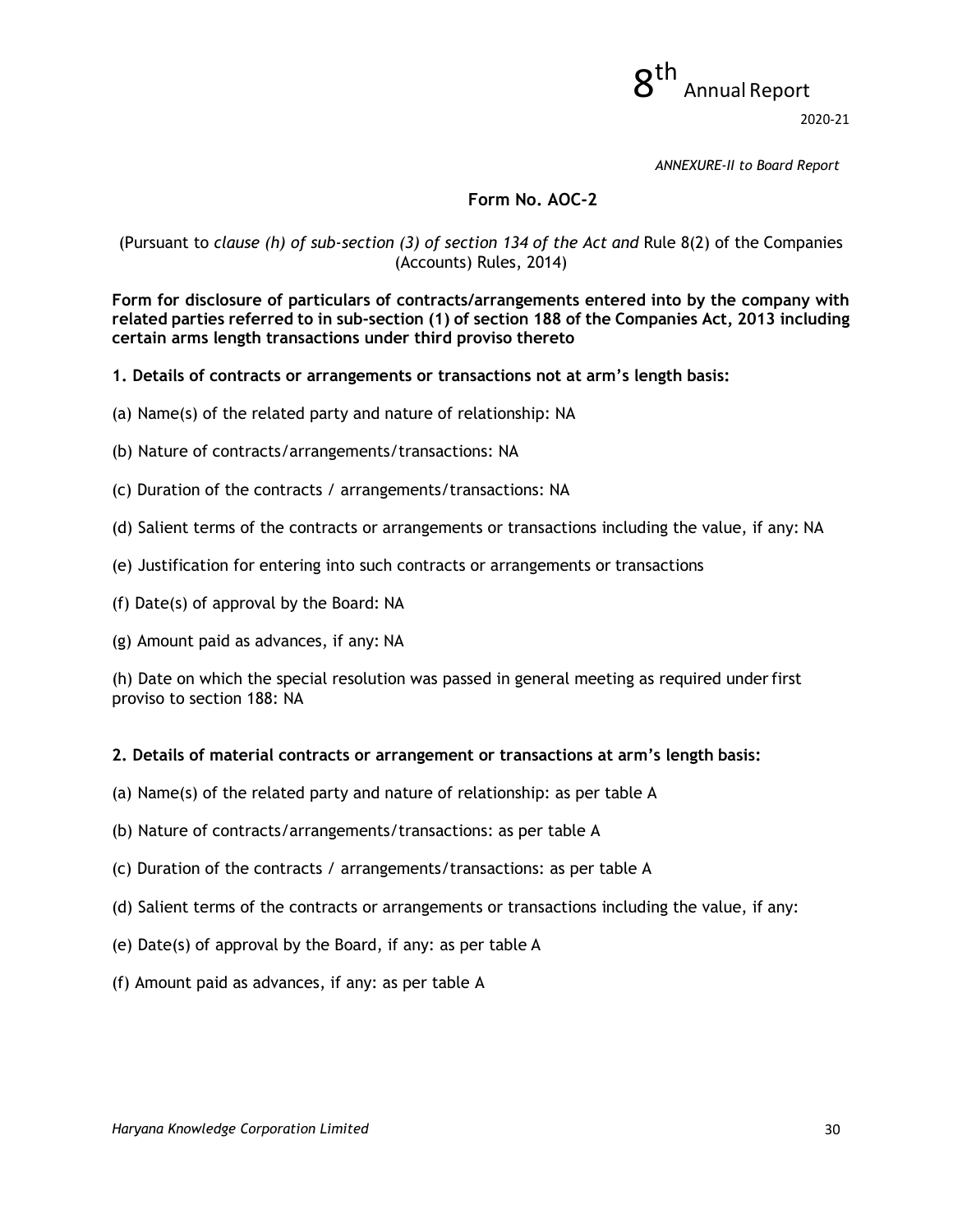

*ANNEXURE-II to Board Report*

## **Form No. AOC-2**

(Pursuant to *clause (h) of sub-section (3) of section 134 of the Act and* Rule 8(2) of the Companies (Accounts) Rules, 2014)

**Form for disclosure of particulars of contracts/arrangements entered into by the company with related parties referred to in sub-section (1) of section 188 of the Companies Act, 2013 including certain arms length transactions under third proviso thereto**

**1. Details of contracts or arrangements or transactions not at arm's length basis:**

- (a) Name(s) of the related party and nature of relationship: NA
- (b) Nature of contracts/arrangements/transactions: NA
- (c) Duration of the contracts / arrangements/transactions: NA
- (d) Salient terms of the contracts or arrangements or transactions including the value, if any: NA
- (e) Justification for entering into such contracts or arrangements or transactions
- (f) Date(s) of approval by the Board: NA
- (g) Amount paid as advances, if any: NA

(h) Date on which the special resolution was passed in general meeting as required underfirst proviso to section 188: NA

#### **2. Details of material contracts or arrangement or transactions at arm's length basis:**

- (a) Name(s) of the related party and nature of relationship: as per table A
- (b) Nature of contracts/arrangements/transactions: as per table A
- (c) Duration of the contracts / arrangements/transactions: as per table A
- (d) Salient terms of the contracts or arrangements or transactions including the value, if any:
- (e) Date(s) of approval by the Board, if any: as per table A
- (f) Amount paid as advances, if any: as per table A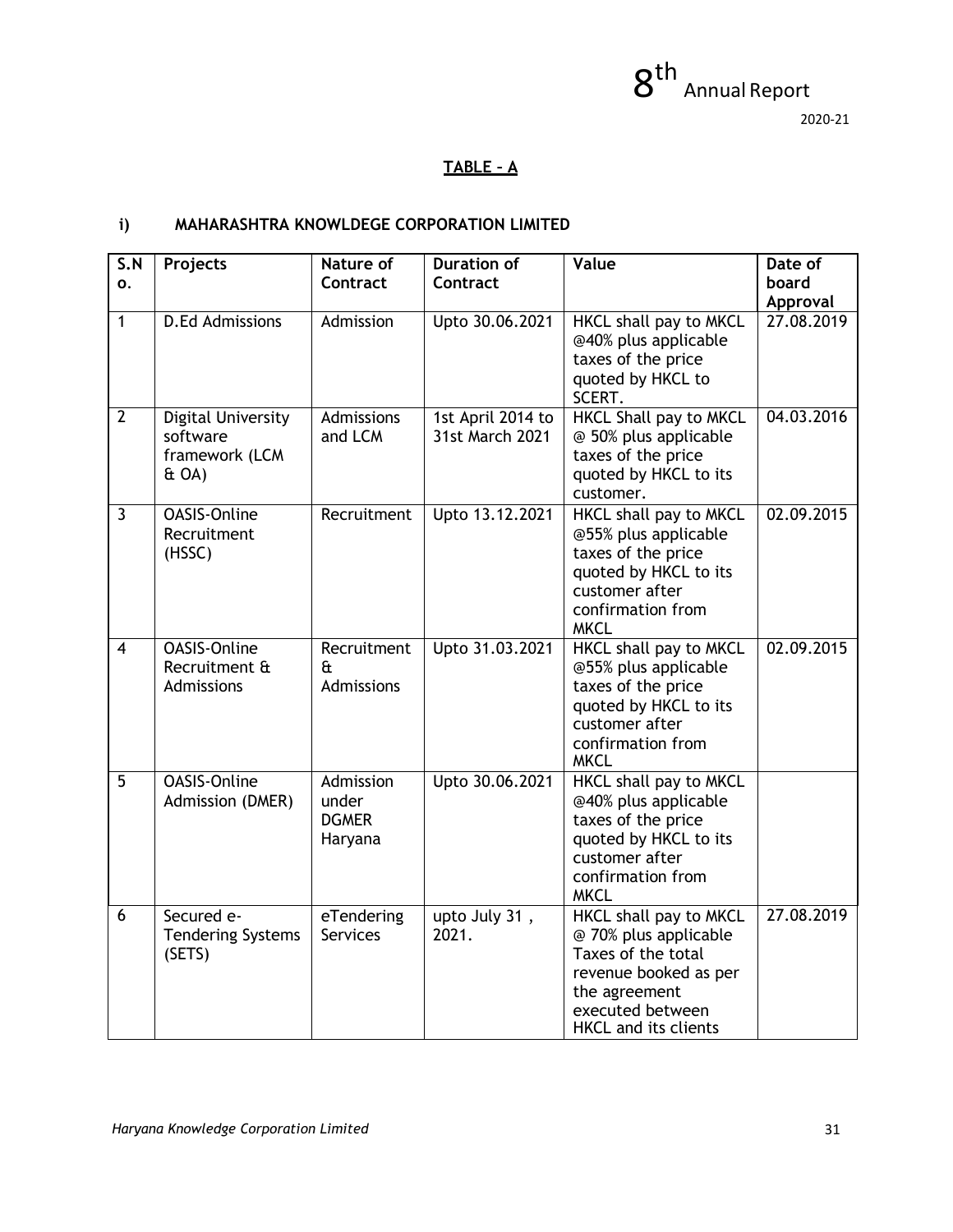# $8^{\text{th}}$ Annual Report

2020-21

## **TABLE – A**

## **i) MAHARASHTRA KNOWLDEGE CORPORATION LIMITED**

| S.N<br>Ο.      | Projects                                                       | Nature of<br>Contract                         | <b>Duration of</b><br>Contract       | Value                                                                                                                                                              | Date of<br>board<br>Approval |
|----------------|----------------------------------------------------------------|-----------------------------------------------|--------------------------------------|--------------------------------------------------------------------------------------------------------------------------------------------------------------------|------------------------------|
| $\mathbf{1}$   | <b>D.Ed Admissions</b>                                         | Admission                                     | Upto 30.06.2021                      | HKCL shall pay to MKCL<br>@40% plus applicable<br>taxes of the price<br>quoted by HKCL to<br>SCERT.                                                                | 27.08.2019                   |
| $\mathbf{2}$   | Digital University<br>software<br>framework (LCM<br>$f(x)$ OA) | Admissions<br>and LCM                         | 1st April 2014 to<br>31st March 2021 | HKCL Shall pay to MKCL<br>@ 50% plus applicable<br>taxes of the price<br>quoted by HKCL to its<br>customer.                                                        | 04.03.2016                   |
| $\overline{3}$ | OASIS-Online<br>Recruitment<br>(HSSC)                          | Recruitment                                   | Upto 13.12.2021                      | HKCL shall pay to MKCL<br>@55% plus applicable<br>taxes of the price<br>quoted by HKCL to its<br>customer after<br>confirmation from<br><b>MKCL</b>                | 02.09.2015                   |
| $\overline{4}$ | OASIS-Online<br>Recruitment &<br>Admissions                    | Recruitment<br>£<br>Admissions                | Upto 31.03.2021                      | HKCL shall pay to MKCL<br>@55% plus applicable<br>taxes of the price<br>quoted by HKCL to its<br>customer after<br>confirmation from<br><b>MKCL</b>                | 02.09.2015                   |
| 5              | OASIS-Online<br>Admission (DMER)                               | Admission<br>under<br><b>DGMER</b><br>Haryana | Upto 30.06.2021                      | HKCL shall pay to MKCL<br>@40% plus applicable<br>taxes of the price<br>quoted by HKCL to its<br>customer after<br>confirmation from<br><b>MKCL</b>                |                              |
| $\overline{6}$ | Secured e-<br><b>Tendering Systems</b><br>(SETS)               | eTendering<br><b>Services</b>                 | upto July 31,<br>2021.               | <b>HKCL shall pay to MKCL</b><br>@ 70% plus applicable<br>Taxes of the total<br>revenue booked as per<br>the agreement<br>executed between<br>HKCL and its clients | 27.08.2019                   |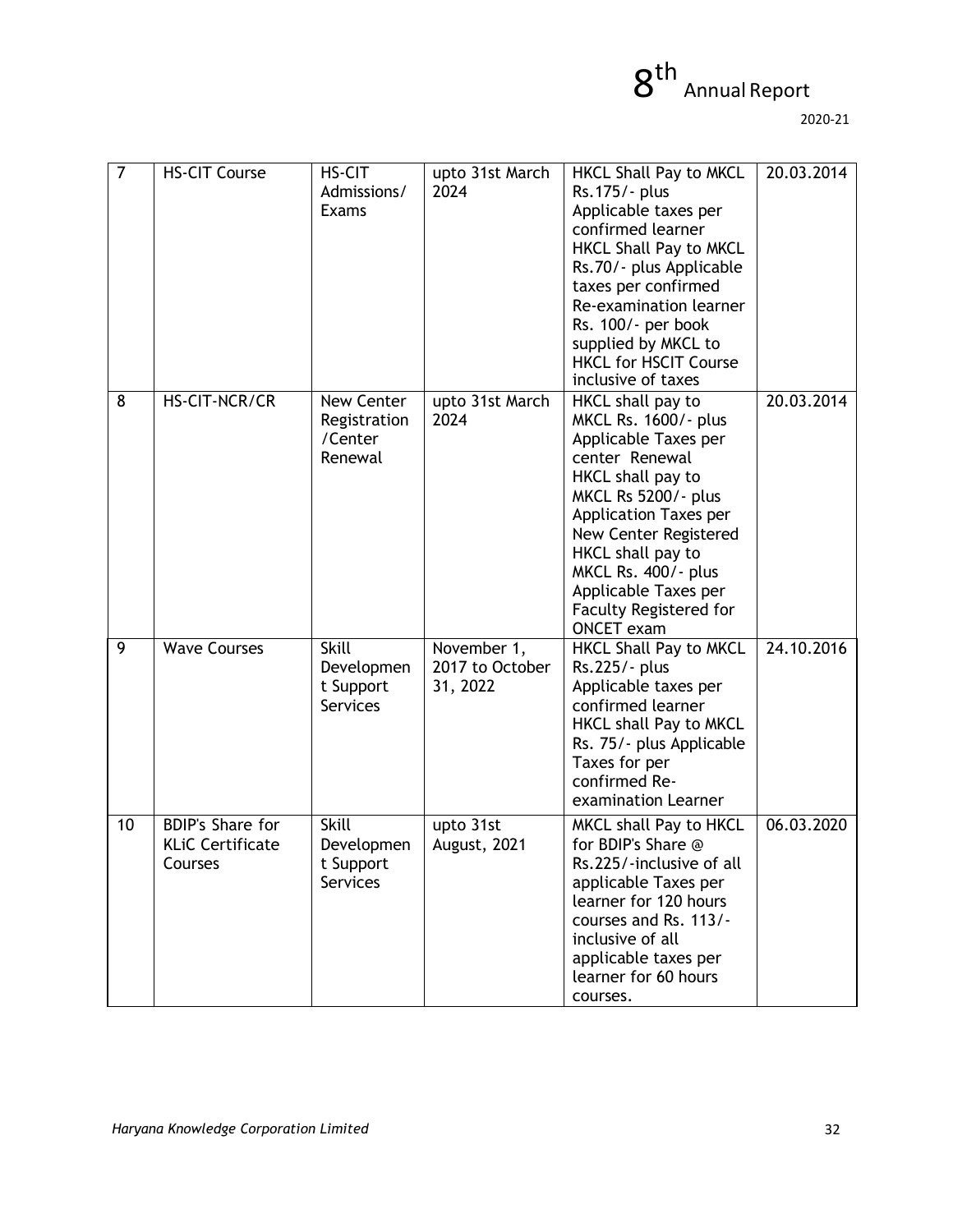

| $\overline{7}$ | <b>HS-CIT Course</b>                                          | <b>HS-CIT</b><br>Admissions/<br>Exams                      | upto 31st March<br>2024                    | <b>HKCL Shall Pay to MKCL</b><br>Rs. 175/- plus<br>Applicable taxes per<br>confirmed learner<br>HKCL Shall Pay to MKCL<br>Rs.70/- plus Applicable<br>taxes per confirmed<br>Re-examination learner<br>Rs. 100/- per book<br>supplied by MKCL to<br><b>HKCL for HSCIT Course</b><br>inclusive of taxes              | 20.03.2014 |
|----------------|---------------------------------------------------------------|------------------------------------------------------------|--------------------------------------------|--------------------------------------------------------------------------------------------------------------------------------------------------------------------------------------------------------------------------------------------------------------------------------------------------------------------|------------|
| 8              | HS-CIT-NCR/CR                                                 | New Center<br>Registration<br>/Center<br>Renewal           | upto 31st March<br>2024                    | HKCL shall pay to<br>MKCL Rs. 1600/- plus<br>Applicable Taxes per<br>center Renewal<br>HKCL shall pay to<br>MKCL Rs 5200/- plus<br><b>Application Taxes per</b><br>New Center Registered<br>HKCL shall pay to<br>MKCL Rs. 400/- plus<br>Applicable Taxes per<br><b>Faculty Registered for</b><br><b>ONCET</b> exam | 20.03.2014 |
| 9              | <b>Wave Courses</b>                                           | Skill<br>Developmen<br>t Support<br><b>Services</b>        | November 1,<br>2017 to October<br>31, 2022 | <b>HKCL Shall Pay to MKCL</b><br>Rs.225/- plus<br>Applicable taxes per<br>confirmed learner<br><b>HKCL shall Pay to MKCL</b><br>Rs. 75/- plus Applicable<br>Taxes for per<br>confirmed Re-<br>examination Learner                                                                                                  | 24.10.2016 |
| 10             | <b>BDIP's Share for</b><br><b>KLiC Certificate</b><br>Courses | <b>Skill</b><br>Developmen<br>t Support<br><b>Services</b> | upto 31st<br>August, 2021                  | MKCL shall Pay to HKCL<br>for BDIP's Share @<br>Rs.225/-inclusive of all<br>applicable Taxes per<br>learner for 120 hours<br>courses and Rs. 113/-<br>inclusive of all<br>applicable taxes per<br>learner for 60 hours<br>courses.                                                                                 | 06.03.2020 |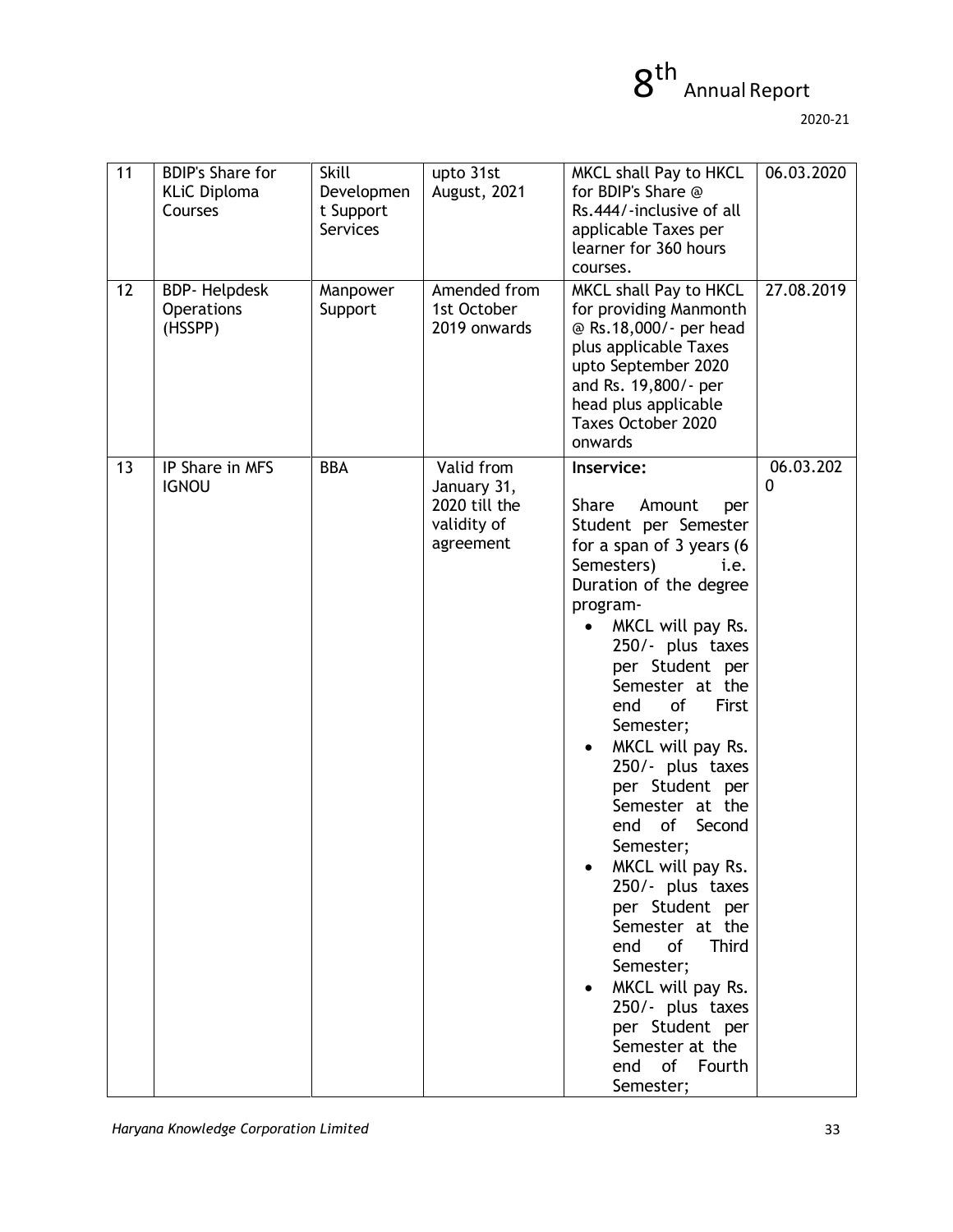

| 11<br>12 | <b>BDIP's Share for</b><br><b>KLiC Diploma</b><br>Courses<br><b>BDP-Helpdesk</b><br><b>Operations</b><br>(HSSPP) | Skill<br>Developmen<br>t Support<br><b>Services</b><br>Manpower<br>Support | upto 31st<br>August, 2021<br>Amended from<br>1st October<br>2019 onwards | MKCL shall Pay to HKCL<br>for BDIP's Share @<br>Rs.444/-inclusive of all<br>applicable Taxes per<br>learner for 360 hours<br>courses.<br>MKCL shall Pay to HKCL<br>for providing Manmonth<br>@ Rs.18,000/- per head<br>plus applicable Taxes<br>upto September 2020<br>and Rs. 19,800/- per<br>head plus applicable<br>Taxes October 2020<br>onwards                                                                                                                                                                                                                                                                                                 | 06.03.2020<br>27.08.2019 |
|----------|------------------------------------------------------------------------------------------------------------------|----------------------------------------------------------------------------|--------------------------------------------------------------------------|------------------------------------------------------------------------------------------------------------------------------------------------------------------------------------------------------------------------------------------------------------------------------------------------------------------------------------------------------------------------------------------------------------------------------------------------------------------------------------------------------------------------------------------------------------------------------------------------------------------------------------------------------|--------------------------|
| 13       | IP Share in MFS<br><b>IGNOU</b>                                                                                  | <b>BBA</b>                                                                 | Valid from<br>January 31,<br>2020 till the<br>validity of<br>agreement   | Inservice:<br>Share<br>Amount<br>per<br>Student per Semester<br>for a span of 3 years (6<br>Semesters)<br>i.e.<br>Duration of the degree<br>program-<br>MKCL will pay Rs.<br>250/- plus taxes<br>per Student per<br>Semester at the<br>0f<br><b>First</b><br>end<br>Semester;<br>MKCL will pay Rs.<br>250/- plus taxes<br>per Student per<br>Semester at the<br>end<br>of<br>Second<br>Semester;<br>MKCL will pay Rs.<br>250/- plus taxes<br>per Student per<br>Semester at the<br><b>Third</b><br>end<br><sub>of</sub><br>Semester;<br>MKCL will pay Rs.<br>250/- plus taxes<br>per Student per<br>Semester at the<br>of Fourth<br>end<br>Semester; | 06.03.202<br>0           |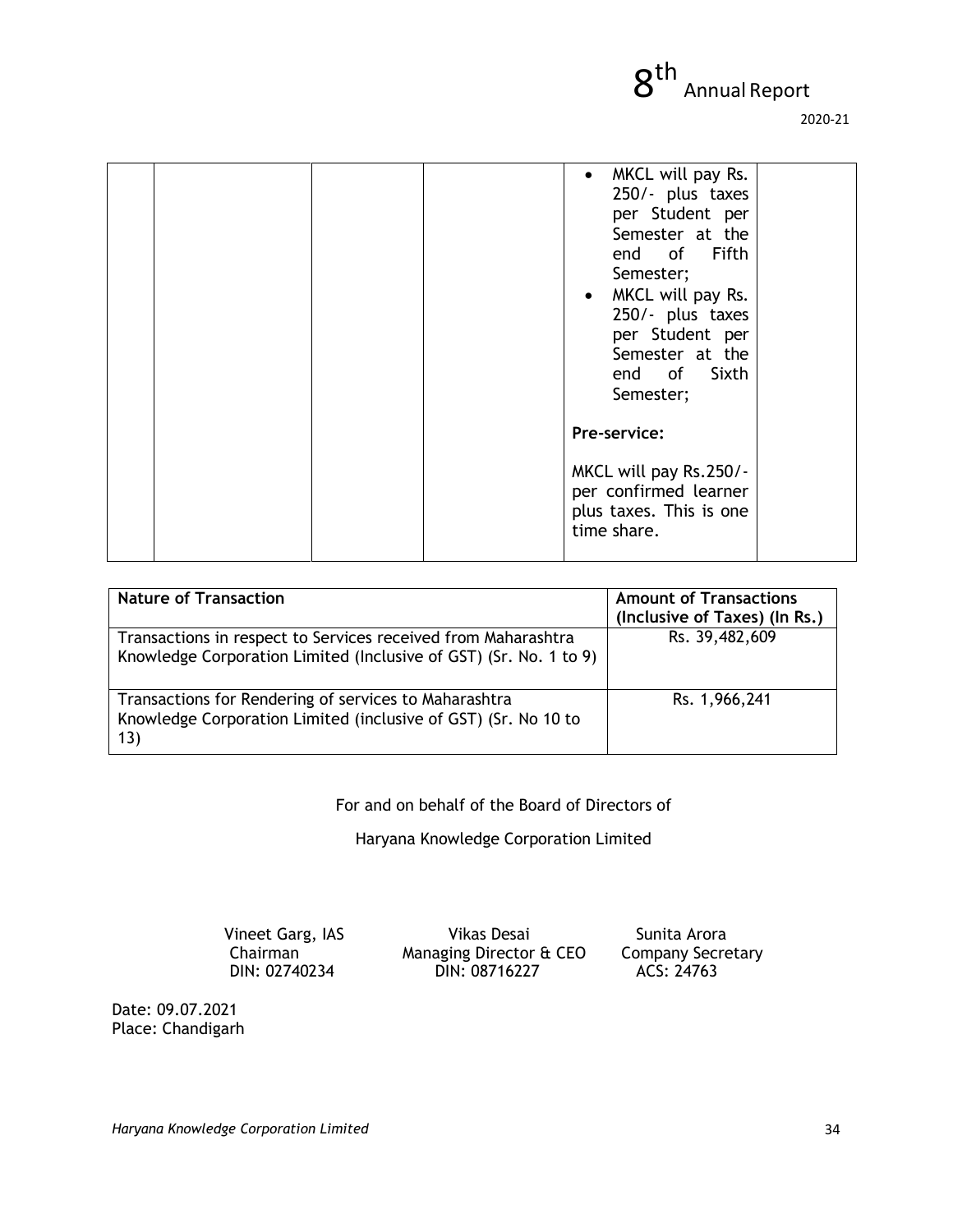

|  |  | MKCL will pay Rs.<br>$\bullet$ |  |
|--|--|--------------------------------|--|
|  |  | 250/- plus taxes               |  |
|  |  | per Student per                |  |
|  |  | Semester at the                |  |
|  |  | end of Fifth                   |  |
|  |  | Semester;                      |  |
|  |  | MKCL will pay Rs.<br>$\bullet$ |  |
|  |  | 250/- plus taxes               |  |
|  |  | per Student per                |  |
|  |  | Semester at the                |  |
|  |  | end of Sixth                   |  |
|  |  | Semester;                      |  |
|  |  |                                |  |
|  |  | Pre-service:                   |  |
|  |  |                                |  |
|  |  | MKCL will pay Rs.250/-         |  |
|  |  | per confirmed learner          |  |
|  |  | plus taxes. This is one        |  |
|  |  | time share.                    |  |
|  |  |                                |  |
|  |  |                                |  |

| <b>Nature of Transaction</b>                                                                                                       | <b>Amount of Transactions</b><br>(Inclusive of Taxes) (In Rs.) |
|------------------------------------------------------------------------------------------------------------------------------------|----------------------------------------------------------------|
| Transactions in respect to Services received from Maharashtra<br>Knowledge Corporation Limited (Inclusive of GST) (Sr. No. 1 to 9) | Rs. 39,482,609                                                 |
| Transactions for Rendering of services to Maharashtra<br>Knowledge Corporation Limited (inclusive of GST) (Sr. No 10 to<br>13)     | Rs. 1,966,241                                                  |

## For and on behalf of the Board of Directors of

Haryana Knowledge Corporation Limited

Vineet Garg, IAS Chairman<br>DIN: 02740234

Vikas Desai Managing Director & CEO DIN: 02740234 DIN: 08716227 ACS: 24763

Sunita Arora Company Secretary<br>ACS: 24763

Date: 09.07.2021 Place: Chandigarh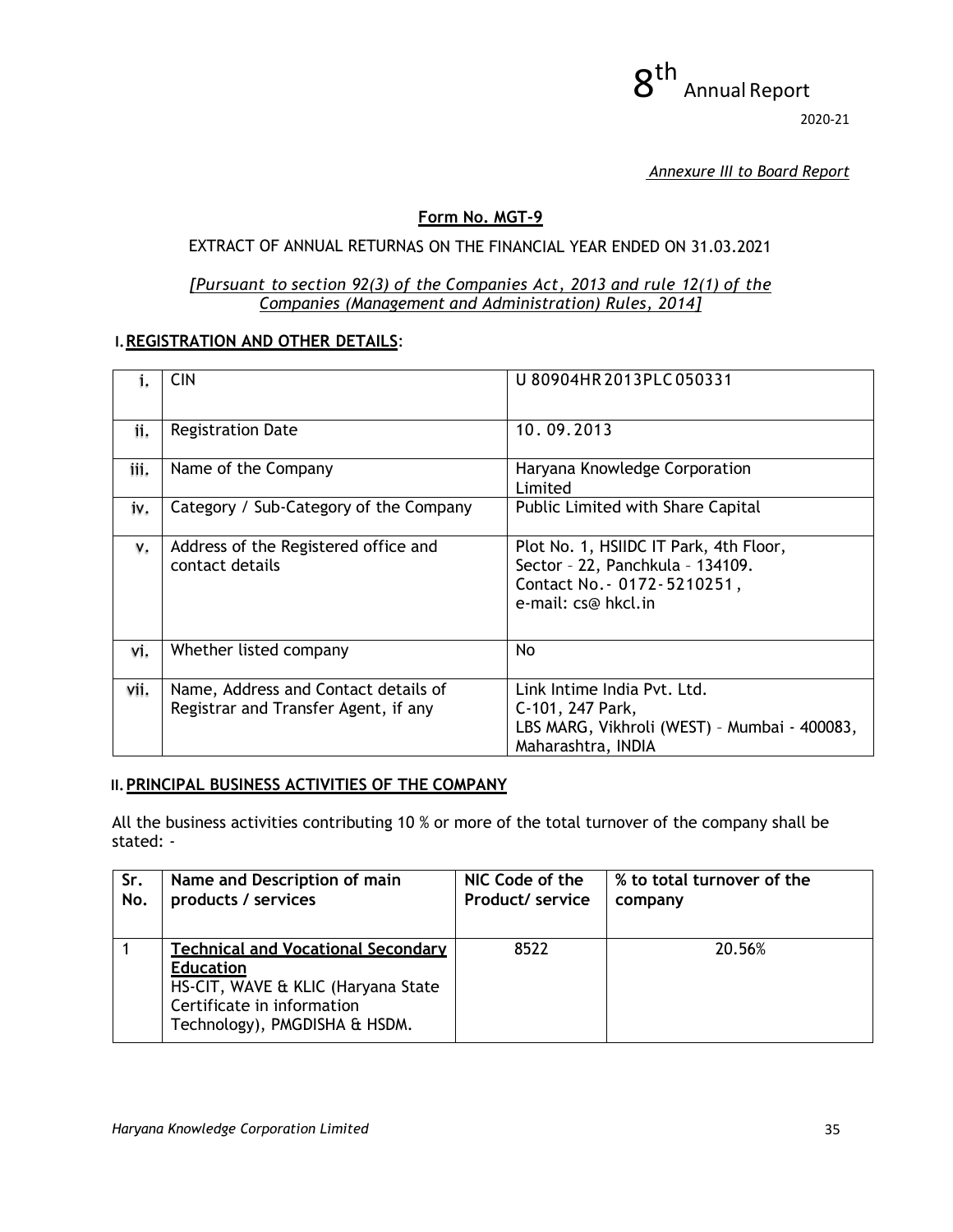$8^{\text{th}}$ Annual Report

2020-21

*Annexure III to Board Report*

## **Form No. MGT-9**

## EXTRACT OF ANNUAL RETURNAS ON THE FINANCIAL YEAR ENDED ON 31.03.2021

### *[Pursuant to section 92(3) of the Companies Act, 2013 and rule 12(1) of the Companies (Management and Administration) Rules, 2014]*

## **I.REGISTRATION AND OTHER DETAILS**:

|      | <b>CIN</b>                                                                   | U80904HR2013PLC050331                                                                                                              |
|------|------------------------------------------------------------------------------|------------------------------------------------------------------------------------------------------------------------------------|
| ii.  | <b>Registration Date</b>                                                     | 10.09.2013                                                                                                                         |
| iii. | Name of the Company                                                          | Haryana Knowledge Corporation<br>Limited                                                                                           |
| iv.  | Category / Sub-Category of the Company                                       | <b>Public Limited with Share Capital</b>                                                                                           |
| ٧.   | Address of the Registered office and<br>contact details                      | Plot No. 1, HSIIDC IT Park, 4th Floor,<br>Sector - 22, Panchkula - 134109.<br>Contact No. - 0172 - 5210251,<br>e-mail: cs@ hkcl.in |
| vi.  | Whether listed company                                                       | No.                                                                                                                                |
| vii. | Name, Address and Contact details of<br>Registrar and Transfer Agent, if any | Link Intime India Pvt. Ltd.<br>C-101, 247 Park,<br>LBS MARG, Vikhroli (WEST) - Mumbai - 400083,<br>Maharashtra, INDIA              |

#### **II.PRINCIPAL BUSINESS ACTIVITIES OF THE COMPANY**

All the business activities contributing 10 % or more of the total turnover of the company shall be stated: -

| Sr. | Name and Description of main                                                                                                                                       | NIC Code of the         | % to total turnover of the |
|-----|--------------------------------------------------------------------------------------------------------------------------------------------------------------------|-------------------------|----------------------------|
| No. | products / services                                                                                                                                                | <b>Product/ service</b> | company                    |
|     | <b>Technical and Vocational Secondary</b><br><b>Education</b><br>HS-CIT, WAVE & KLIC (Haryana State<br>Certificate in information<br>Technology), PMGDISHA & HSDM. | 8522                    | 20.56%                     |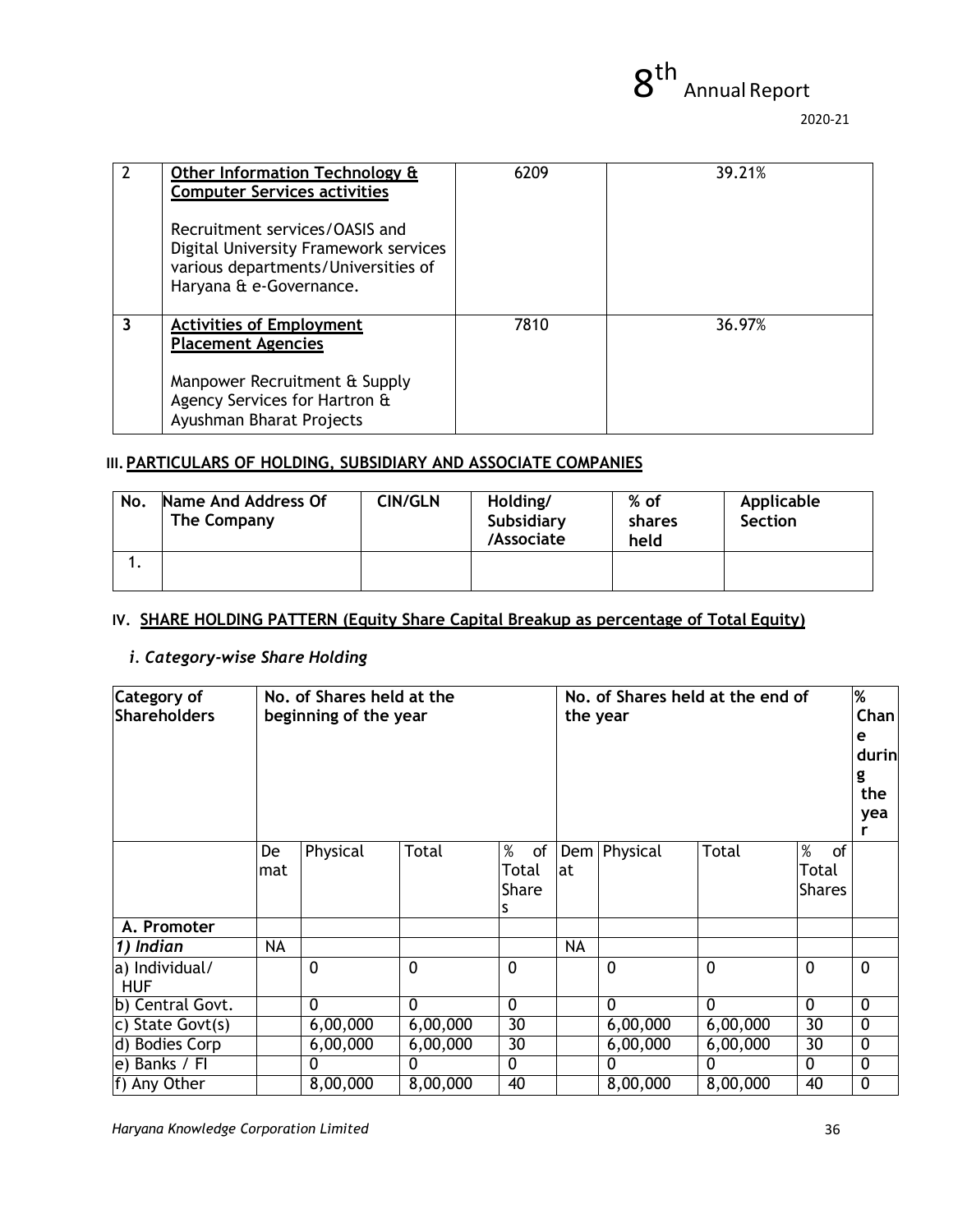

| $\mathcal{L}$ | Other Information Technology &<br><b>Computer Services activities</b><br>Recruitment services/OASIS and<br>Digital University Framework services<br>various departments/Universities of<br>Haryana & e-Governance. | 6209 | 39.21% |
|---------------|--------------------------------------------------------------------------------------------------------------------------------------------------------------------------------------------------------------------|------|--------|
| 3             | <b>Activities of Employment</b><br><b>Placement Agencies</b><br>Manpower Recruitment & Supply<br>Agency Services for Hartron &<br>Ayushman Bharat Projects                                                         | 7810 | 36.97% |

## **III.PARTICULARS OF HOLDING, SUBSIDIARY AND ASSOCIATE COMPANIES**

| No. | Name And Address Of<br>The Company | <b>CIN/GLN</b> | Holding/<br>Subsidiary<br>/Associate | % of<br>shares<br>held | Applicable<br><b>Section</b> |
|-----|------------------------------------|----------------|--------------------------------------|------------------------|------------------------------|
|     |                                    |                |                                      |                        |                              |

## **IV. SHARE HOLDING PATTERN (Equity Share Capital Breakup as percentage of Total Equity)**

## *i. Category-wise Share Holding*

| <b>Category of</b><br><b>Shareholders</b> |           | No. of Shares held at the<br>beginning of the year |              |                           | No. of Shares held at the end of<br>the year |             |          |                                   | %<br><b>Chan</b><br>е<br>durin<br>g<br>the<br>yea<br>r |
|-------------------------------------------|-----------|----------------------------------------------------|--------------|---------------------------|----------------------------------------------|-------------|----------|-----------------------------------|--------------------------------------------------------|
|                                           | De<br>mat | Physical                                           | Total        | %<br>of<br>Total<br>Share | Dem<br>lat                                   | Physical    | Total    | %<br>of<br>Total<br><b>Shares</b> |                                                        |
| A. Promoter                               |           |                                                    |              |                           |                                              |             |          |                                   |                                                        |
| 1) Indian                                 | <b>NA</b> |                                                    |              |                           | <b>NA</b>                                    |             |          |                                   |                                                        |
| a) Individual/<br><b>HUF</b>              |           | $\mathbf 0$                                        | $\mathbf 0$  | $\mathbf 0$               |                                              | $\mathbf 0$ | 0        | $\mathbf 0$                       | $\mathbf 0$                                            |
| b) Central Govt.                          |           | 0                                                  | $\mathbf{0}$ | $\mathbf{0}$              |                                              | $\Omega$    | $\Omega$ | 0                                 | 0                                                      |
| $ c $ State Govt $(s)$                    |           | 6,00,000                                           | 6,00,000     | 30                        |                                              | 6,00,000    | 6,00,000 | 30                                | 0                                                      |
| d) Bodies Corp                            |           | 6,00,000                                           | 6,00,000     | 30                        |                                              | 6,00,000    | 6,00,000 | 30                                | 0                                                      |
| e) Banks $\sqrt{FI}$                      |           | 0                                                  | 0            | 0                         |                                              | 0           | $\Omega$ | $\Omega$                          | 0                                                      |
| f) Any Other                              |           | 8,00,000                                           | 8,00,000     | 40                        |                                              | 8,00,000    | 8,00,000 | 40                                | 0                                                      |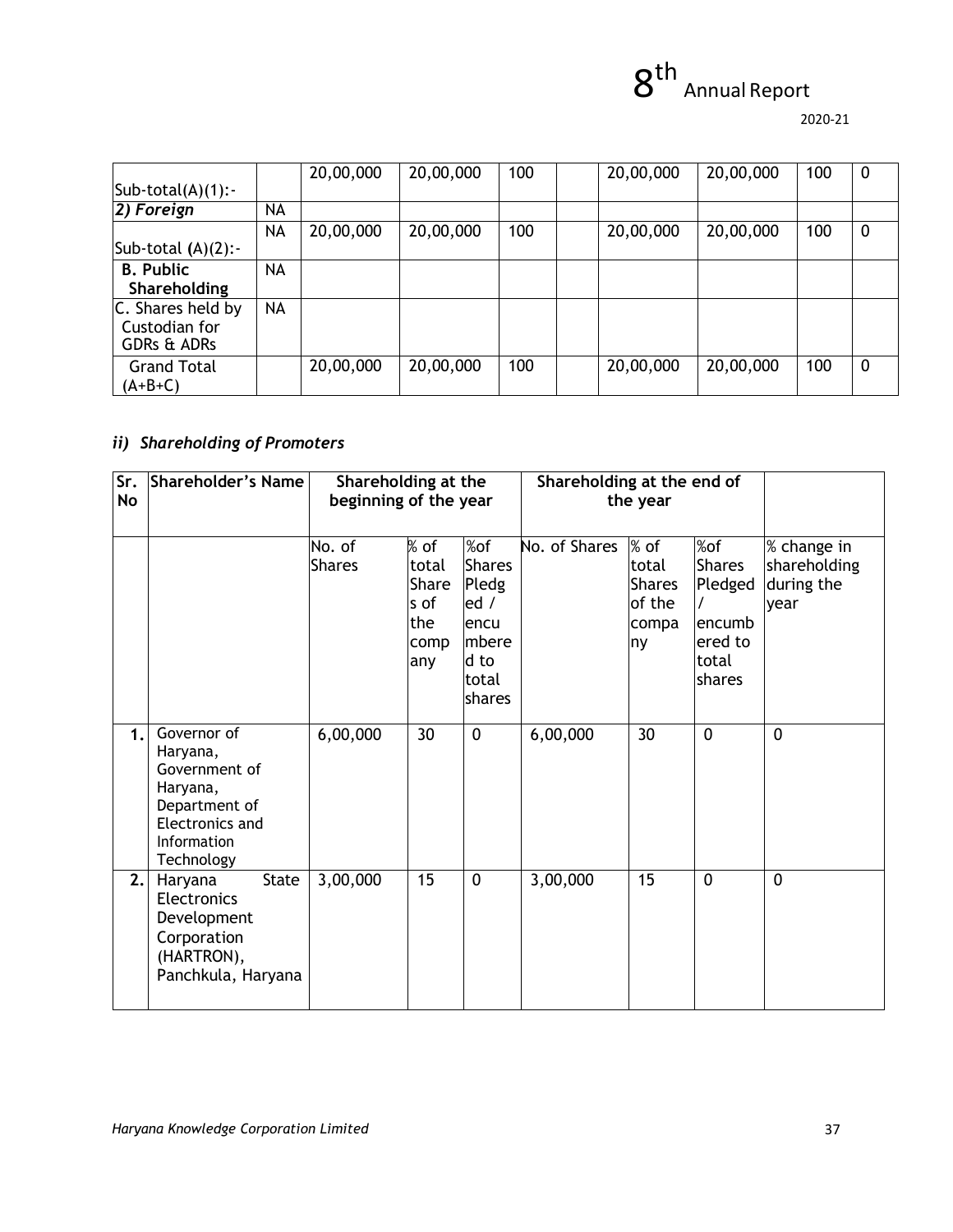

|                        |           | 20,00,000 | 20,00,000 | 100 | 20,00,000 | 20,00,000 | 100 | 0           |
|------------------------|-----------|-----------|-----------|-----|-----------|-----------|-----|-------------|
| $Sub-total(A)(1)$ :-   |           |           |           |     |           |           |     |             |
| 2) Foreign             | NА        |           |           |     |           |           |     |             |
|                        | NА        | 20,00,000 | 20,00,000 | 100 | 20,00,000 | 20,00,000 | 100 | 0           |
| Sub-total $(A)(2)$ :-  |           |           |           |     |           |           |     |             |
| <b>B. Public</b>       | <b>NA</b> |           |           |     |           |           |     |             |
| Shareholding           |           |           |           |     |           |           |     |             |
| C. Shares held by      | <b>NA</b> |           |           |     |           |           |     |             |
| Custodian for          |           |           |           |     |           |           |     |             |
| <b>GDRs &amp; ADRs</b> |           |           |           |     |           |           |     |             |
| <b>Grand Total</b>     |           | 20,00,000 | 20,00,000 | 100 | 20,00,000 | 20,00,000 | 100 | $\mathbf 0$ |
| $(A+B+C)$              |           |           |           |     |           |           |     |             |

## *ii) Shareholding of Promoters*

| Sr.<br>No | Shareholder's Name                                                                                                           | Shareholding at the<br>beginning of the year |                                                              | Shareholding at the end of<br>the year                                             |               |                                                           |                                                                           |                                                   |
|-----------|------------------------------------------------------------------------------------------------------------------------------|----------------------------------------------|--------------------------------------------------------------|------------------------------------------------------------------------------------|---------------|-----------------------------------------------------------|---------------------------------------------------------------------------|---------------------------------------------------|
|           |                                                                                                                              | No. of<br><b>Shares</b>                      | % of<br>total<br><b>Share</b><br>s of<br>lthe<br>comp<br>any | %of<br><b>Shares</b><br>Pledg<br>ed /<br>lencu<br>mbere<br>d to<br>total<br>shares | No. of Shares | $%$ of<br>total<br><b>Shares</b><br>of the<br>compa<br>ny | %of<br><b>Shares</b><br>Pledged<br>lencumb<br>lered to<br>total<br>shares | % change in<br>shareholding<br>during the<br>year |
| 1.        | Governor of<br>Haryana,<br>Government of<br>Haryana,<br>Department of<br><b>Electronics and</b><br>Information<br>Technology | 6,00,000                                     | 30                                                           | $\mathbf 0$                                                                        | 6,00,000      | 30                                                        | $\mathbf 0$                                                               | $\mathbf 0$                                       |
| 2.1       | State<br>Haryana<br>Electronics<br>Development<br>Corporation<br>(HARTRON),<br>Panchkula, Haryana                            | 3,00,000                                     | 15                                                           | $\mathbf 0$                                                                        | 3,00,000      | 15                                                        | $\mathbf 0$                                                               | $\mathbf 0$                                       |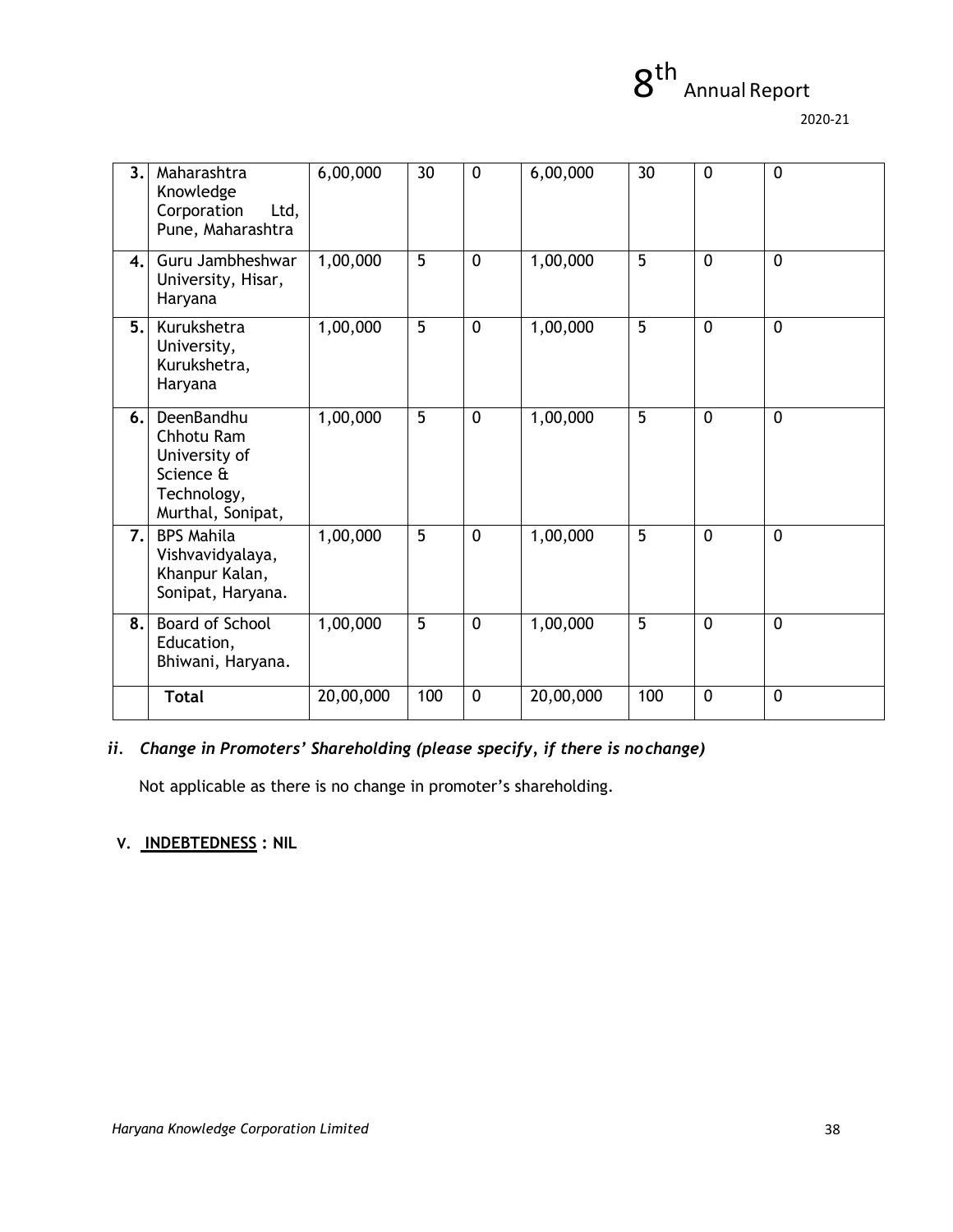$8^{\text{th}}$ Annual Report

2020-21

| 3.  | Maharashtra<br>Knowledge<br>Corporation<br>Ltd,<br>Pune, Maharashtra                       | 6,00,000  | 30  | $\mathbf 0$ | 6,00,000  | 30  | $\mathbf 0$ | $\mathbf 0$ |
|-----|--------------------------------------------------------------------------------------------|-----------|-----|-------------|-----------|-----|-------------|-------------|
| 4.1 | Guru Jambheshwar<br>University, Hisar,<br>Haryana                                          | 1,00,000  | 5   | $\mathbf 0$ | 1,00,000  | 5   | $\mathbf 0$ | $\mathbf 0$ |
| 5.  | Kurukshetra<br>University,<br>Kurukshetra,<br>Haryana                                      | 1,00,000  | 5   | $\mathbf 0$ | 1,00,000  | 5   | $\mathbf 0$ | $\mathbf 0$ |
| 6.  | DeenBandhu<br>Chhotu Ram<br>University of<br>Science &<br>Technology,<br>Murthal, Sonipat, | 1,00,000  | 5   | $\mathbf 0$ | 1,00,000  | 5   | $\mathbf 0$ | $\mathbf 0$ |
| 7.  | <b>BPS Mahila</b><br>Vishvavidyalaya,<br>Khanpur Kalan,<br>Sonipat, Haryana.               | 1,00,000  | 5   | $\mathbf 0$ | 1,00,000  | 5   | $\mathbf 0$ | $\mathbf 0$ |
| 8.  | Board of School<br>Education,<br>Bhiwani, Haryana.                                         | 1,00,000  | 5   | $\mathbf 0$ | 1,00,000  | 5   | $\mathbf 0$ | $\mathbf 0$ |
|     | <b>Total</b>                                                                               | 20,00,000 | 100 | $\mathbf 0$ | 20,00,000 | 100 | $\mathbf 0$ | $\mathbf 0$ |

# *ii. Change in Promoters' Shareholding (please specify, if there is nochange)*

Not applicable as there is no change in promoter's shareholding.

**V. INDEBTEDNESS : NIL**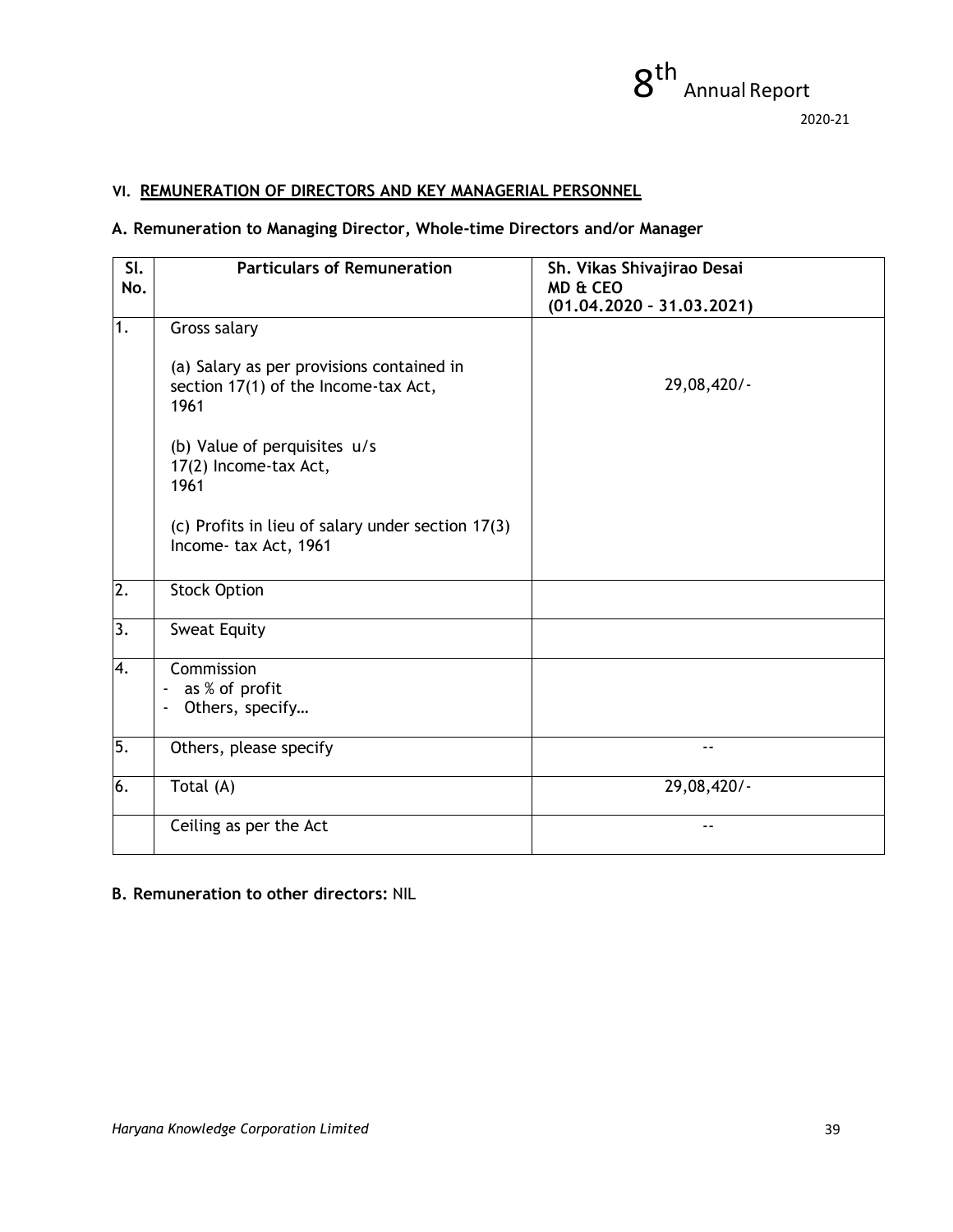

## **VI. REMUNERATION OF DIRECTORS AND KEY MANAGERIAL PERSONNEL**

## **A. Remuneration to Managing Director, Whole-time Directors and/or Manager**

| $\overline{\mathsf{SL}}$<br>No. | <b>Particulars of Remuneration</b>                                                                      | Sh. Vikas Shivajirao Desai<br><b>MD &amp; CEO</b><br>$(01.04.2020 - 31.03.2021)$ |
|---------------------------------|---------------------------------------------------------------------------------------------------------|----------------------------------------------------------------------------------|
| $\overline{1}$ .                | Gross salary                                                                                            |                                                                                  |
|                                 | (a) Salary as per provisions contained in<br>section 17(1) of the Income-tax Act,<br>1961               | 29,08,420/-                                                                      |
|                                 | (b) Value of perquisites u/s<br>17(2) Income-tax Act,<br>1961                                           |                                                                                  |
|                                 | (c) Profits in lieu of salary under section 17(3)<br>Income-tax Act, 1961                               |                                                                                  |
| $\overline{2}$ .                | <b>Stock Option</b>                                                                                     |                                                                                  |
| $\overline{3}$ .                | <b>Sweat Equity</b>                                                                                     |                                                                                  |
| 4.                              | Commission<br>as % of profit<br>$\overline{\phantom{a}}$<br>Others, specify<br>$\overline{\phantom{a}}$ |                                                                                  |
| $\overline{5}$ .                | Others, please specify                                                                                  | $- -$                                                                            |
| 6.                              | Total (A)                                                                                               | 29,08,420/-                                                                      |
|                                 | Ceiling as per the Act                                                                                  |                                                                                  |

## **B. Remuneration to other directors:** NIL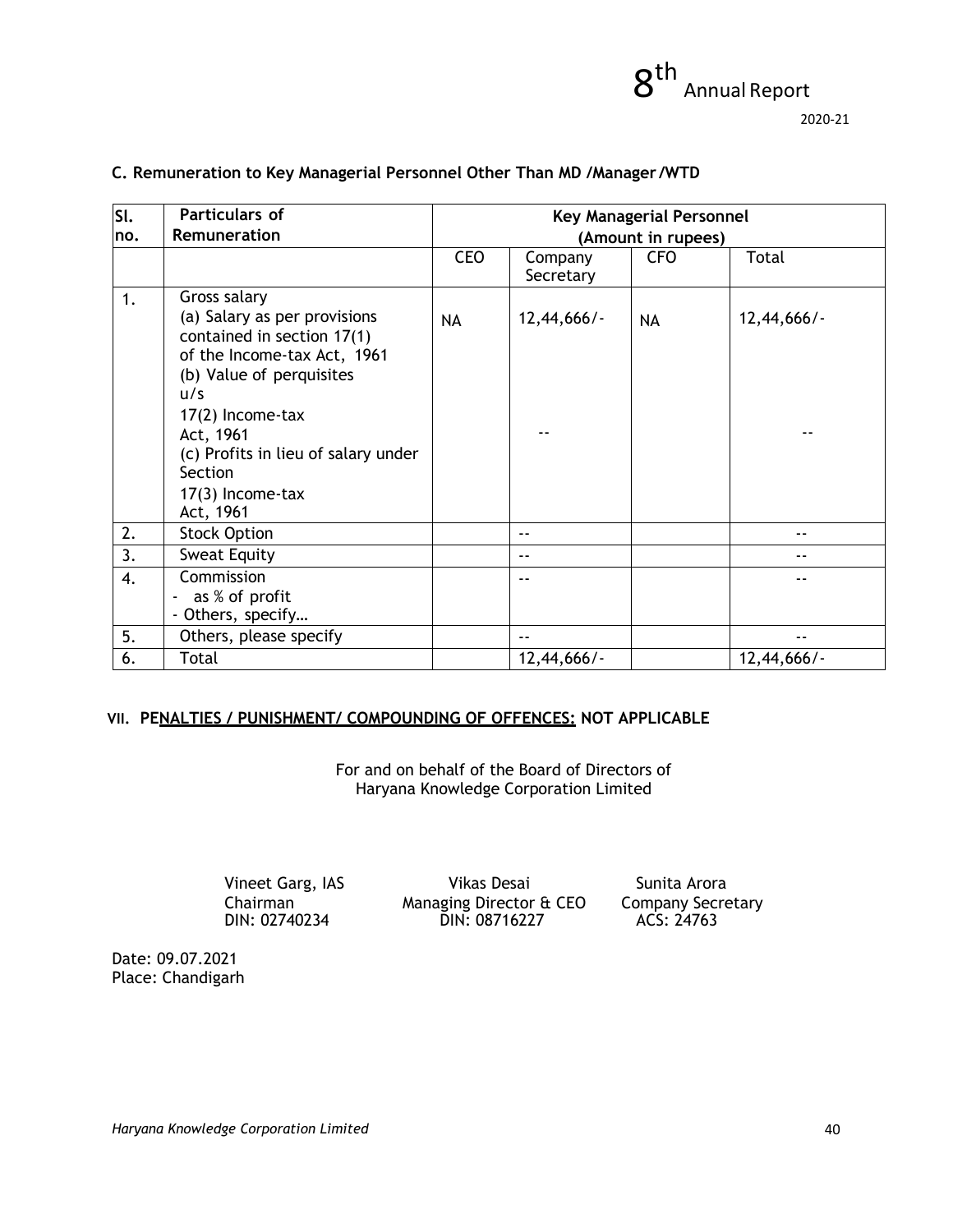

| SI. | <b>Particulars of</b>                                                                                                                                                                                                                                              | <b>Key Managerial Personnel</b> |                      |            |               |  |  |
|-----|--------------------------------------------------------------------------------------------------------------------------------------------------------------------------------------------------------------------------------------------------------------------|---------------------------------|----------------------|------------|---------------|--|--|
| no. | Remuneration                                                                                                                                                                                                                                                       | (Amount in rupees)              |                      |            |               |  |  |
|     |                                                                                                                                                                                                                                                                    | <b>CEO</b>                      | Company<br>Secretary | <b>CFO</b> | Total         |  |  |
| 1.  | Gross salary<br>(a) Salary as per provisions<br>contained in section 17(1)<br>of the Income-tax Act, 1961<br>(b) Value of perquisites<br>u/s<br>17(2) Income-tax<br>Act, 1961<br>(c) Profits in lieu of salary under<br>Section<br>$17(3)$ Income-tax<br>Act, 1961 | <b>NA</b>                       | 12,44,666/           | <b>NA</b>  | $12,44,666/-$ |  |  |
| 2.  | <b>Stock Option</b>                                                                                                                                                                                                                                                |                                 |                      |            | --            |  |  |
| 3.  | <b>Sweat Equity</b>                                                                                                                                                                                                                                                |                                 |                      |            |               |  |  |
| 4.  | Commission<br>as % of profit<br>- Others, specify                                                                                                                                                                                                                  |                                 |                      |            |               |  |  |
| 5.  | Others, please specify                                                                                                                                                                                                                                             |                                 |                      |            |               |  |  |
| 6.  | Total                                                                                                                                                                                                                                                              |                                 | 12,44,666/           |            | 12,44,666/    |  |  |

## **C. Remuneration to Key Managerial Personnel Other Than MD /Manager /WTD**

## **VII. PENALTIES / PUNISHMENT/ COMPOUNDING OF OFFENCES: NOT APPLICABLE**

For and on behalf of the Board of Directors of Haryana Knowledge Corporation Limited

Vineet Garg, IAS Chairman<br>DIN: 02740234

Vikas Desai Managing Director & CEO Company Secretary DIN: 08716227 ACS: 24763

Sunita Arora

Date: 09.07.2021 Place: Chandigarh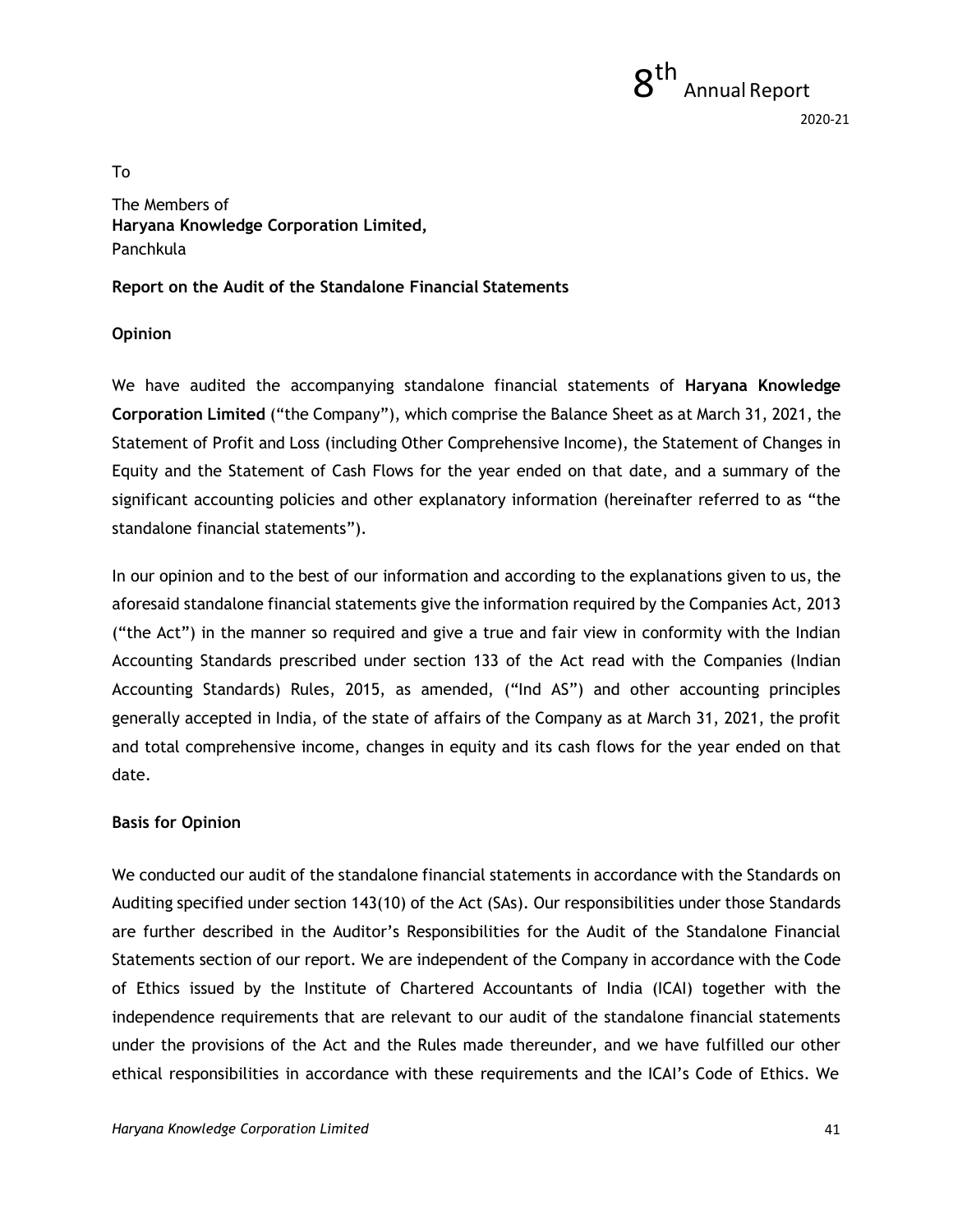

The Members of **Haryana Knowledge Corporation Limited,** Panchkula

## **Report on the Audit of the Standalone Financial Statements**

#### **Opinion**

To

We have audited the accompanying standalone financial statements of **Haryana Knowledge Corporation Limited** ("the Company"), which comprise the Balance Sheet as at March 31, 2021, the Statement of Profit and Loss (including Other Comprehensive Income), the Statement of Changes in Equity and the Statement of Cash Flows for the year ended on that date, and a summary of the significant accounting policies and other explanatory information (hereinafter referred to as "the standalone financial statements").

In our opinion and to the best of our information and according to the explanations given to us, the aforesaid standalone financial statements give the information required by the Companies Act, 2013 ("the Act") in the manner so required and give a true and fair view in conformity with the Indian Accounting Standards prescribed under section 133 of the Act read with the Companies (Indian Accounting Standards) Rules, 2015, as amended, ("Ind AS") and other accounting principles generally accepted in India, of the state of affairs of the Company as at March 31, 2021, the profit and total comprehensive income, changes in equity and its cash flows for the year ended on that date.

#### **Basis for Opinion**

We conducted our audit of the standalone financial statements in accordance with the Standards on Auditing specified under section 143(10) of the Act (SAs). Our responsibilities under those Standards are further described in the Auditor's Responsibilities for the Audit of the Standalone Financial Statements section of our report. We are independent of the Company in accordance with the Code of Ethics issued by the Institute of Chartered Accountants of India (ICAI) together with the independence requirements that are relevant to our audit of the standalone financial statements under the provisions of the Act and the Rules made thereunder, and we have fulfilled our other ethical responsibilities in accordance with these requirements and the ICAI's Code of Ethics. We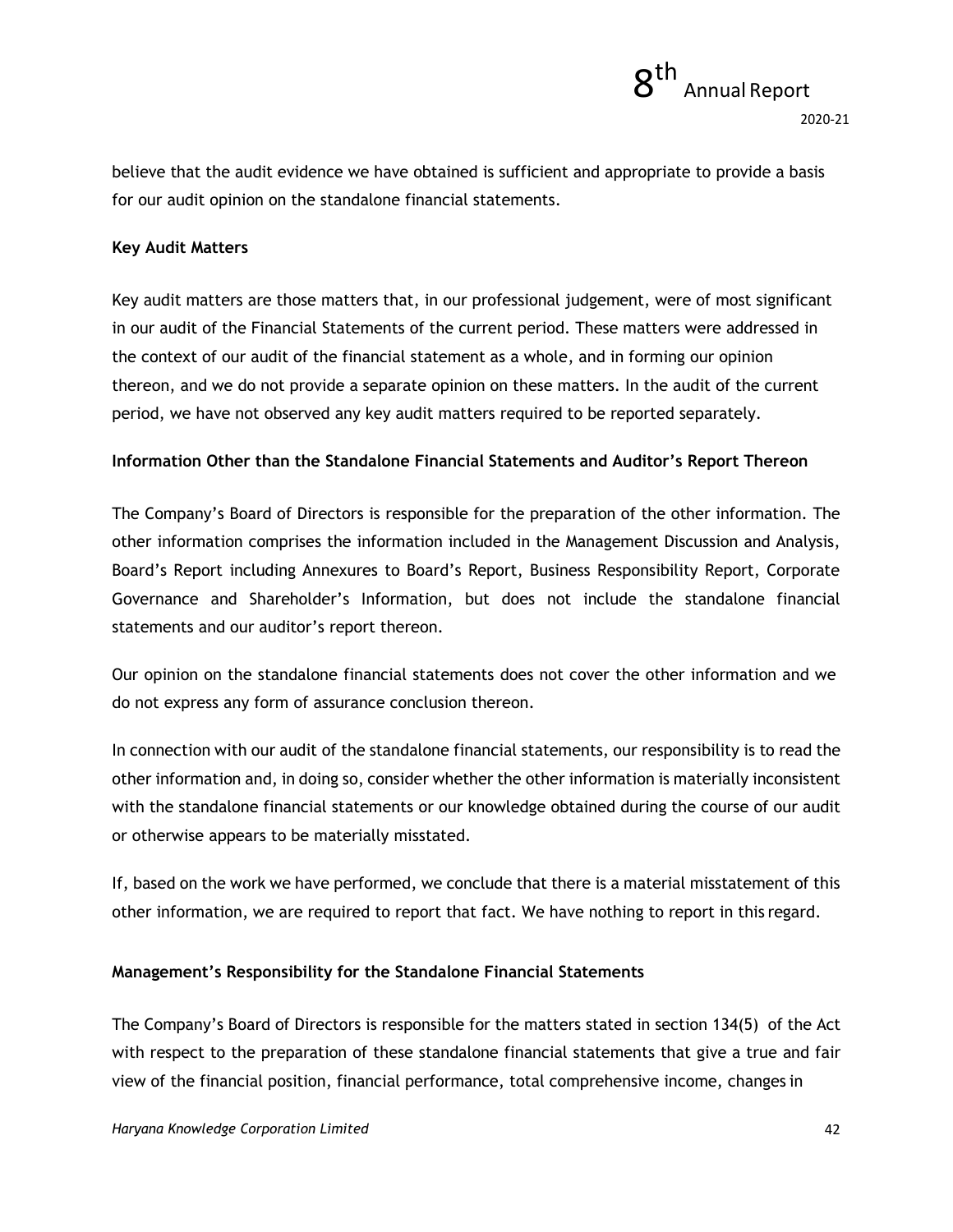

believe that the audit evidence we have obtained is sufficient and appropriate to provide a basis for our audit opinion on the standalone financial statements.

### **Key Audit Matters**

Key audit matters are those matters that, in our professional judgement, were of most significant in our audit of the Financial Statements of the current period. These matters were addressed in the context of our audit of the financial statement as a whole, and in forming our opinion thereon, and we do not provide a separate opinion on these matters. In the audit of the current period, we have not observed any key audit matters required to be reported separately.

#### **Information Other than the Standalone Financial Statements and Auditor's Report Thereon**

The Company's Board of Directors is responsible for the preparation of the other information. The other information comprises the information included in the Management Discussion and Analysis, Board's Report including Annexures to Board's Report, Business Responsibility Report, Corporate Governance and Shareholder's Information, but does not include the standalone financial statements and our auditor's report thereon.

Our opinion on the standalone financial statements does not cover the other information and we do not express any form of assurance conclusion thereon.

In connection with our audit of the standalone financial statements, our responsibility is to read the other information and, in doing so, consider whether the other information is materially inconsistent with the standalone financial statements or our knowledge obtained during the course of our audit or otherwise appears to be materially misstated.

If, based on the work we have performed, we conclude that there is a material misstatement of this other information, we are required to report that fact. We have nothing to report in this regard.

## **Management's Responsibility for the Standalone Financial Statements**

The Company's Board of Directors is responsible for the matters stated in section 134(5) of the Act with respect to the preparation of these standalone financial statements that give a true and fair view of the financial position, financial performance, total comprehensive income, changes in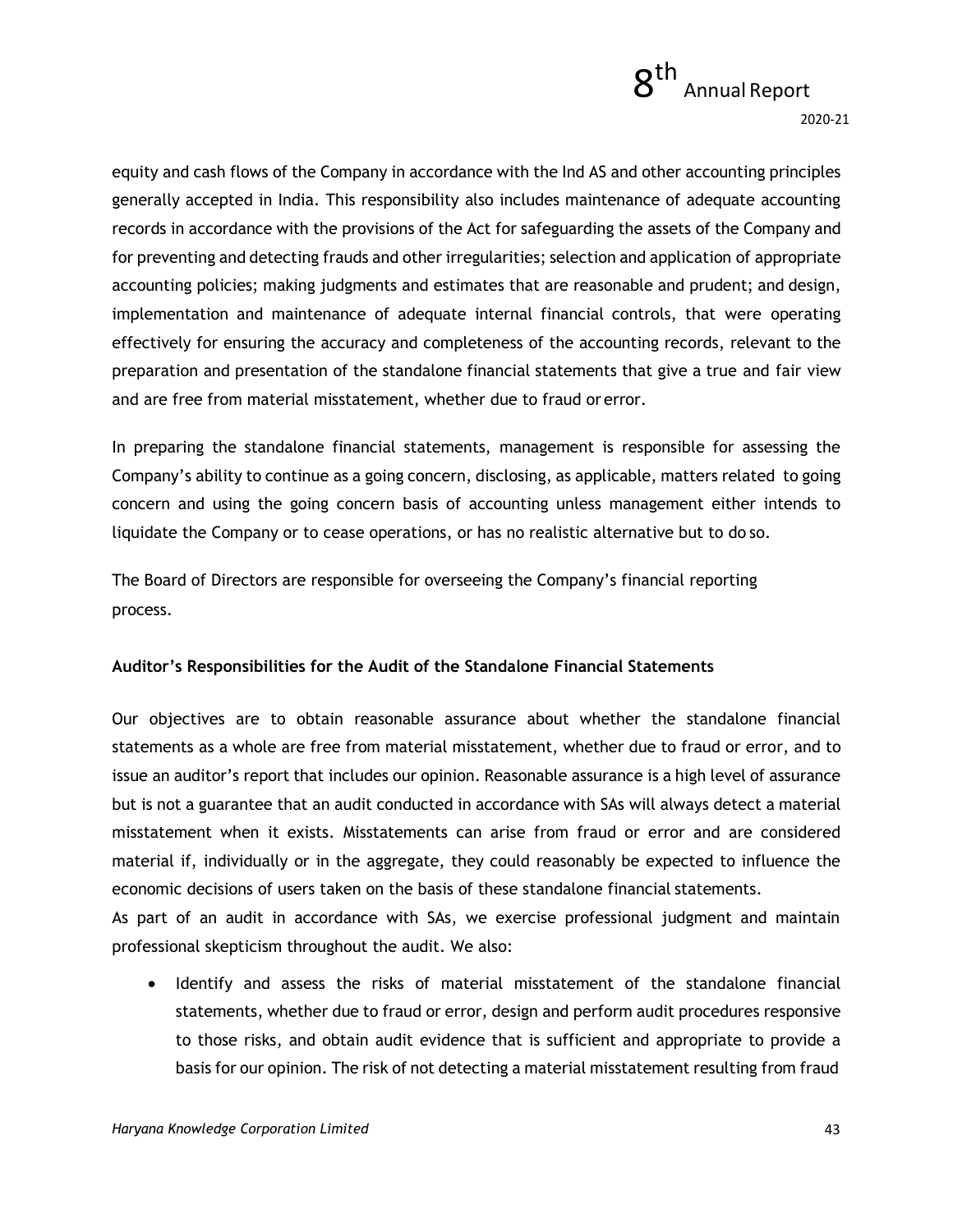

equity and cash flows of the Company in accordance with the Ind AS and other accounting principles generally accepted in India. This responsibility also includes maintenance of adequate accounting records in accordance with the provisions of the Act for safeguarding the assets of the Company and for preventing and detecting frauds and other irregularities; selection and application of appropriate accounting policies; making judgments and estimates that are reasonable and prudent; and design, implementation and maintenance of adequate internal financial controls, that were operating effectively for ensuring the accuracy and completeness of the accounting records, relevant to the preparation and presentation of the standalone financial statements that give a true and fair view and are free from material misstatement, whether due to fraud or error.

In preparing the standalone financial statements, management is responsible for assessing the Company's ability to continue as a going concern, disclosing, as applicable, matters related to going concern and using the going concern basis of accounting unless management either intends to liquidate the Company or to cease operations, or has no realistic alternative but to do so.

The Board of Directors are responsible for overseeing the Company's financial reporting process.

## **Auditor's Responsibilities for the Audit of the Standalone Financial Statements**

Our objectives are to obtain reasonable assurance about whether the standalone financial statements as a whole are free from material misstatement, whether due to fraud or error, and to issue an auditor's report that includes our opinion. Reasonable assurance is a high level of assurance but is not a guarantee that an audit conducted in accordance with SAs will always detect a material misstatement when it exists. Misstatements can arise from fraud or error and are considered material if, individually or in the aggregate, they could reasonably be expected to influence the economic decisions of users taken on the basis of these standalone financial statements.

As part of an audit in accordance with SAs, we exercise professional judgment and maintain professional skepticism throughout the audit. We also:

• Identify and assess the risks of material misstatement of the standalone financial statements, whether due to fraud or error, design and perform audit procedures responsive to those risks, and obtain audit evidence that is sufficient and appropriate to provide a basis for our opinion. The risk of not detecting a material misstatement resulting from fraud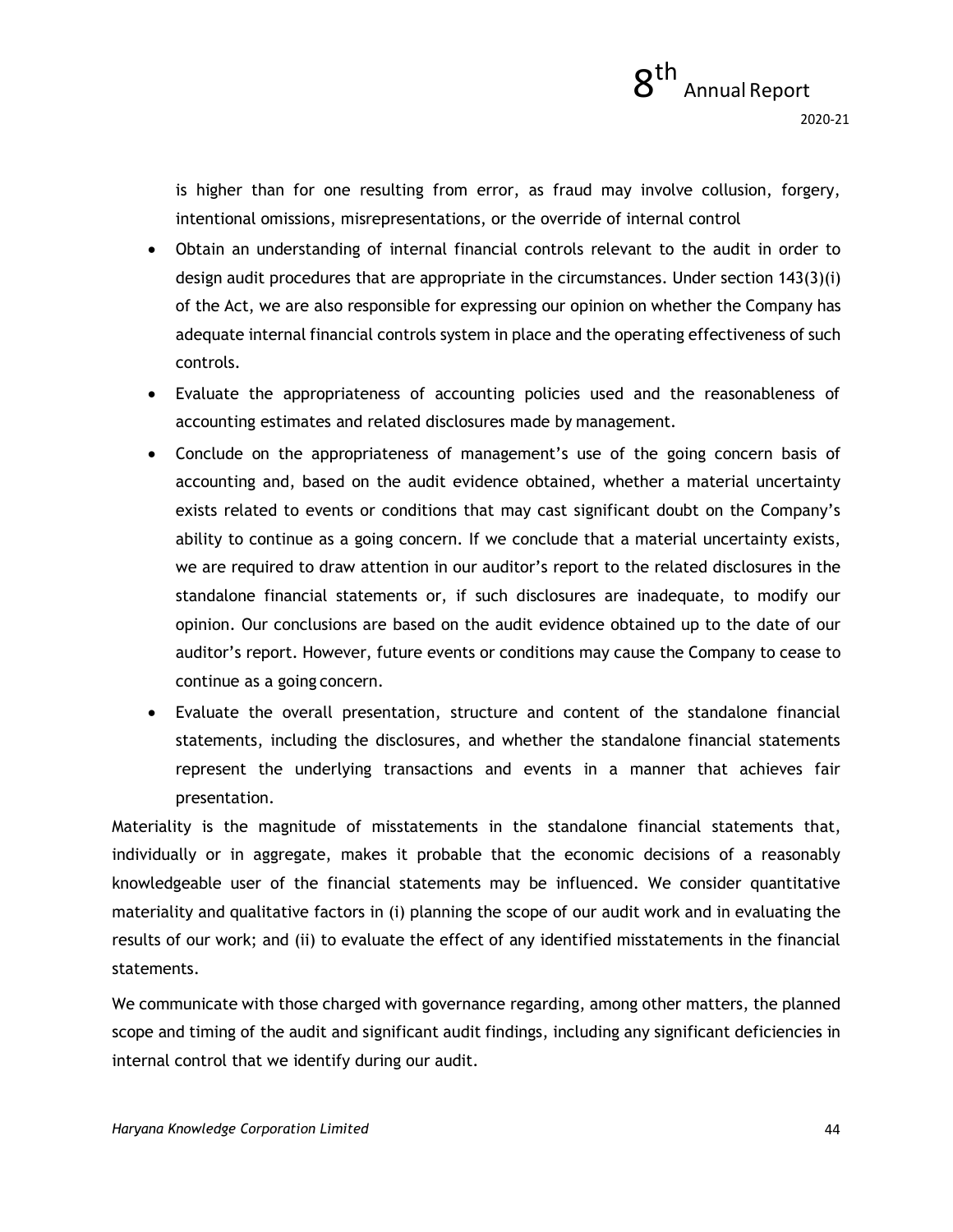is higher than for one resulting from error, as fraud may involve collusion, forgery, intentional omissions, misrepresentations, or the override of internal control

- Obtain an understanding of internal financial controls relevant to the audit in order to design audit procedures that are appropriate in the circumstances. Under section 143(3)(i) of the Act, we are also responsible for expressing our opinion on whether the Company has adequate internal financial controls system in place and the operating effectiveness of such controls.
- Evaluate the appropriateness of accounting policies used and the reasonableness of accounting estimates and related disclosures made by management.
- Conclude on the appropriateness of management's use of the going concern basis of accounting and, based on the audit evidence obtained, whether a material uncertainty exists related to events or conditions that may cast significant doubt on the Company's ability to continue as a going concern. If we conclude that a material uncertainty exists, we are required to draw attention in our auditor's report to the related disclosures in the standalone financial statements or, if such disclosures are inadequate, to modify our opinion. Our conclusions are based on the audit evidence obtained up to the date of our auditor's report. However, future events or conditions may cause the Company to cease to continue as a going concern.
- Evaluate the overall presentation, structure and content of the standalone financial statements, including the disclosures, and whether the standalone financial statements represent the underlying transactions and events in a manner that achieves fair presentation.

Materiality is the magnitude of misstatements in the standalone financial statements that, individually or in aggregate, makes it probable that the economic decisions of a reasonably knowledgeable user of the financial statements may be influenced. We consider quantitative materiality and qualitative factors in (i) planning the scope of our audit work and in evaluating the results of our work; and (ii) to evaluate the effect of any identified misstatements in the financial statements.

We communicate with those charged with governance regarding, among other matters, the planned scope and timing of the audit and significant audit findings, including any significant deficiencies in internal control that we identify during our audit.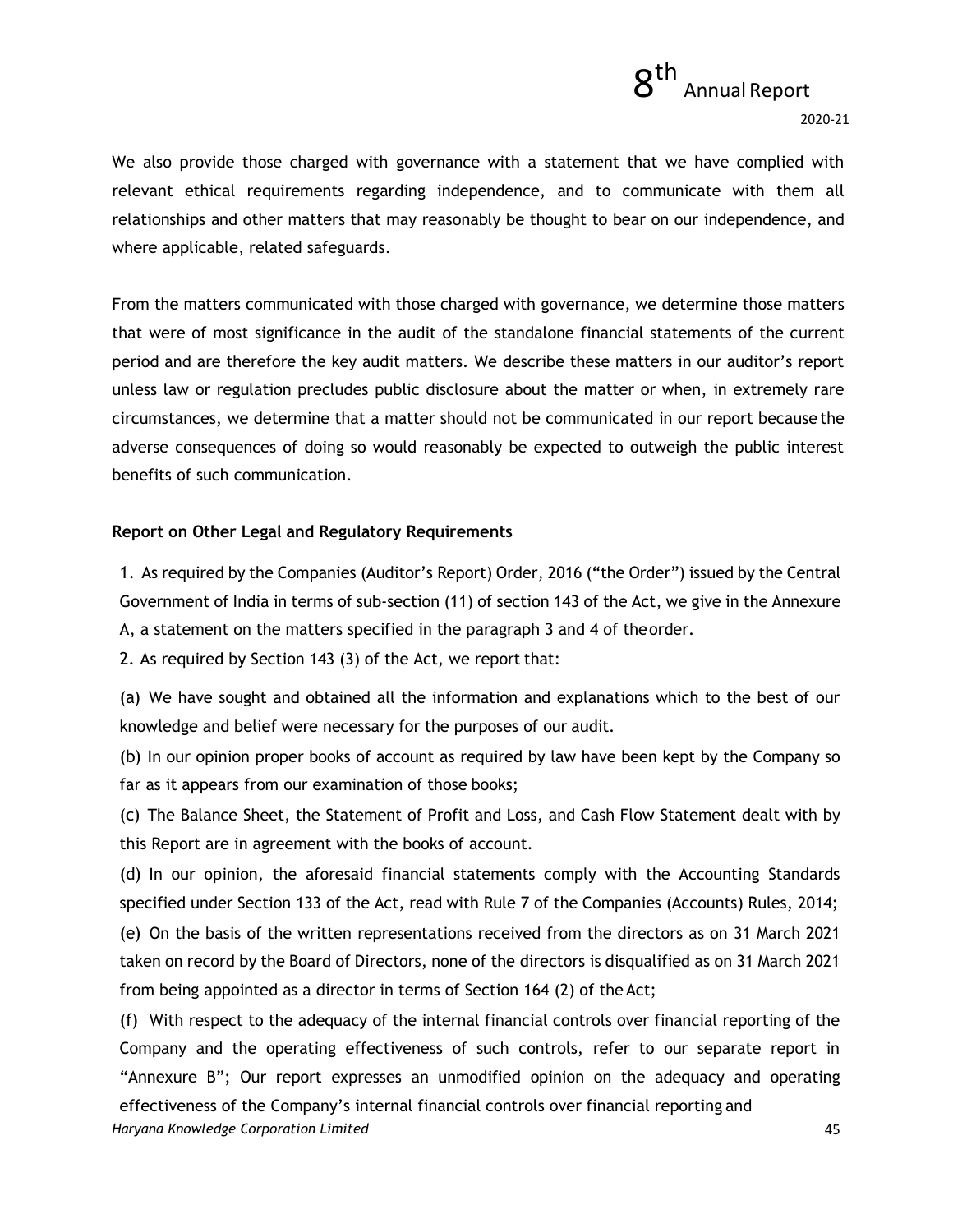

We also provide those charged with governance with a statement that we have complied with relevant ethical requirements regarding independence, and to communicate with them all relationships and other matters that may reasonably be thought to bear on our independence, and where applicable, related safeguards.

From the matters communicated with those charged with governance, we determine those matters that were of most significance in the audit of the standalone financial statements of the current period and are therefore the key audit matters. We describe these matters in our auditor's report unless law or regulation precludes public disclosure about the matter or when, in extremely rare circumstances, we determine that a matter should not be communicated in our report because the adverse consequences of doing so would reasonably be expected to outweigh the public interest benefits of such communication.

#### **Report on Other Legal and Regulatory Requirements**

1. As required by the Companies (Auditor's Report) Order, 2016 ("the Order") issued by the Central Government of India in terms of sub-section (11) of section 143 of the Act, we give in the Annexure A, a statement on the matters specified in the paragraph 3 and 4 of theorder.

2. As required by Section 143 (3) of the Act, we report that:

(a) We have sought and obtained all the information and explanations which to the best of our knowledge and belief were necessary for the purposes of our audit.

(b) In our opinion proper books of account as required by law have been kept by the Company so far as it appears from our examination of those books;

(c) The Balance Sheet, the Statement of Profit and Loss, and Cash Flow Statement dealt with by this Report are in agreement with the books of account.

(d) In our opinion, the aforesaid financial statements comply with the Accounting Standards specified under Section 133 of the Act, read with Rule 7 of the Companies (Accounts) Rules, 2014; (e) On the basis of the written representations received from the directors as on 31 March 2021 taken on record by the Board of Directors, none of the directors is disqualified as on 31 March 2021 from being appointed as a director in terms of Section 164 (2) of the Act;

(f) With respect to the adequacy of the internal financial controls over financial reporting of the Company and the operating effectiveness of such controls, refer to our separate report in "Annexure B"; Our report expresses an unmodified opinion on the adequacy and operating effectiveness of the Company's internal financial controls over financial reporting and

*Haryana Knowledge Corporation Limited* 45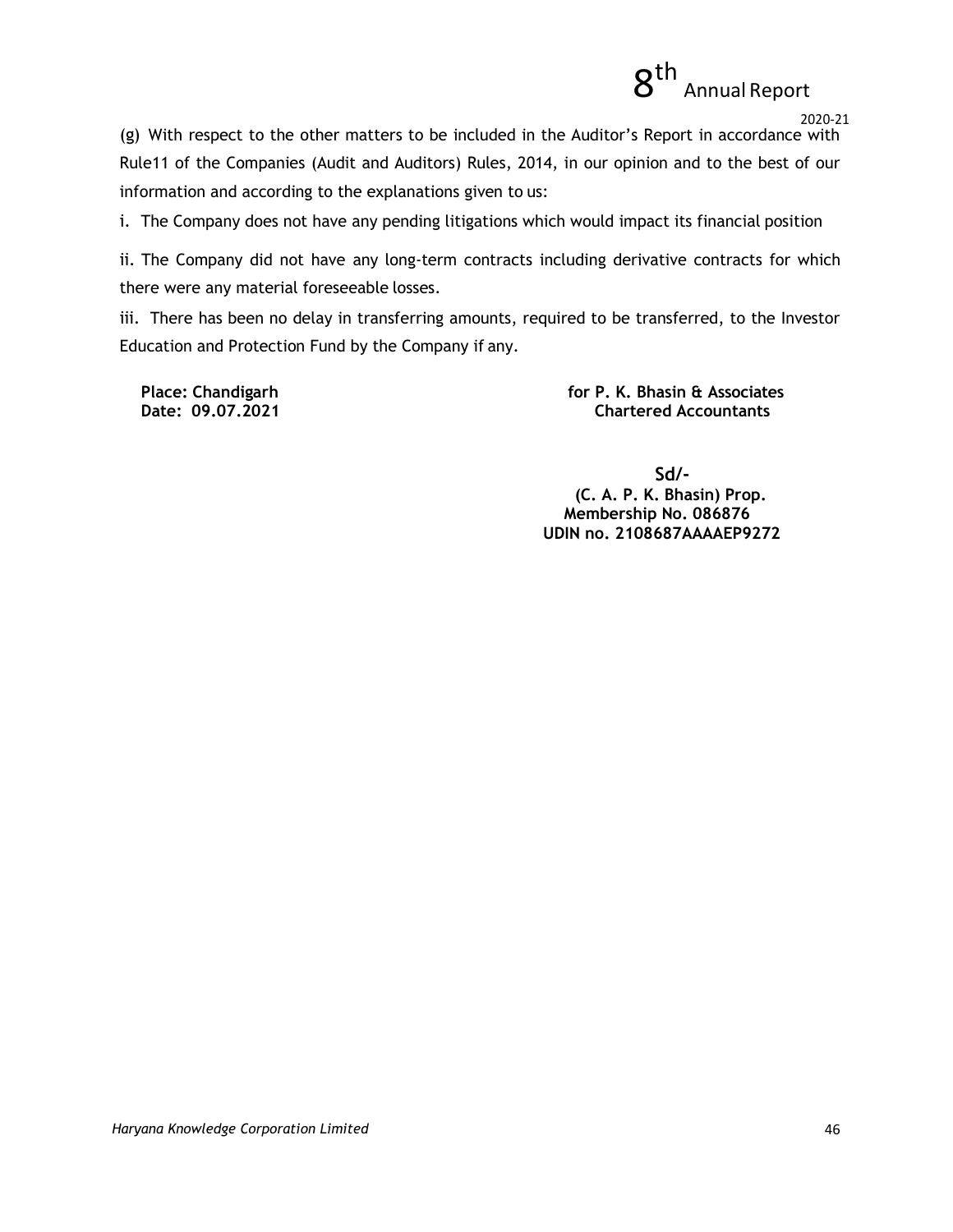## $8^{\text{th}}$ Annual Report

2020-21

(g) With respect to the other matters to be included in the Auditor's Report in accordance with Rule11 of the Companies (Audit and Auditors) Rules, 2014, in our opinion and to the best of our information and according to the explanations given to us:

i. The Company does not have any pending litigations which would impact its financial position

ii. The Company did not have any long-term contracts including derivative contracts for which there were any material foreseeable losses.

iii. There has been no delay in transferring amounts, required to be transferred, to the Investor Education and Protection Fund by the Company if any.

**Place: Chandigarh for P. K. Bhasin & Associates Date: 09.07.2021 Chartered Accountants**

> **Sd/- (C. A. P. K. Bhasin) Prop. Membership No. 086876 UDIN no. 2108687AAAAEP9272**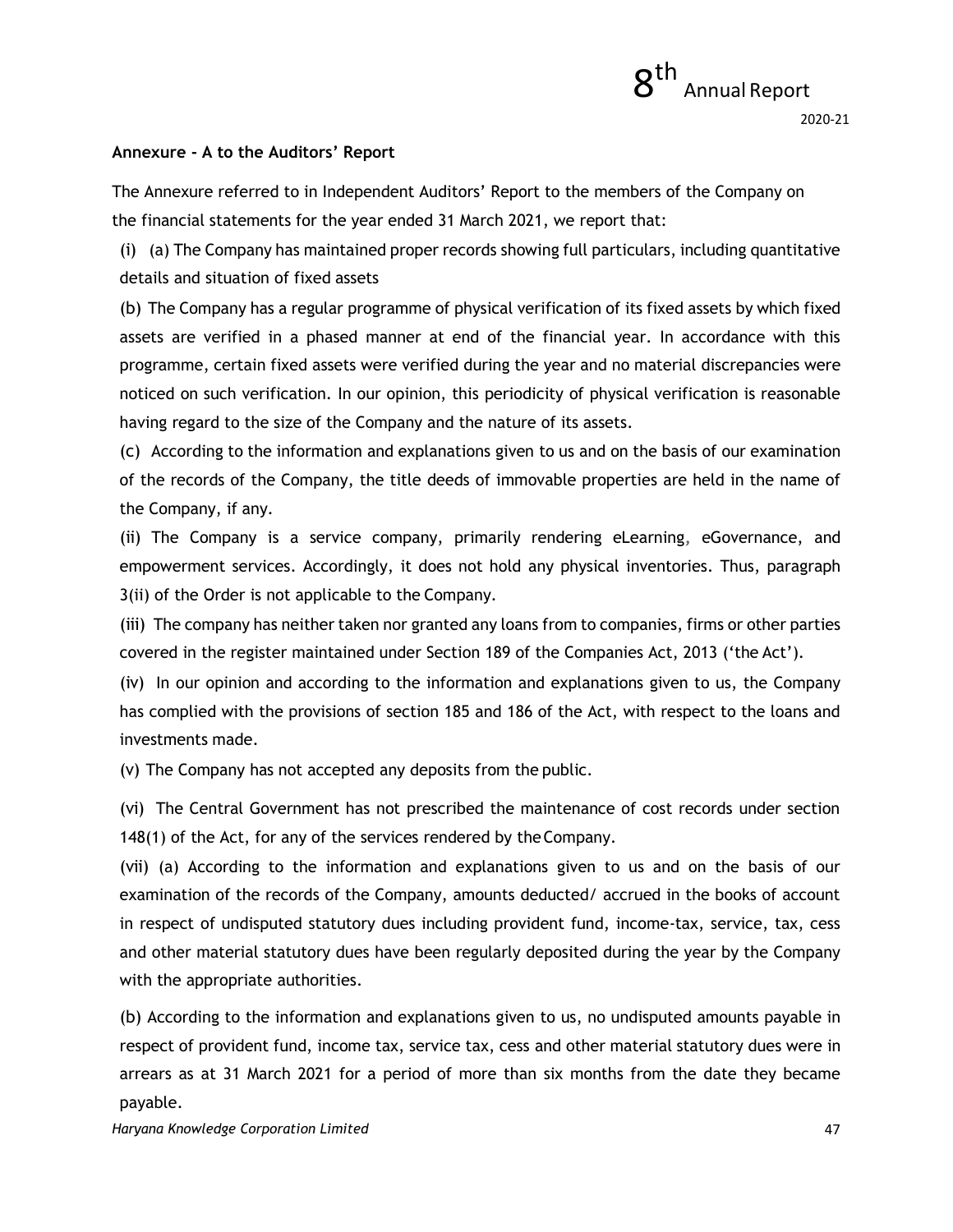

#### **Annexure - A to the Auditors' Report**

The Annexure referred to in Independent Auditors' Report to the members of the Company on the financial statements for the year ended 31 March 2021, we report that:

(i) (a) The Company has maintained proper records showing full particulars, including quantitative details and situation of fixed assets

(b) The Company has a regular programme of physical verification of its fixed assets by which fixed assets are verified in a phased manner at end of the financial year. In accordance with this programme, certain fixed assets were verified during the year and no material discrepancies were noticed on such verification. In our opinion, this periodicity of physical verification is reasonable having regard to the size of the Company and the nature of its assets.

(c) According to the information and explanations given to us and on the basis of our examination of the records of the Company, the title deeds of immovable properties are held in the name of the Company, if any.

(ii) The Company is a service company, primarily rendering eLearning**,** eGovernance, and empowerment services. Accordingly, it does not hold any physical inventories. Thus, paragraph 3(ii) of the Order is not applicable to the Company.

(iii) The company has neither taken nor granted any loans from to companies, firms or other parties covered in the register maintained under Section 189 of the Companies Act, 2013 ('the Act').

(iv) In our opinion and according to the information and explanations given to us, the Company has complied with the provisions of section 185 and 186 of the Act, with respect to the loans and investments made.

(v) The Company has not accepted any deposits from the public.

(vi) The Central Government has not prescribed the maintenance of cost records under section 148(1) of the Act, for any of the services rendered by theCompany.

(vii) (a) According to the information and explanations given to us and on the basis of our examination of the records of the Company, amounts deducted/ accrued in the books of account in respect of undisputed statutory dues including provident fund, income-tax, service, tax, cess and other material statutory dues have been regularly deposited during the year by the Company with the appropriate authorities.

(b) According to the information and explanations given to us, no undisputed amounts payable in respect of provident fund, income tax, service tax, cess and other material statutory dues were in arrears as at 31 March 2021 for a period of more than six months from the date they became payable.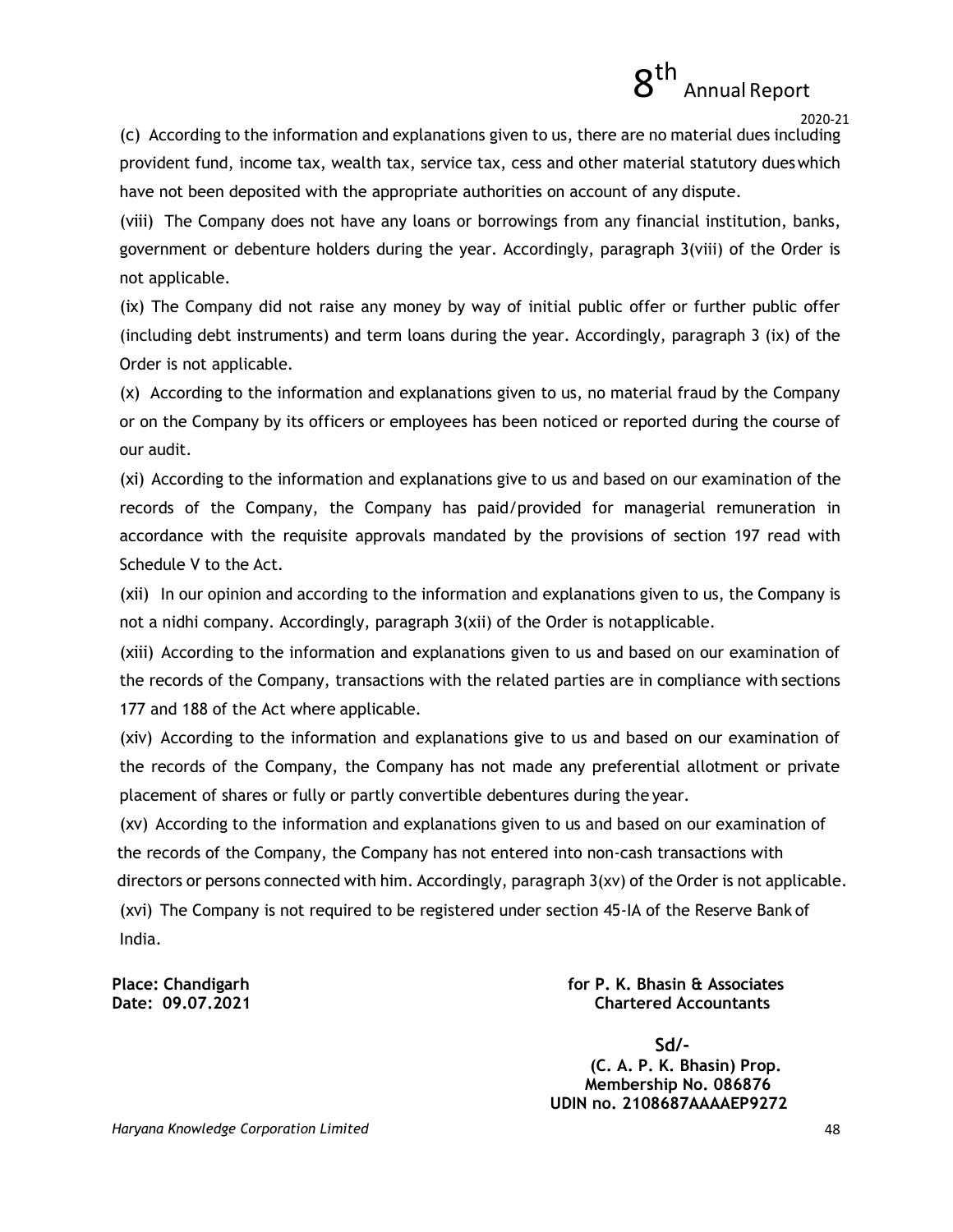## $8^{\text{th}}$ Annual Report

2020-21

(c) According to the information and explanations given to us, there are no material dues including provident fund, income tax, wealth tax, service tax, cess and other material statutory dueswhich have not been deposited with the appropriate authorities on account of any dispute.

(viii) The Company does not have any loans or borrowings from any financial institution, banks, government or debenture holders during the year. Accordingly, paragraph 3(viii) of the Order is not applicable.

(ix) The Company did not raise any money by way of initial public offer or further public offer (including debt instruments) and term loans during the year. Accordingly, paragraph 3 (ix) of the Order is not applicable.

(x) According to the information and explanations given to us, no material fraud by the Company or on the Company by its officers or employees has been noticed or reported during the course of our audit.

(xi) According to the information and explanations give to us and based on our examination of the records of the Company, the Company has paid/provided for managerial remuneration in accordance with the requisite approvals mandated by the provisions of section 197 read with Schedule V to the Act.

(xii) In our opinion and according to the information and explanations given to us, the Company is not a nidhi company. Accordingly, paragraph 3(xii) of the Order is notapplicable.

(xiii) According to the information and explanations given to us and based on our examination of the records of the Company, transactions with the related parties are in compliance with sections 177 and 188 of the Act where applicable.

(xiv) According to the information and explanations give to us and based on our examination of the records of the Company, the Company has not made any preferential allotment or private placement of shares or fully or partly convertible debentures during the year.

(xv) According to the information and explanations given to us and based on our examination of the records of the Company, the Company has not entered into non-cash transactions with directors or persons connected with him. Accordingly, paragraph 3(xv) of the Order is not applicable. (xvi) The Company is not required to be registered under section 45-IA of the Reserve Bank of India.

**Place: Chandigarh for P. K. Bhasin & Associates Date: 09.07.2021 Chartered Accountants**

> **Sd/- (C. A. P. K. Bhasin) Prop. Membership No. 086876 UDIN no. 2108687AAAAEP9272**

*Haryana Knowledge Corporation Limited* 48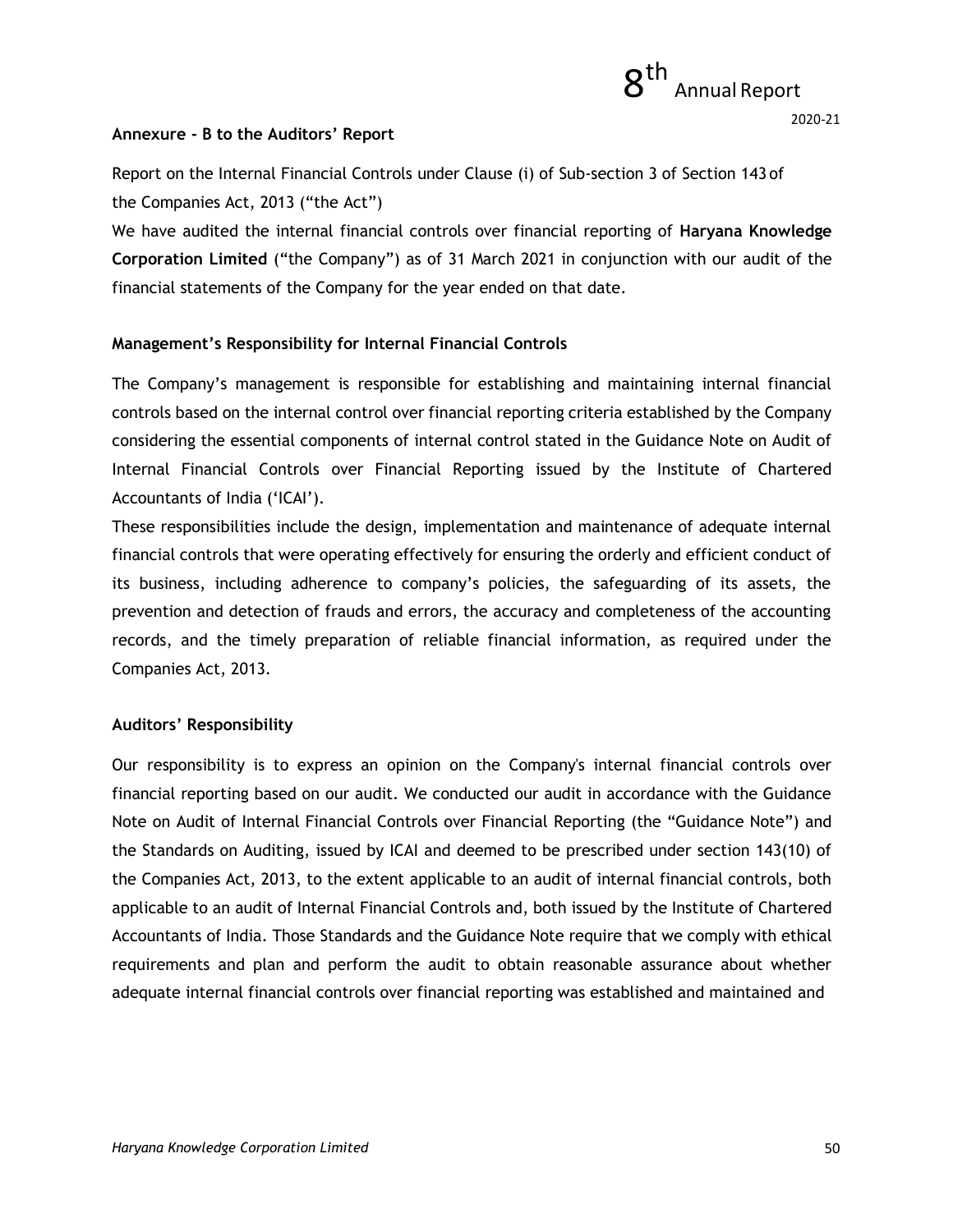

## **Annexure - B to the Auditors' Report**

Report on the Internal Financial Controls under Clause (i) of Sub-section 3 of Section 143 of the Companies Act, 2013 ("the Act")

We have audited the internal financial controls over financial reporting of **Haryana Knowledge Corporation Limited** ("the Company") as of 31 March 2021 in conjunction with our audit of the financial statements of the Company for the year ended on that date.

## **Management's Responsibility for Internal Financial Controls**

The Company's management is responsible for establishing and maintaining internal financial controls based on the internal control over financial reporting criteria established by the Company considering the essential components of internal control stated in the Guidance Note on Audit of Internal Financial Controls over Financial Reporting issued by the Institute of Chartered Accountants of India ('ICAI').

These responsibilities include the design, implementation and maintenance of adequate internal financial controls that were operating effectively for ensuring the orderly and efficient conduct of its business, including adherence to company's policies, the safeguarding of its assets, the prevention and detection of frauds and errors, the accuracy and completeness of the accounting records, and the timely preparation of reliable financial information, as required under the Companies Act, 2013.

## **Auditors' Responsibility**

Our responsibility is to express an opinion on the Company's internal financial controls over financial reporting based on our audit. We conducted our audit in accordance with the Guidance Note on Audit of Internal Financial Controls over Financial Reporting (the "Guidance Note") and the Standards on Auditing, issued by ICAI and deemed to be prescribed under section 143(10) of the Companies Act, 2013, to the extent applicable to an audit of internal financial controls, both applicable to an audit of Internal Financial Controls and, both issued by the Institute of Chartered Accountants of India. Those Standards and the Guidance Note require that we comply with ethical requirements and plan and perform the audit to obtain reasonable assurance about whether adequate internal financial controls over financial reporting was established and maintained and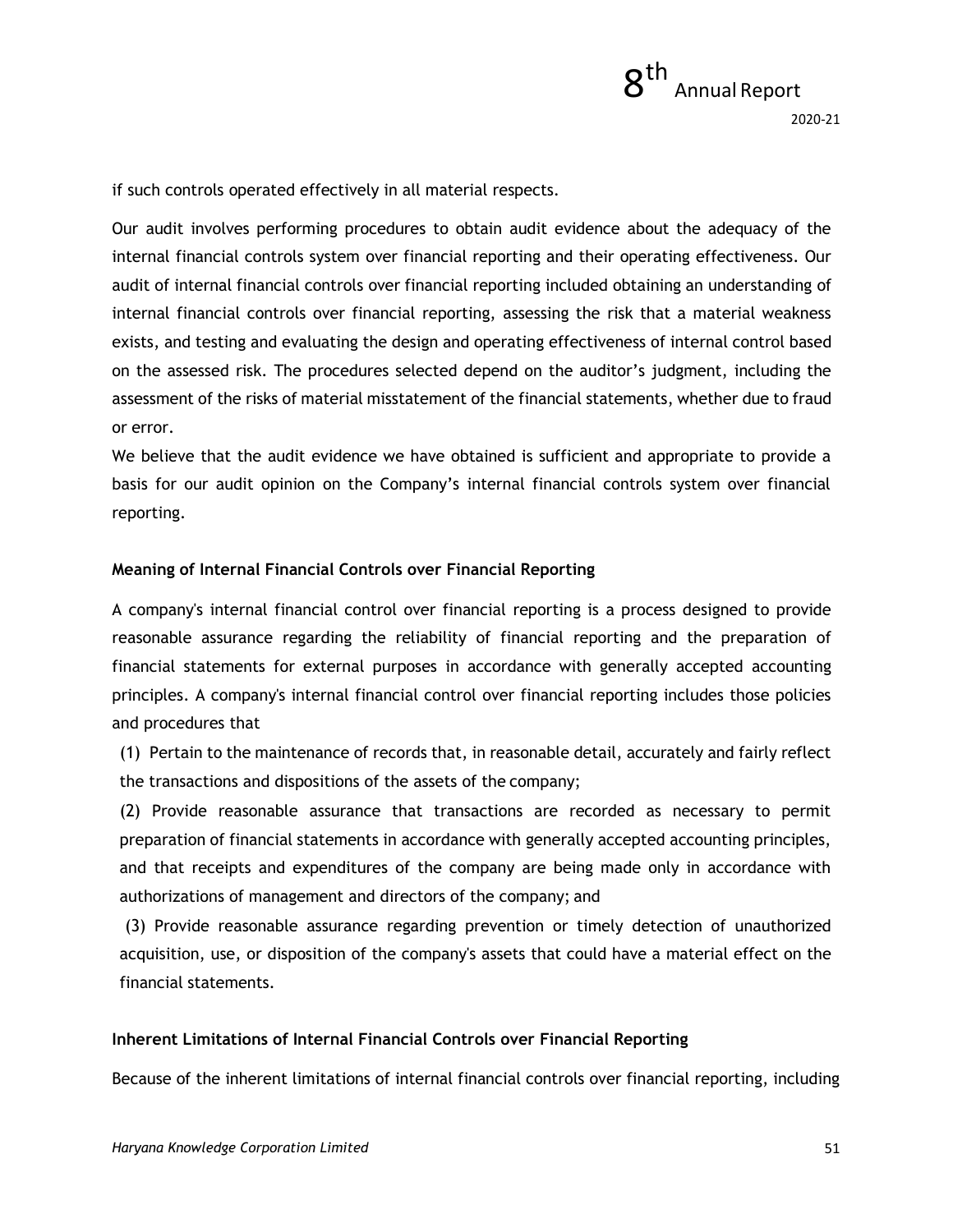

if such controls operated effectively in all material respects.

Our audit involves performing procedures to obtain audit evidence about the adequacy of the internal financial controls system over financial reporting and their operating effectiveness. Our audit of internal financial controls over financial reporting included obtaining an understanding of internal financial controls over financial reporting, assessing the risk that a material weakness exists, and testing and evaluating the design and operating effectiveness of internal control based on the assessed risk. The procedures selected depend on the auditor's judgment, including the assessment of the risks of material misstatement of the financial statements, whether due to fraud or error.

We believe that the audit evidence we have obtained is sufficient and appropriate to provide a basis for our audit opinion on the Company's internal financial controls system over financial reporting.

#### **Meaning of Internal Financial Controls over Financial Reporting**

A company's internal financial control over financial reporting is a process designed to provide reasonable assurance regarding the reliability of financial reporting and the preparation of financial statements for external purposes in accordance with generally accepted accounting principles. A company's internal financial control over financial reporting includes those policies and procedures that

(1) Pertain to the maintenance of records that, in reasonable detail, accurately and fairly reflect the transactions and dispositions of the assets of the company;

(2) Provide reasonable assurance that transactions are recorded as necessary to permit preparation of financial statements in accordance with generally accepted accounting principles, and that receipts and expenditures of the company are being made only in accordance with authorizations of management and directors of the company; and

(3) Provide reasonable assurance regarding prevention or timely detection of unauthorized acquisition, use, or disposition of the company's assets that could have a material effect on the financial statements.

#### **Inherent Limitations of Internal Financial Controls over Financial Reporting**

Because of the inherent limitations of internal financial controls over financial reporting, including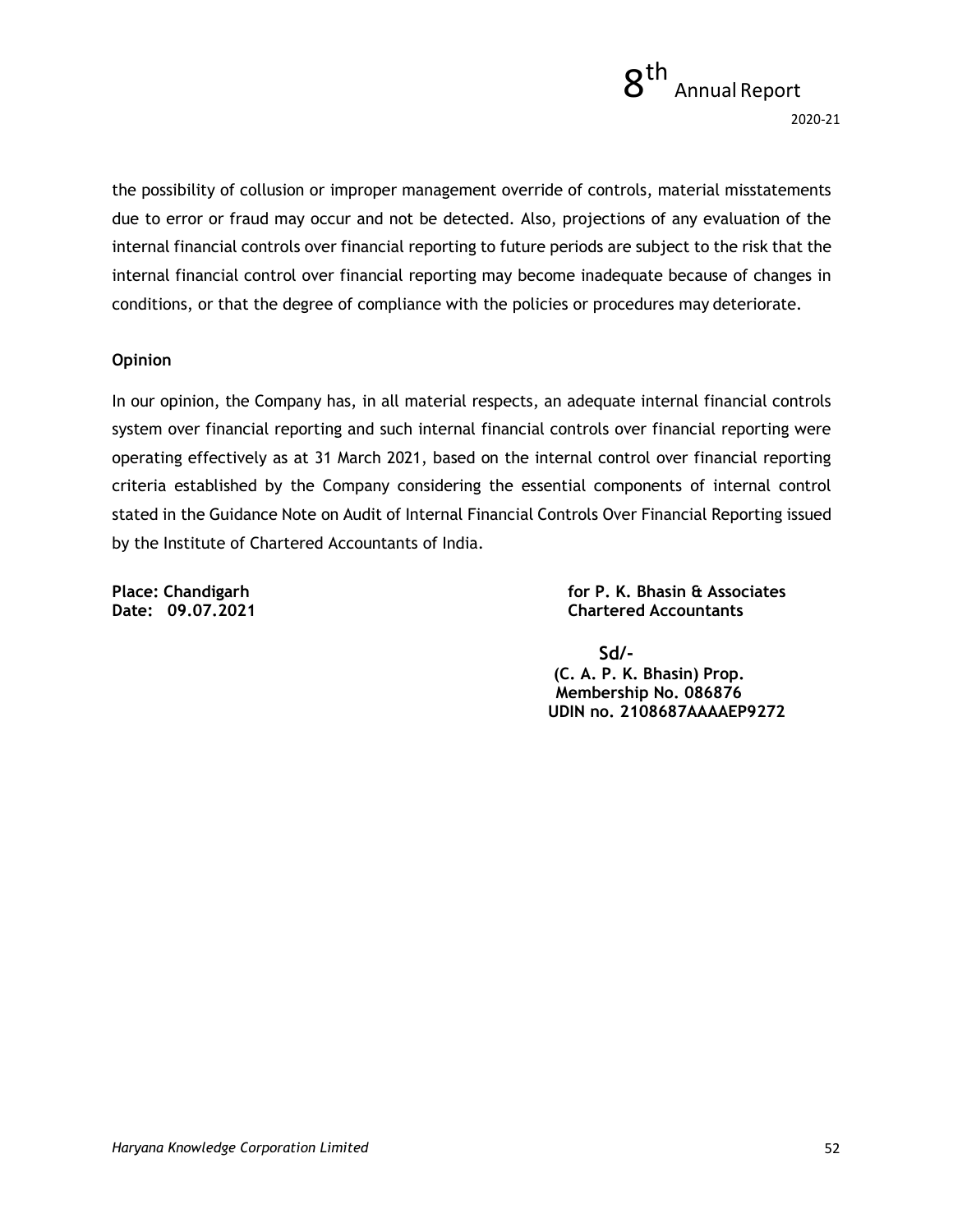

the possibility of collusion or improper management override of controls, material misstatements due to error or fraud may occur and not be detected. Also, projections of any evaluation of the internal financial controls over financial reporting to future periods are subject to the risk that the internal financial control over financial reporting may become inadequate because of changes in conditions, or that the degree of compliance with the policies or procedures may deteriorate.

#### **Opinion**

In our opinion, the Company has, in all material respects, an adequate internal financial controls system over financial reporting and such internal financial controls over financial reporting were operating effectively as at 31 March 2021, based on the internal control over financial reporting criteria established by the Company considering the essential components of internal control stated in the Guidance Note on Audit of Internal Financial Controls Over Financial Reporting issued by the Institute of Chartered Accountants of India.

**Place: Chandigarh for P. K. Bhasin & Associates Date: 09.07.2021 Chartered Accountants**

> **Sd/- (C. A. P. K. Bhasin) Prop. Membership No. 086876 UDIN no. 2108687AAAAEP9272**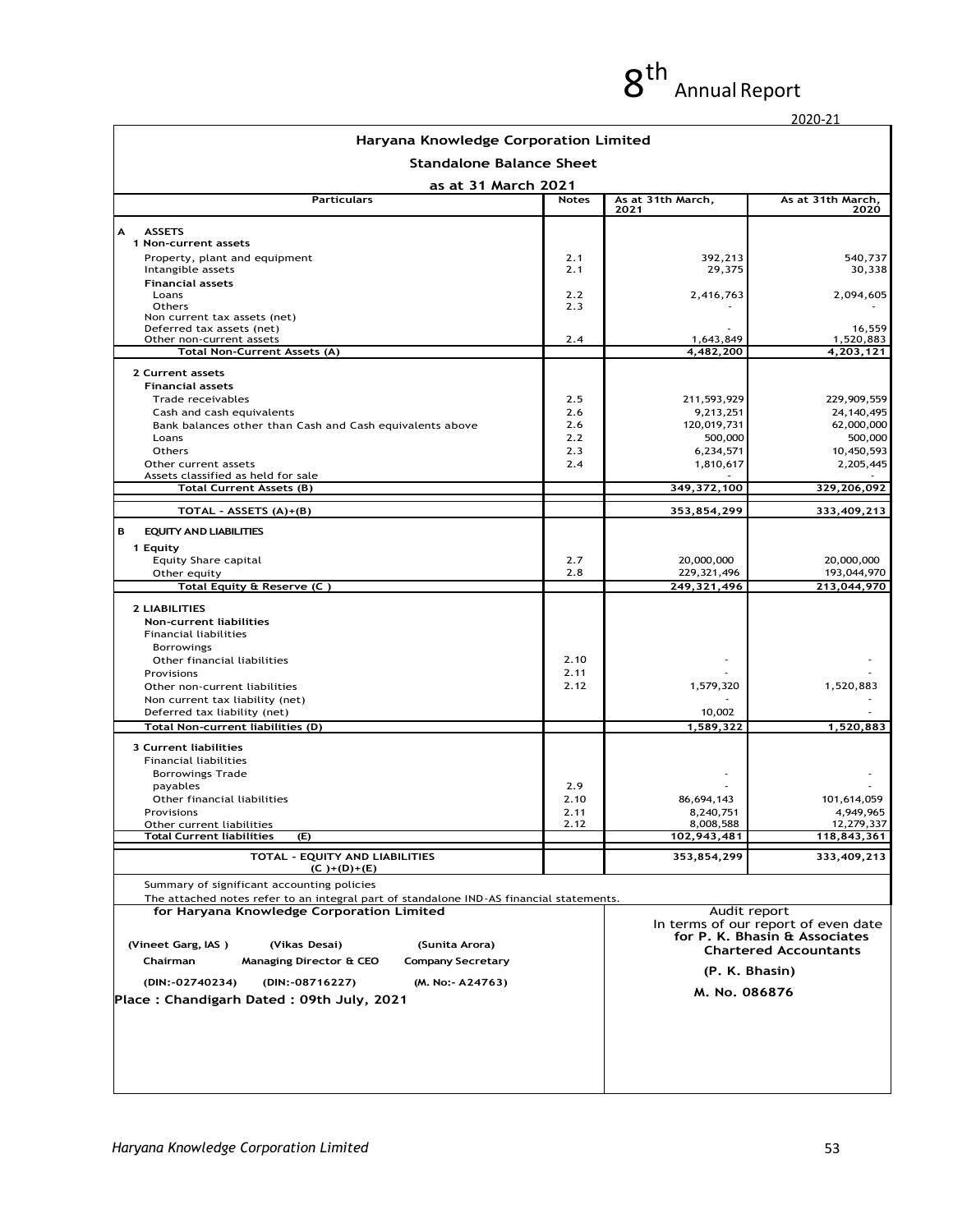

| Haryana Knowledge Corporation Limited                                                                                                |              |                           |                                     |
|--------------------------------------------------------------------------------------------------------------------------------------|--------------|---------------------------|-------------------------------------|
| <b>Standalone Balance Sheet</b>                                                                                                      |              |                           |                                     |
| as at 31 March 2021                                                                                                                  |              |                           |                                     |
| <b>Particulars</b>                                                                                                                   | <b>Notes</b> | As at 31th March,<br>2021 | As at 31th March,<br>2020           |
| <b>ASSETS</b><br>А                                                                                                                   |              |                           |                                     |
| 1 Non-current assets<br>Property, plant and equipment                                                                                | 2.1<br>2.1   | 392,213<br>29,375         | 540,737                             |
| Intangible assets<br><b>Financial assets</b><br>Loans                                                                                | 2.2          |                           | 30,338                              |
| Others<br>Non current tax assets (net)                                                                                               | 2.3          | 2,416,763                 | 2,094,605                           |
| Deferred tax assets (net)                                                                                                            | 2.4          |                           | 16,559                              |
| Other non-current assets<br>Total Non-Current Assets (A)                                                                             |              | 1,643,849<br>4.482.200    | 1,520,883<br>4,203,121              |
| 2 Current assets                                                                                                                     |              |                           |                                     |
| <b>Financial assets</b>                                                                                                              |              |                           |                                     |
| Trade receivables                                                                                                                    | 2.5          | 211,593,929               | 229,909,559                         |
| Cash and cash equivalents                                                                                                            | 2.6          | 9,213,251                 | 24, 140, 495                        |
| Bank balances other than Cash and Cash equivalents above<br>Loans                                                                    | 2.6<br>2.2   | 120,019,731<br>500,000    | 62,000,000<br>500,000               |
| Others                                                                                                                               | 2.3          | 6,234,571                 | 10,450,593                          |
| Other current assets                                                                                                                 | 2.4          | 1,810,617                 | 2,205,445                           |
| Assets classified as held for sale                                                                                                   |              |                           |                                     |
| <b>Total Current Assets (B)</b>                                                                                                      |              | 349, 372, 100             | 329,206,092                         |
| TOTAL - ASSETS (A)+(B)                                                                                                               |              | 353,854,299               | 333,409,213                         |
| B<br><b>EQUITY AND LIABILITIES</b>                                                                                                   |              |                           |                                     |
| 1 Equity                                                                                                                             |              |                           |                                     |
| Equity Share capital<br>Other equity                                                                                                 | 2.7<br>2.8   | 20,000,000<br>229,321,496 | 20,000,000<br>193,044,970           |
| Total Equity & Reserve (C)                                                                                                           |              | 249,321,496               | 213,044,970                         |
|                                                                                                                                      |              |                           |                                     |
| <b>2 LIABILITIES</b><br>Non-current liabilities                                                                                      |              |                           |                                     |
| <b>Financial liabilities</b>                                                                                                         |              |                           |                                     |
| <b>Borrowings</b>                                                                                                                    |              |                           |                                     |
| Other financial liabilities                                                                                                          | 2.10         |                           |                                     |
| Provisions                                                                                                                           | 2.11         |                           |                                     |
| Other non-current liabilities                                                                                                        | 2.12         | 1,579,320                 | 1,520,883                           |
| Non current tax liability (net)                                                                                                      |              |                           |                                     |
| Deferred tax liability (net)                                                                                                         |              | 10,002                    |                                     |
| Total Non-current liabilities (D)                                                                                                    |              | 1,589,322                 | 1,520,883                           |
| <b>3 Current liabilities</b>                                                                                                         |              |                           |                                     |
| <b>Financial liabilities</b>                                                                                                         |              |                           |                                     |
| <b>Borrowings Trade</b><br>payables                                                                                                  | 2.9          |                           |                                     |
| Other financial liabilities                                                                                                          | 2.10         | 86,694,143                | 101,614,059                         |
| Provisions                                                                                                                           | 2.11         | 8,240,751                 | 4,949,965                           |
| Other current liabilities                                                                                                            | 2.12         | 8,008,588                 | 12,279,337                          |
| <b>Total Current liabilities</b><br>(E)                                                                                              |              | 102,943,481               | 118,843,361                         |
| TOTAL - EQUITY AND LIABILITIES<br>$(C) + (D) + (E)$                                                                                  |              | 353,854,299               | 333,409,213                         |
| Summary of significant accounting policies                                                                                           |              |                           |                                     |
| The attached notes refer to an integral part of standalone IND-AS financial statements.<br>for Haryana Knowledge Corporation Limited |              | Audit report              |                                     |
|                                                                                                                                      |              |                           | In terms of our report of even date |
|                                                                                                                                      |              |                           | for P. K. Bhasin & Associates       |
| (Vineet Garg, IAS)<br>(Vikas Desai)<br>(Sunita Arora)                                                                                |              |                           | <b>Chartered Accountants</b>        |
| Chairman<br>Managing Director & CEO<br><b>Company Secretary</b>                                                                      |              | (P. K. Bhasin)            |                                     |
| (DIN:-02740234)<br>(DIN:-08716227)<br>(M. No:- A24763)                                                                               |              |                           |                                     |
| Place: Chandigarh Dated: 09th July, 2021                                                                                             |              | M. No. 086876             |                                     |
|                                                                                                                                      |              |                           |                                     |
|                                                                                                                                      |              |                           |                                     |
|                                                                                                                                      |              |                           |                                     |
|                                                                                                                                      |              |                           |                                     |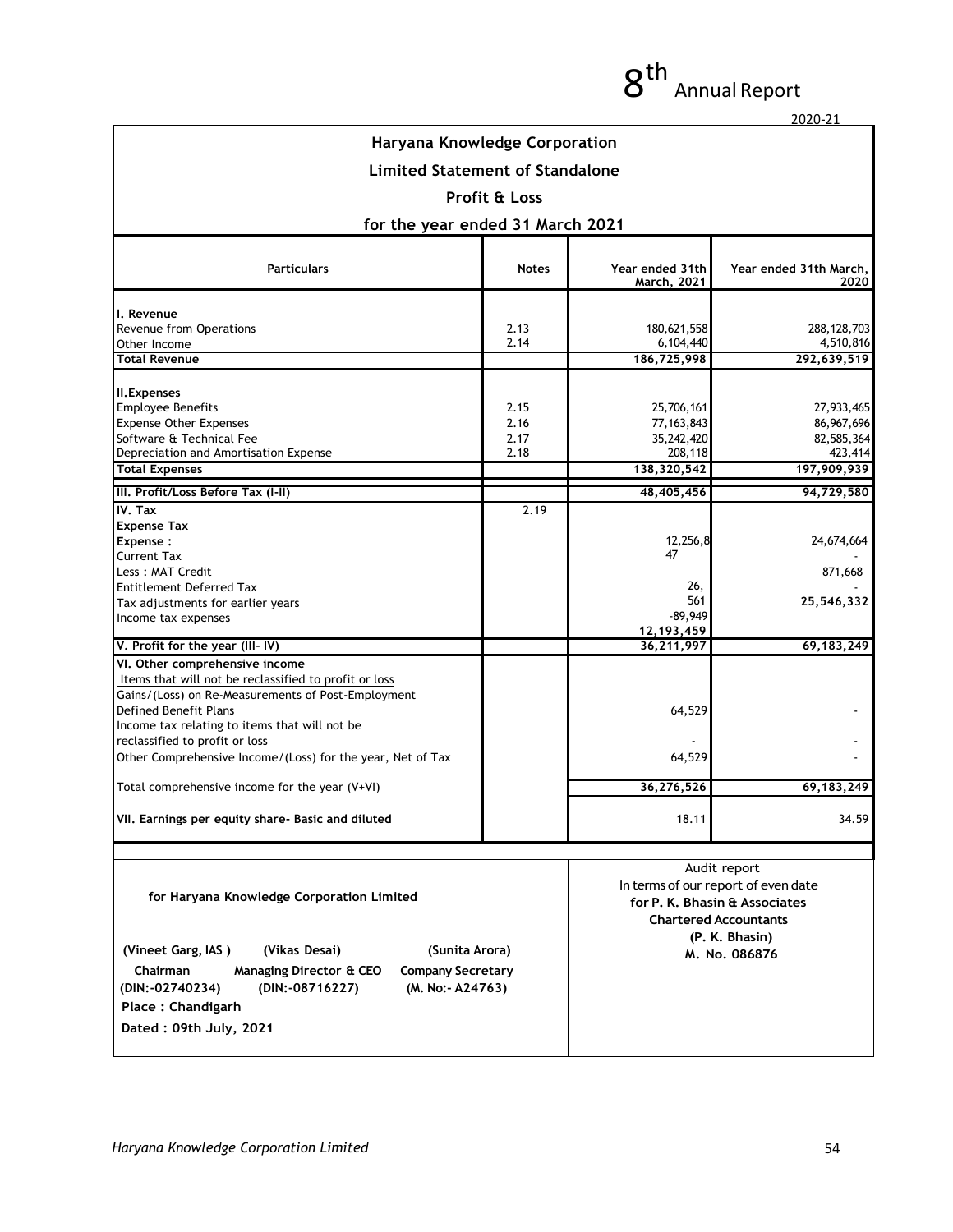

## **Haryana Knowledge Corporation**

#### **Limited Statement of Standalone**

**Profit & Loss**

## **for the year ended 31 March 2021**

| <b>Particulars</b>                                                      | <b>Notes</b> | Year ended 31th        | Year ended 31th March,              |
|-------------------------------------------------------------------------|--------------|------------------------|-------------------------------------|
|                                                                         |              | March, 2021            | 2020                                |
| I. Revenue                                                              |              |                        |                                     |
| <b>Revenue from Operations</b>                                          | 2.13         | 180,621,558            | 288, 128, 703                       |
| Other Income                                                            | 2.14         | 6,104,440              | 4,510,816                           |
| <b>Total Revenue</b>                                                    |              | 186,725,998            | 292,639,519                         |
|                                                                         |              |                        |                                     |
| II. Expenses                                                            |              |                        |                                     |
| <b>Employee Benefits</b>                                                | 2.15         | 25,706,161             | 27,933,465                          |
| <b>Expense Other Expenses</b>                                           | 2.16         | 77,163,843             | 86, 967, 696                        |
| Software & Technical Fee                                                | 2.17         | 35,242,420             | 82,585,364                          |
| Depreciation and Amortisation Expense<br><b>Total Expenses</b>          | 2.18         | 208,118<br>138,320,542 | 423,414<br>197,909,939              |
|                                                                         |              |                        |                                     |
| III. Profit/Loss Before Tax (I-II)                                      |              | 48,405,456             | 94,729,580                          |
| IV. Tax                                                                 | 2.19         |                        |                                     |
| <b>Expense Tax</b>                                                      |              |                        |                                     |
| Expense:<br><b>Current Tax</b>                                          |              | 12,256,8<br>47         | 24,674,664                          |
| Less: MAT Credit                                                        |              |                        | 871,668                             |
| <b>Entitlement Deferred Tax</b>                                         |              | 26.                    |                                     |
| Tax adjustments for earlier years                                       |              | 561                    | 25,546,332                          |
| Income tax expenses                                                     |              | $-89,949$              |                                     |
|                                                                         |              | 12, 193, 459           |                                     |
| V. Profit for the year (III-IV)                                         |              | 36,211,997             | 69, 183, 249                        |
| VI. Other comprehensive income                                          |              |                        |                                     |
| Items that will not be reclassified to profit or loss                   |              |                        |                                     |
| Gains/(Loss) on Re-Measurements of Post-Employment                      |              |                        |                                     |
| Defined Benefit Plans<br>Income tax relating to items that will not be. |              | 64,529                 |                                     |
| reclassified to profit or loss                                          |              |                        |                                     |
| Other Comprehensive Income/(Loss) for the year, Net of Tax              |              | 64,529                 |                                     |
|                                                                         |              |                        |                                     |
| Total comprehensive income for the year $(V+VI)$                        |              | 36,276,526             | 69,183,249                          |
| VII. Earnings per equity share- Basic and diluted                       |              | 18.11                  | 34.59                               |
|                                                                         |              |                        |                                     |
|                                                                         |              |                        | Audit report                        |
|                                                                         |              |                        | In terms of our report of even date |
| for Haryana Knowledge Corporation Limited                               |              |                        | for P. K. Bhasin & Associates       |
|                                                                         |              |                        | <b>Chartered Accountants</b>        |
|                                                                         |              |                        | (P. K. Bhasin)                      |
| (Vineet Garg, IAS)<br>(Vikas Desai)<br>(Sunita Arora)                   |              |                        | M. No. 086876                       |
| Chairman<br>Managing Director & CEO<br><b>Company Secretary</b>         |              |                        |                                     |
| (DIN:-02740234)<br>(M. No:- A24763)<br>(DIN:-08716227)                  |              |                        |                                     |
| Place: Chandigarh                                                       |              |                        |                                     |
| Dated: 09th July, 2021                                                  |              |                        |                                     |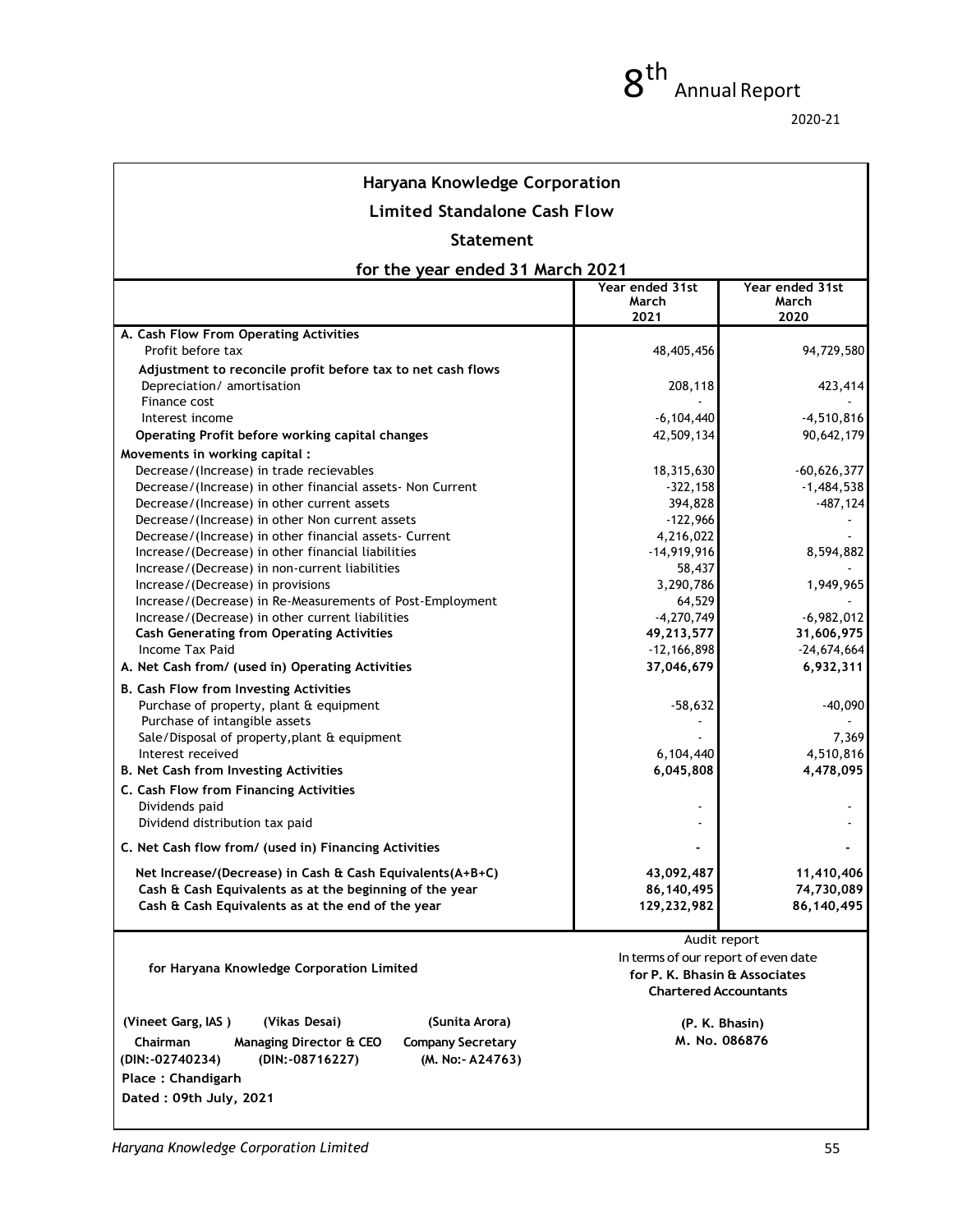

## **Haryana Knowledge Corporation**

**Limited Standalone Cash Flow**

## **Statement**

## **for the year ended 31 March 2021**

|                                                                                                | Year ended 31st<br>March<br>2021    | Year ended 31st<br>March<br>2020 |
|------------------------------------------------------------------------------------------------|-------------------------------------|----------------------------------|
| A. Cash Flow From Operating Activities                                                         |                                     |                                  |
| Profit before tax                                                                              | 48,405,456                          | 94,729,580                       |
| Adjustment to reconcile profit before tax to net cash flows                                    |                                     |                                  |
| Depreciation/ amortisation                                                                     | 208,118                             | 423,414                          |
| Finance cost                                                                                   |                                     |                                  |
| Interest income                                                                                | $-6, 104, 440$                      | $-4,510,816$                     |
| Operating Profit before working capital changes                                                | 42,509,134                          | 90,642,179                       |
| Movements in working capital :                                                                 |                                     |                                  |
| Decrease/(Increase) in trade recievables                                                       | 18,315,630                          | $-60,626,377$                    |
| Decrease/(Increase) in other financial assets- Non Current                                     | $-322,158$                          | $-1,484,538$                     |
| Decrease/(Increase) in other current assets                                                    | 394,828                             | $-487, 124$                      |
| Decrease/(Increase) in other Non current assets                                                | $-122,966$                          |                                  |
| Decrease/(Increase) in other financial assets- Current                                         | 4,216,022                           |                                  |
| Increase/(Decrease) in other financial liabilities                                             | $-14,919,916$                       | 8,594,882                        |
| Increase/(Decrease) in non-current liabilities                                                 | 58,437                              |                                  |
| Increase/(Decrease) in provisions<br>Increase/(Decrease) in Re-Measurements of Post-Employment | 3,290,786                           | 1,949,965                        |
| Increase/(Decrease) in other current liabilities                                               | 64,529<br>$-4,270,749$              | $-6,982,012$                     |
| <b>Cash Generating from Operating Activities</b>                                               | 49,213,577                          | 31,606,975                       |
| Income Tax Paid                                                                                | $-12, 166, 898$                     | $-24,674,664$                    |
| A. Net Cash from/ (used in) Operating Activities                                               | 37,046,679                          | 6,932,311                        |
|                                                                                                |                                     |                                  |
| B. Cash Flow from Investing Activities<br>Purchase of property, plant & equipment              | $-58,632$                           |                                  |
| Purchase of intangible assets                                                                  |                                     | $-40,090$                        |
| Sale/Disposal of property, plant & equipment                                                   |                                     | 7,369                            |
| Interest received                                                                              | 6,104,440                           | 4,510,816                        |
| B. Net Cash from Investing Activities                                                          | 6,045,808                           | 4,478,095                        |
| C. Cash Flow from Financing Activities                                                         |                                     |                                  |
| Dividends paid                                                                                 |                                     |                                  |
| Dividend distribution tax paid                                                                 |                                     |                                  |
|                                                                                                |                                     |                                  |
| C. Net Cash flow from/ (used in) Financing Activities                                          |                                     |                                  |
| Net Increase/(Decrease) in Cash & Cash Equivalents(A+B+C)                                      | 43,092,487                          | 11,410,406                       |
| Cash & Cash Equivalents as at the beginning of the year                                        | 86,140,495                          | 74,730,089                       |
| Cash & Cash Equivalents as at the end of the year                                              | 129,232,982                         | 86, 140, 495                     |
|                                                                                                |                                     |                                  |
|                                                                                                |                                     | Audit report                     |
| for Haryana Knowledge Corporation Limited                                                      | In terms of our report of even date |                                  |
|                                                                                                | for P. K. Bhasin & Associates       |                                  |
|                                                                                                | <b>Chartered Accountants</b>        |                                  |
| (Vineet Garg, IAS)<br>(Vikas Desai)<br>(Sunita Arora)                                          |                                     | (P. K. Bhasin)                   |
| Chairman<br>Managing Director & CEO<br><b>Company Secretary</b>                                |                                     | M. No. 086876                    |
| (DIN:-02740234)<br>(M. No:- A24763)<br>(DIN:-08716227)                                         |                                     |                                  |
| Place: Chandigarh                                                                              |                                     |                                  |
|                                                                                                |                                     |                                  |
| Dated: 09th July, 2021                                                                         |                                     |                                  |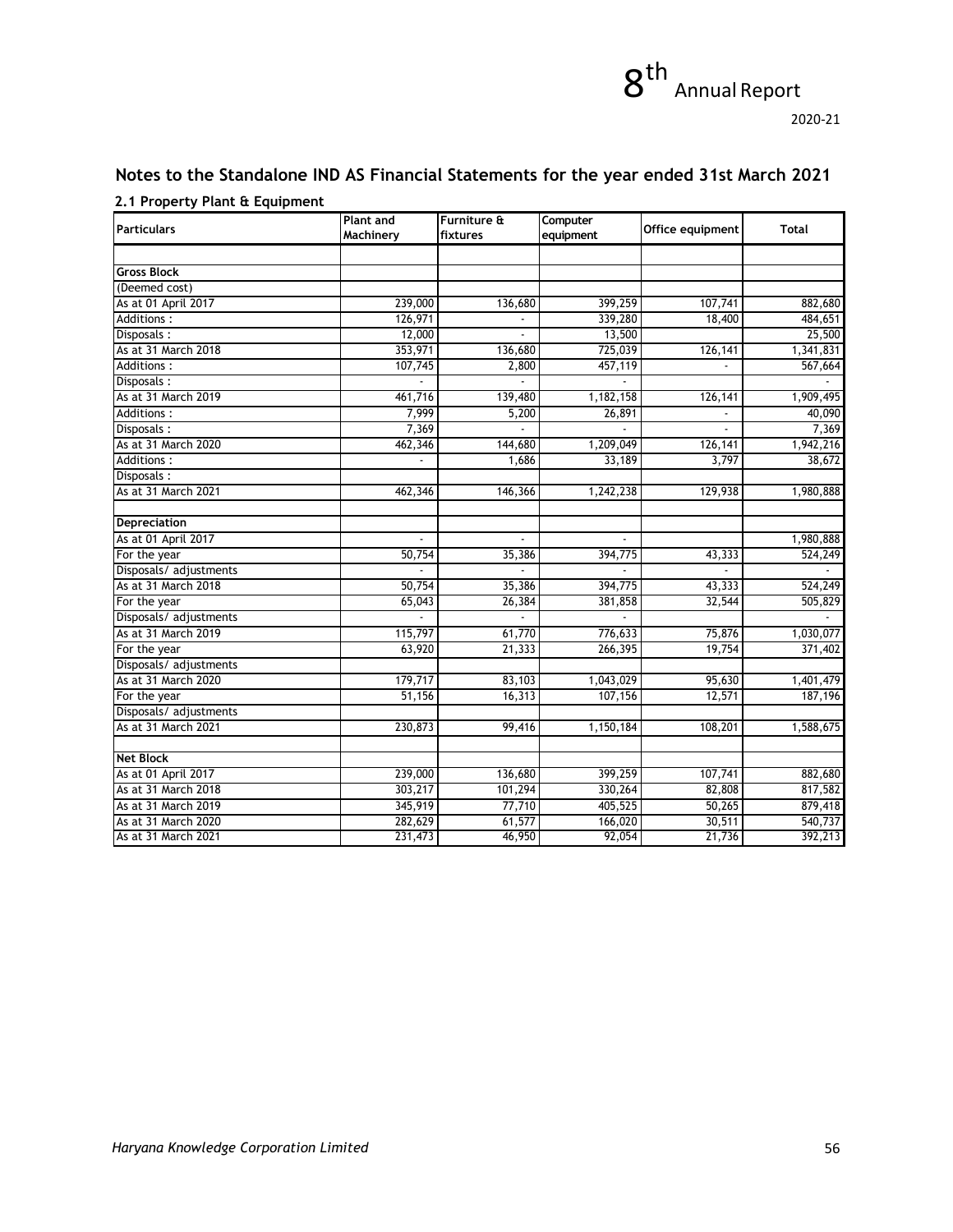

|  |  | 2.1 Property Plant & Equipment |
|--|--|--------------------------------|
|  |  |                                |

| <b>Particulars</b>     | <b>Plant and</b><br>Machinery | Furniture &<br>fixtures | Computer<br>equipment | Office equipment | <b>Total</b> |
|------------------------|-------------------------------|-------------------------|-----------------------|------------------|--------------|
|                        |                               |                         |                       |                  |              |
| <b>Gross Block</b>     |                               |                         |                       |                  |              |
| (Deemed cost)          |                               |                         |                       |                  |              |
| As at 01 April 2017    | 239,000                       | 136,680                 | 399,259               | 107,741          | 882,680      |
| Additions:             | 126,971                       |                         | 339,280               | 18,400           | 484,651      |
| Disposals:             | 12,000                        |                         | 13,500                |                  | 25,500       |
| As at 31 March 2018    | 353,971                       | 136,680                 | 725,039               | 126,141          | 1,341,831    |
| Additions:             | 107,745                       | 2,800                   | 457,119               |                  | 567,664      |
| Disposals:             |                               |                         |                       |                  |              |
| As at 31 March 2019    | 461,716                       | 139,480                 | 1,182,158             | 126,141          | 1,909,495    |
| Additions:             | 7,999                         | 5,200                   | 26,891                |                  | 40,090       |
| Disposals:             | 7,369                         |                         |                       | ÷.               | 7,369        |
| As at 31 March 2020    | 462,346                       | 144,680                 | 1,209,049             | 126,141          | 1,942,216    |
| Additions:             |                               | 1,686                   | 33,189                | 3,797            | 38,672       |
| Disposals:             |                               |                         |                       |                  |              |
| As at 31 March 2021    | 462,346                       | 146,366                 | 1,242,238             | 129,938          | 1,980,888    |
| Depreciation           |                               |                         |                       |                  |              |
| As at 01 April 2017    | $\overline{a}$                | $\overline{a}$          | ÷.                    |                  | 1,980,888    |
| For the year           | 50,754                        | 35,386                  | 394,775               | 43,333           | 524,249      |
| Disposals/ adjustments |                               |                         |                       |                  |              |
| As at 31 March 2018    | 50,754                        | 35,386                  | 394,775               | 43,333           | 524,249      |
| For the year           | 65,043                        | 26,384                  | 381,858               | 32,544           | 505,829      |
| Disposals/ adjustments |                               |                         |                       |                  |              |
| As at 31 March 2019    | 115,797                       | 61,770                  | 776,633               | 75,876           | 1,030,077    |
| For the year           | 63,920                        | 21,333                  | 266,395               | 19,754           | 371,402      |
| Disposals/ adjustments |                               |                         |                       |                  |              |
| As at 31 March 2020    | 179,717                       | 83,103                  | 1,043,029             | 95,630           | 1,401,479    |
| For the year           | 51,156                        | 16,313                  | 107,156               | 12,571           | 187,196      |
| Disposals/ adjustments |                               |                         |                       |                  |              |
| As at 31 March 2021    | 230,873                       | 99,416                  | 1,150,184             | 108,201          | 1,588,675    |
| <b>Net Block</b>       |                               |                         |                       |                  |              |
| As at 01 April 2017    | 239,000                       | 136,680                 | 399,259               | 107,741          | 882,680      |
| As at 31 March 2018    | 303,217                       | 101,294                 | 330,264               | 82,808           | 817,582      |
| As at 31 March 2019    | 345,919                       | 77,710                  | 405,525               | 50,265           | 879,418      |
| As at 31 March 2020    | 282,629                       | 61,577                  | 166,020               | 30,511           | 540,737      |
| As at 31 March 2021    | 231,473                       | 46,950                  | 92,054                | 21,736           | 392,213      |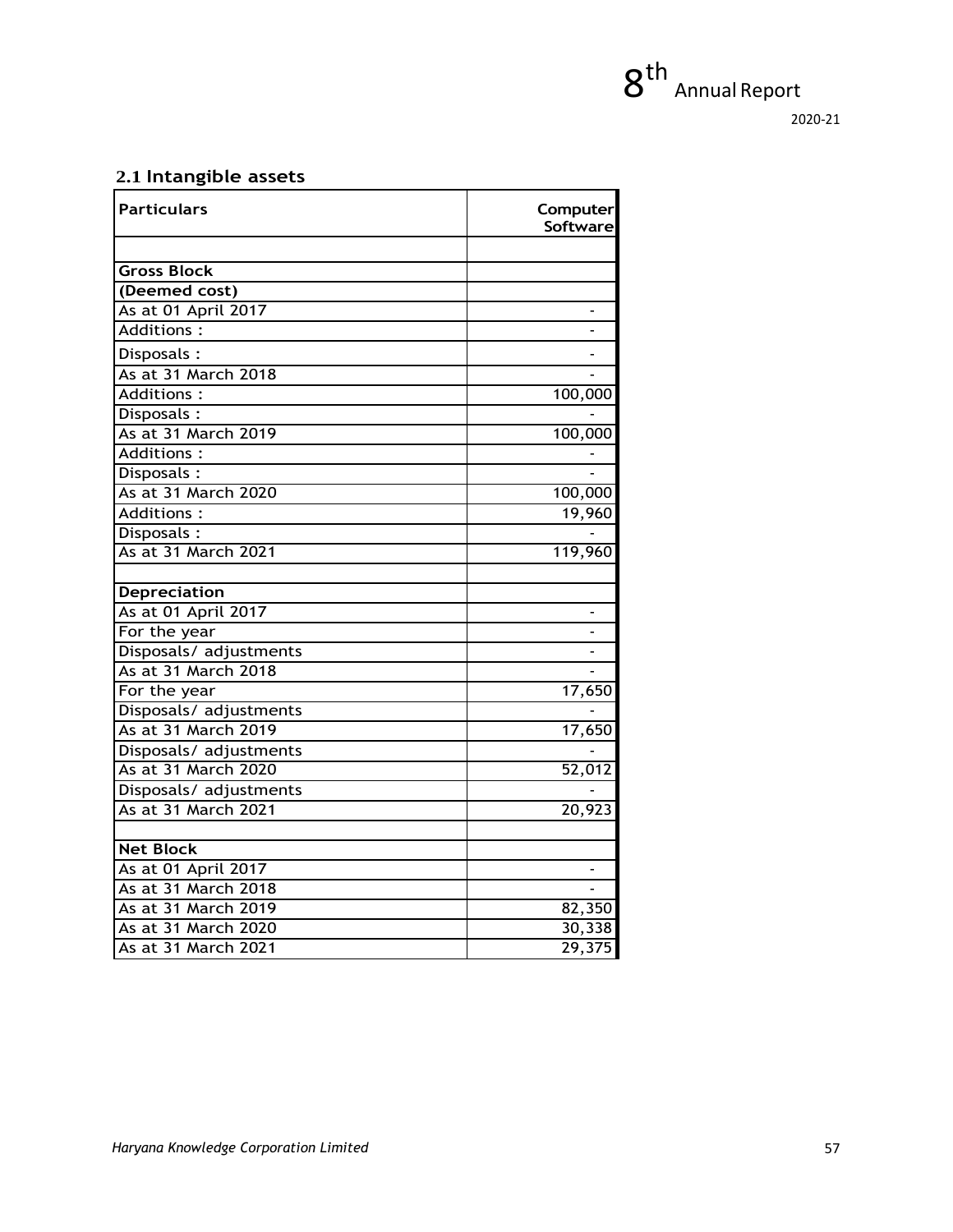# $8^{\text{th}}$ Annual Report

2020-21

## **2.1 Intangible assets**

| <b>Particulars</b>     | Computer<br><b>Software</b> |  |  |
|------------------------|-----------------------------|--|--|
|                        |                             |  |  |
| <b>Gross Block</b>     |                             |  |  |
| (Deemed cost)          |                             |  |  |
| As at 01 April 2017    |                             |  |  |
| Additions:             |                             |  |  |
| Disposals:             |                             |  |  |
| As at 31 March 2018    |                             |  |  |
| Additions:             | 100,000                     |  |  |
| Disposals:             |                             |  |  |
| As at 31 March 2019    | 100,000                     |  |  |
| Additions:             |                             |  |  |
| Disposals:             |                             |  |  |
| As at 31 March 2020    | 100,000                     |  |  |
| Additions:             | 19,960                      |  |  |
| Disposals:             |                             |  |  |
| As at 31 March 2021    | 119,960                     |  |  |
| <b>Depreciation</b>    |                             |  |  |
| As at 01 April 2017    |                             |  |  |
| For the year           |                             |  |  |
| Disposals/ adjustments |                             |  |  |
| As at 31 March 2018    |                             |  |  |
| For the year           | 17,650                      |  |  |
| Disposals/ adjustments |                             |  |  |
| As at 31 March 2019    | 17,650                      |  |  |
| Disposals/ adjustments |                             |  |  |
| As at 31 March 2020    | 52,012                      |  |  |
| Disposals/ adjustments |                             |  |  |
| As at 31 March 2021    | 20,923                      |  |  |
| <b>Net Block</b>       |                             |  |  |
| As at 01 April 2017    |                             |  |  |
| As at 31 March 2018    |                             |  |  |
| As at 31 March 2019    | 82,350                      |  |  |
| As at 31 March 2020    | 30,338                      |  |  |
| As at 31 March 2021    | 29,375                      |  |  |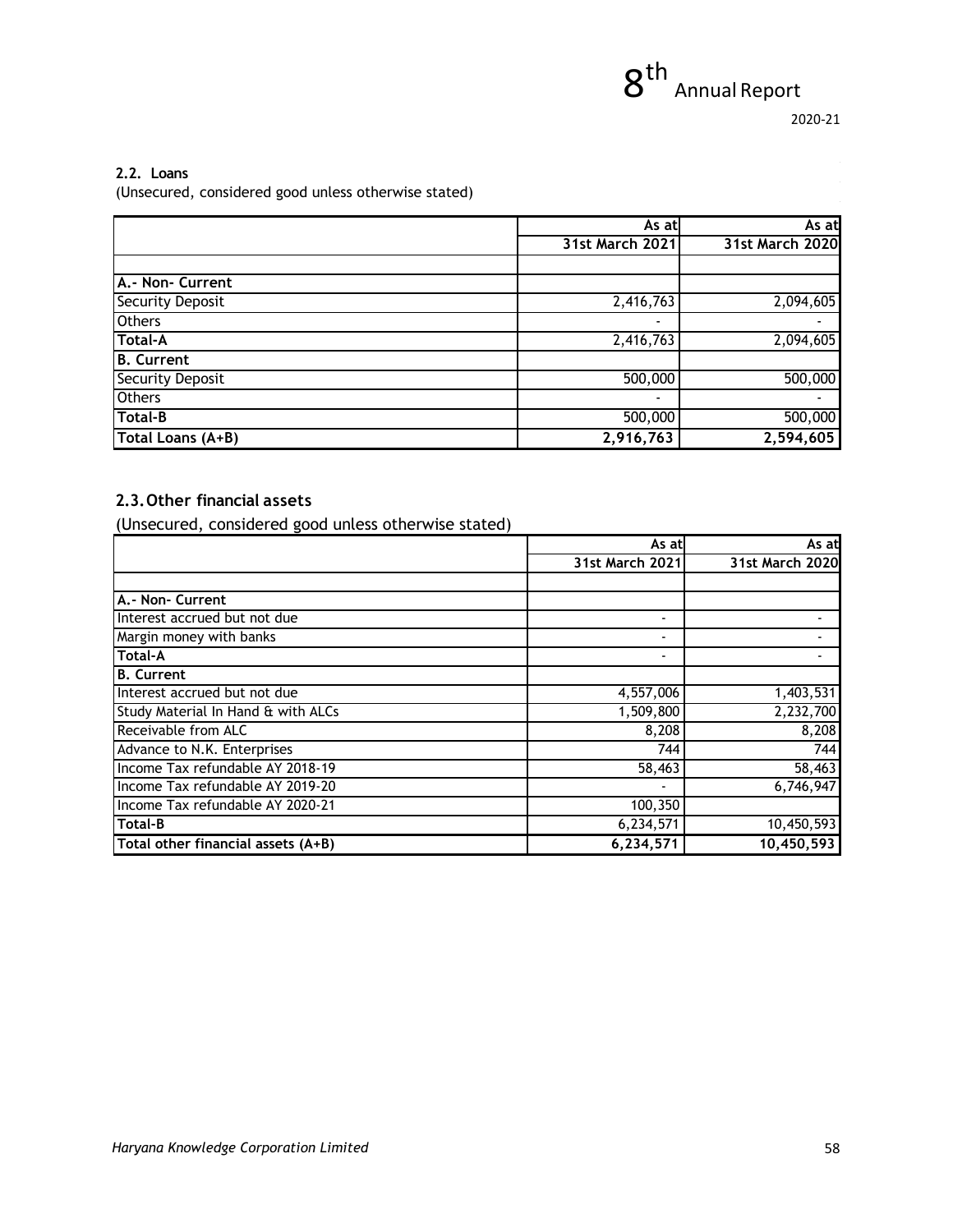

## **2.2. Loans**

(Unsecured, considered good unless otherwise stated)

|                         | As at           | As at           |
|-------------------------|-----------------|-----------------|
|                         | 31st March 2021 | 31st March 2020 |
|                         |                 |                 |
| A.- Non- Current        |                 |                 |
| <b>Security Deposit</b> | 2,416,763       | 2,094,605       |
| <b>Others</b>           |                 |                 |
| Total-A                 | 2,416,763       | 2,094,605       |
| <b>B.</b> Current       |                 |                 |
| Security Deposit        | 500,000         | 500,000         |
| <b>Others</b>           | ۰               |                 |
| <b>Total-B</b>          | 500,000         | 500,000         |
| Total Loans (A+B)       | 2,916,763       | 2,594,605       |

## **2.3.Other financial assets**

(Unsecured, considered good unless otherwise stated)

|                                    | As at           | As at           |
|------------------------------------|-----------------|-----------------|
|                                    | 31st March 2021 | 31st March 2020 |
|                                    |                 |                 |
| A.- Non- Current                   |                 |                 |
| Interest accrued but not due       | $\blacksquare$  |                 |
| Margin money with banks            | $\blacksquare$  |                 |
| <b>Total-A</b>                     |                 |                 |
| <b>B.</b> Current                  |                 |                 |
| Interest accrued but not due       | 4,557,006       | 1,403,531       |
| Study Material In Hand & with ALCs | 1,509,800       | 2,232,700       |
| Receivable from ALC                | 8,208           | 8,208           |
| Advance to N.K. Enterprises        | 744             | 744             |
| Income Tax refundable AY 2018-19   | 58,463          | 58,463          |
| Income Tax refundable AY 2019-20   |                 | 6,746,947       |
| Income Tax refundable AY 2020-21   | 100,350         |                 |
| <b>Total-B</b>                     | 6,234,571       | 10,450,593      |
| Total other financial assets (A+B) | 6,234,571       | 10,450,593      |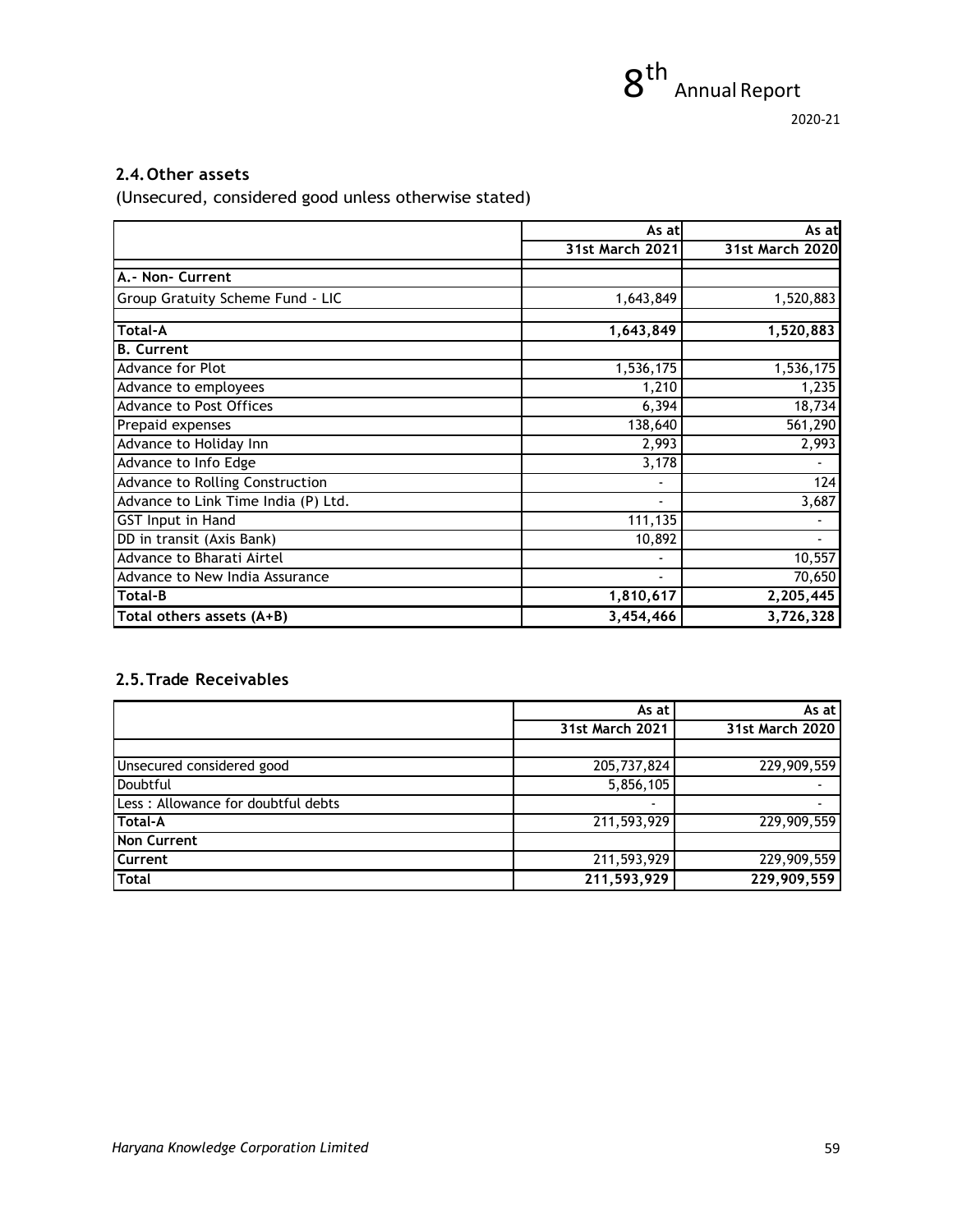

## **2.4.Other assets**

(Unsecured, considered good unless otherwise stated)

|                                     | As at           | As at                  |  |
|-------------------------------------|-----------------|------------------------|--|
|                                     | 31st March 2021 | <b>31st March 2020</b> |  |
|                                     |                 |                        |  |
| A.- Non- Current                    |                 |                        |  |
| Group Gratuity Scheme Fund - LIC    | 1,643,849       | 1,520,883              |  |
|                                     |                 |                        |  |
| <b>Total-A</b>                      | 1,643,849       | 1,520,883              |  |
| <b>B.</b> Current                   |                 |                        |  |
| <b>Advance for Plot</b>             | 1,536,175       | 1,536,175              |  |
| Advance to employees                | 1,210           | 1,235                  |  |
| <b>Advance to Post Offices</b>      | 6,394           | 18,734                 |  |
| Prepaid expenses                    | 138,640         | 561,290                |  |
| Advance to Holiday Inn              | 2,993           | 2,993                  |  |
| Advance to Info Edge                | 3,178           |                        |  |
| Advance to Rolling Construction     | $\blacksquare$  | 124                    |  |
| Advance to Link Time India (P) Ltd. | $\blacksquare$  | 3,687                  |  |
| <b>GST Input in Hand</b>            | 111,135         |                        |  |
| DD in transit (Axis Bank)           | 10,892          | $\blacksquare$         |  |
| Advance to Bharati Airtel           | $\blacksquare$  | 10,557                 |  |
| Advance to New India Assurance      | $\blacksquare$  | 70,650                 |  |
| <b>Total-B</b>                      | 1,810,617       | 2,205,445              |  |
| Total others assets (A+B)           | 3,454,466       | 3,726,328              |  |

## **2.5.Trade Receivables**

|                                     | As at           | As at                  |
|-------------------------------------|-----------------|------------------------|
|                                     | 31st March 2021 | <b>31st March 2020</b> |
|                                     |                 |                        |
| Unsecured considered good           | 205,737,824     | 229,909,559            |
| Doubtful                            | 5,856,105       |                        |
| Less : Allowance for doubtful debts | -               |                        |
| <b>Total-A</b>                      | 211,593,929     | 229,909,559            |
| <b>Non Current</b>                  |                 |                        |
| <b>Current</b>                      | 211,593,929     | 229,909,559            |
| <b>Total</b>                        | 211,593,929     | 229,909,559            |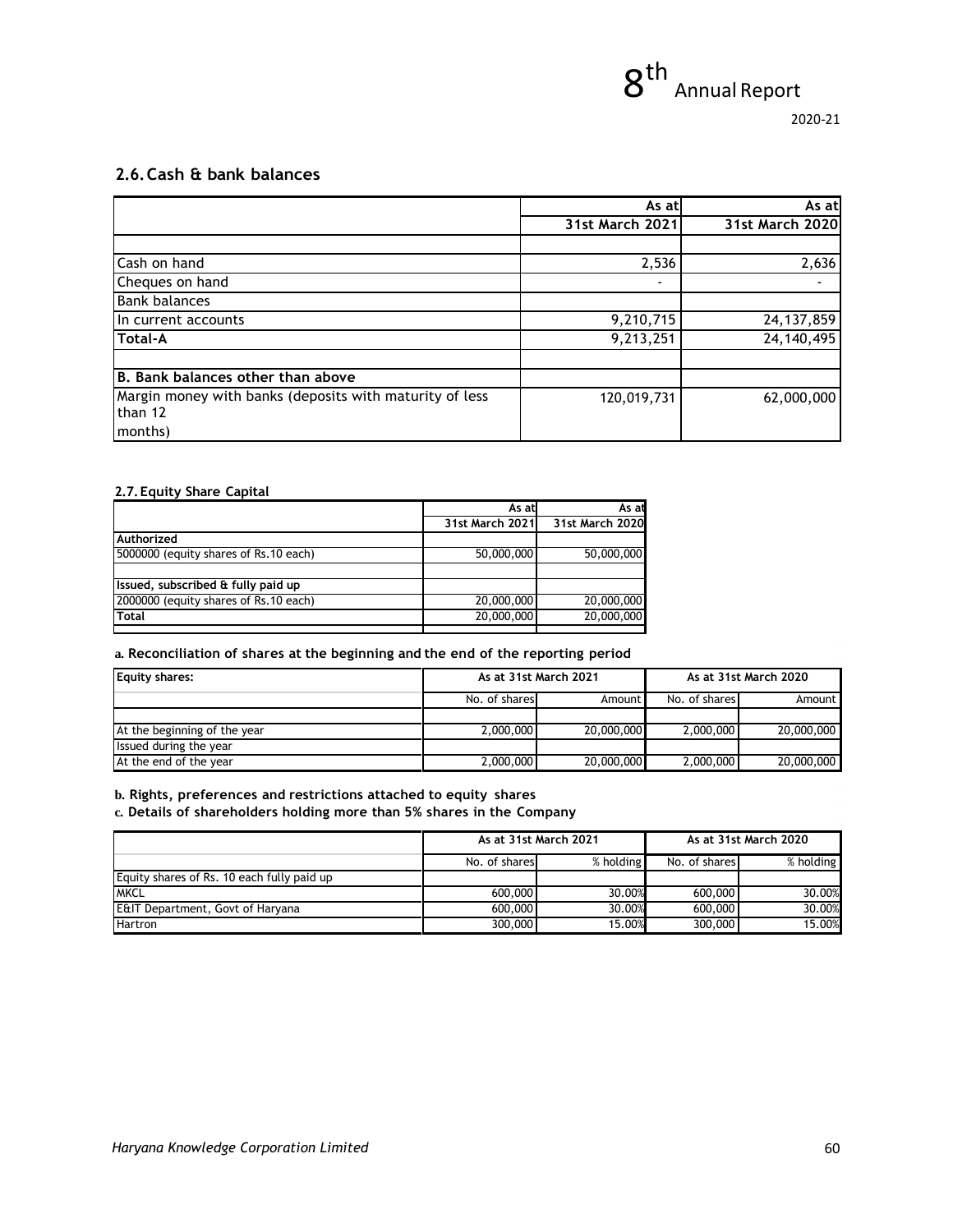

## **2.6.Cash & bank balances**

|                                                                    | As at           | As at                  |
|--------------------------------------------------------------------|-----------------|------------------------|
|                                                                    | 31st March 2021 | <b>31st March 2020</b> |
|                                                                    |                 |                        |
| Cash on hand                                                       | 2,536           | 2,636                  |
| Cheques on hand                                                    | ۰               |                        |
| <b>Bank balances</b>                                               |                 |                        |
| In current accounts                                                | 9,210,715       | 24, 137, 859           |
| <b>Total-A</b>                                                     | 9,213,251       | 24, 140, 495           |
|                                                                    |                 |                        |
| B. Bank balances other than above                                  |                 |                        |
| Margin money with banks (deposits with maturity of less<br>than 12 | 120,019,731     | 62,000,000             |
| months)                                                            |                 |                        |

#### **2.7.Equity Share Capital**

|                                       | As at           | As at           |
|---------------------------------------|-----------------|-----------------|
|                                       | 31st March 2021 | 31st March 2020 |
| Authorized                            |                 |                 |
| 5000000 (equity shares of Rs.10 each) | 50,000,000      | 50,000,000      |
|                                       |                 |                 |
| Issued, subscribed & fully paid up    |                 |                 |
| 2000000 (equity shares of Rs.10 each) | 20,000,000      | 20,000,000      |
| <b>Total</b>                          | 20,000,000      | 20,000,000      |
|                                       |                 |                 |

**a. Reconciliation of shares at the beginning and the end of the reporting period**

| <b>Equity shares:</b>        | As at 31st March 2021 |            | As at 31st March 2020 |            |  |
|------------------------------|-----------------------|------------|-----------------------|------------|--|
|                              | No. of shares         | Amount     | No. of shares         | Amount     |  |
|                              |                       |            |                       |            |  |
| At the beginning of the year | 2,000,000             | 20,000,000 | 2,000,000             | 20,000,000 |  |
| Issued during the year       |                       |            |                       |            |  |
| At the end of the year       | 2,000,000             | 20,000,000 | 2,000,000             | 20,000,000 |  |

**b. Rights, preferences and restrictions attached to equity shares**

**c. Details of shareholders holding more than 5% shares in the Company**

|                                            | As at 31st March 2021 |           | As at 31st March 2020 |           |
|--------------------------------------------|-----------------------|-----------|-----------------------|-----------|
|                                            | No. of shares         | % holding | No. of shares         | % holding |
| Equity shares of Rs. 10 each fully paid up |                       |           |                       |           |
| <b>MKCL</b>                                | 600,000               | 30.00%    | 600,000               | 30.00%    |
| E&IT Department, Govt of Haryana           | 600,000               | 30.00%    | 600,000               | 30.00%    |
| Hartron                                    | 300,000               | 15.00%    | 300,000               | 15.00%    |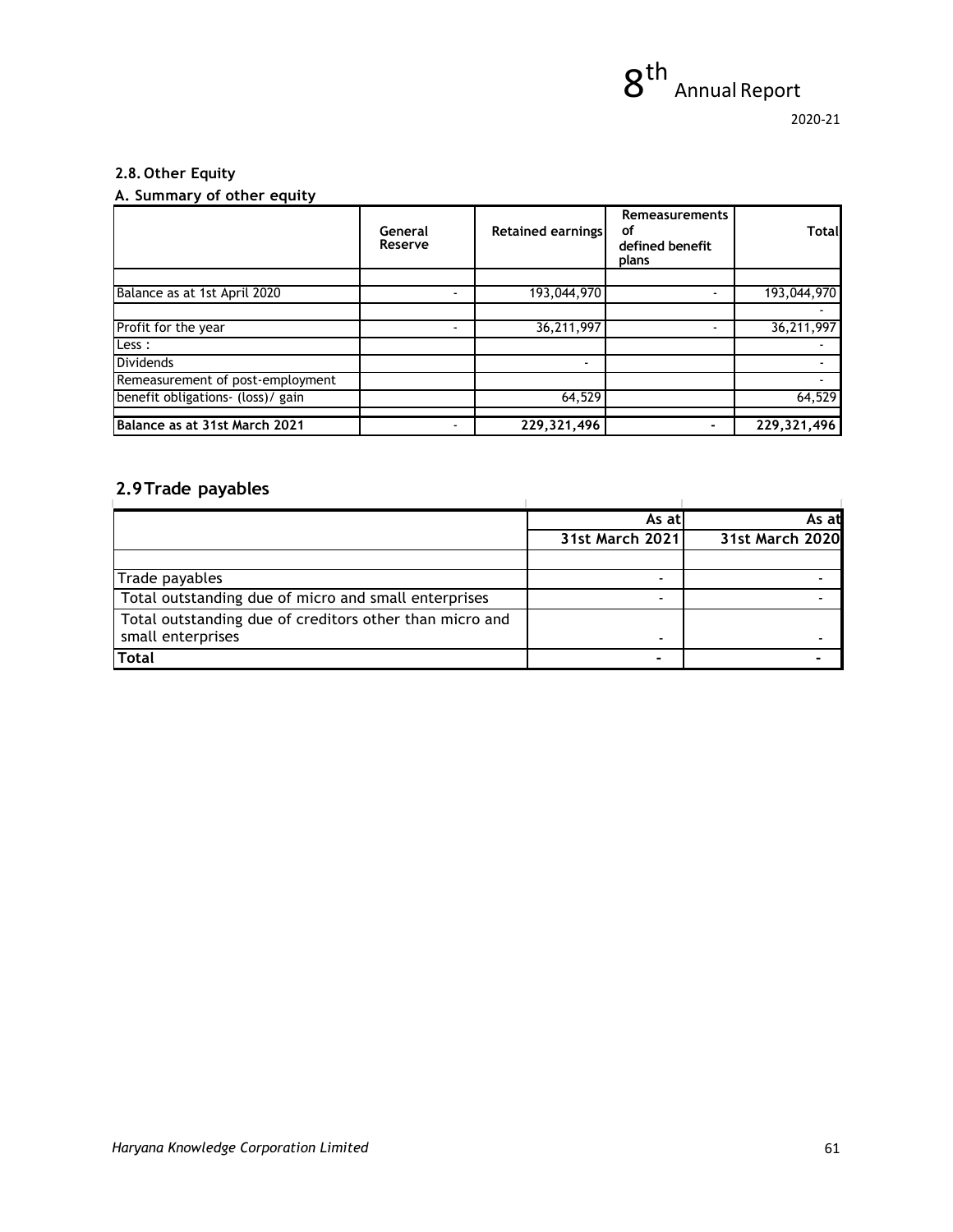

## **2.8. Other Equity**

### **A. Summary of other equity**

|                                   | General<br>Reserve | <b>Retained earnings</b> | <b>Remeasurements</b><br>οf<br>defined benefit<br>plans | <b>Total</b> |
|-----------------------------------|--------------------|--------------------------|---------------------------------------------------------|--------------|
|                                   |                    |                          |                                                         |              |
| Balance as at 1st April 2020      |                    | 193,044,970              |                                                         | 193,044,970  |
|                                   |                    |                          |                                                         |              |
| Profit for the year               |                    | 36,211,997               |                                                         | 36,211,997   |
| Less :                            |                    |                          |                                                         |              |
| <b>Dividends</b>                  |                    | ٠                        |                                                         |              |
| Remeasurement of post-employment  |                    |                          |                                                         |              |
| benefit obligations- (loss)/ gain |                    | 64,529                   |                                                         | 64,529       |
| Balance as at 31st March 2021     |                    | 229,321,496              |                                                         | 229,321,496  |

## **2.9Trade payables**

| <b>L.7 Have payables</b>                                |                 |                 |
|---------------------------------------------------------|-----------------|-----------------|
|                                                         | As atl          | As at           |
|                                                         | 31st March 2021 | 31st March 2020 |
|                                                         |                 |                 |
| Trade payables                                          |                 |                 |
| Total outstanding due of micro and small enterprises    |                 |                 |
| Total outstanding due of creditors other than micro and |                 |                 |
| small enterprises                                       |                 |                 |
| <b>Total</b>                                            |                 |                 |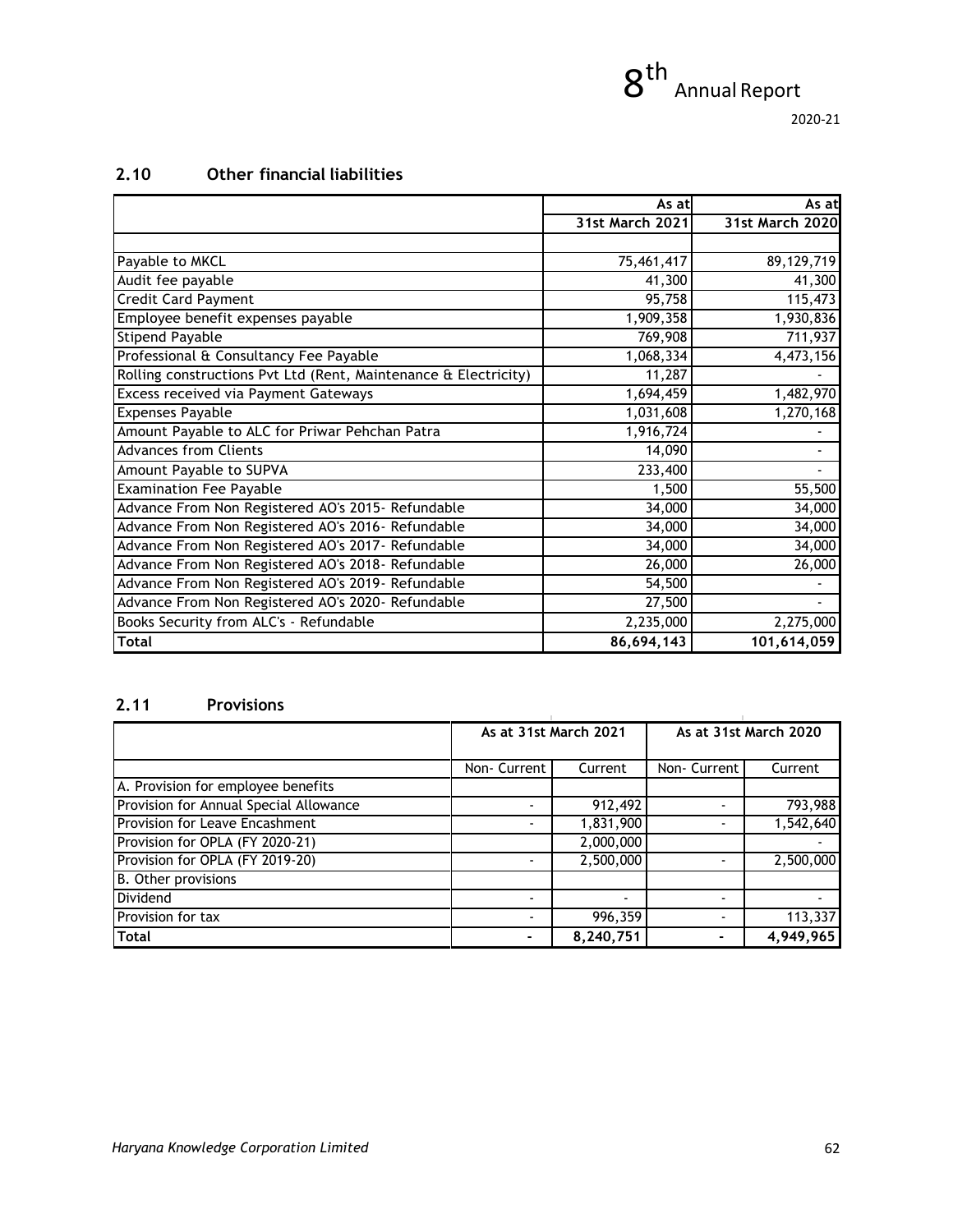

|                                                                 | As at           | As at           |
|-----------------------------------------------------------------|-----------------|-----------------|
|                                                                 | 31st March 2021 | 31st March 2020 |
|                                                                 |                 |                 |
| Payable to MKCL                                                 | 75,461,417      | 89, 129, 719    |
| Audit fee payable                                               | 41,300          | 41,300          |
| <b>Credit Card Payment</b>                                      | 95,758          | 115,473         |
| Employee benefit expenses payable                               | 1,909,358       | 1,930,836       |
| Stipend Payable                                                 | 769,908         | 711,937         |
| Professional & Consultancy Fee Payable                          | 1,068,334       | 4,473,156       |
| Rolling constructions Pvt Ltd (Rent, Maintenance & Electricity) | 11,287          |                 |
| Excess received via Payment Gateways                            | 1,694,459       | 1,482,970       |
| <b>Expenses Payable</b>                                         | 1,031,608       | 1,270,168       |
| Amount Payable to ALC for Priwar Pehchan Patra                  | 1,916,724       |                 |
| <b>Advances from Clients</b>                                    | 14,090          |                 |
| Amount Payable to SUPVA                                         | 233,400         |                 |
| <b>Examination Fee Payable</b>                                  | 1,500           | 55,500          |
| Advance From Non Registered AO's 2015- Refundable               | 34,000          | 34,000          |
| Advance From Non Registered AO's 2016- Refundable               | 34,000          | 34,000          |
| Advance From Non Registered AO's 2017- Refundable               | 34,000          | 34,000          |
| Advance From Non Registered AO's 2018- Refundable               | 26,000          | 26,000          |
| Advance From Non Registered AO's 2019- Refundable               | 54,500          |                 |
| Advance From Non Registered AO's 2020- Refundable               | 27,500          |                 |
| Books Security from ALC's - Refundable                          | 2,235,000       | 2,275,000       |
| <b>Total</b>                                                    | 86,694,143      | 101,614,059     |

## **2.10 Other financial liabilities**

## **2.11 Provisions**

| <u></u><br>, , , , , , , , , , ,       |                       |           |                       |           |
|----------------------------------------|-----------------------|-----------|-----------------------|-----------|
|                                        | As at 31st March 2021 |           | As at 31st March 2020 |           |
|                                        | Non- Current          | Current   | Non- Current          | Current   |
| A. Provision for employee benefits     |                       |           |                       |           |
| Provision for Annual Special Allowance |                       | 912,492   |                       | 793,988   |
| Provision for Leave Encashment         |                       | 1,831,900 |                       | 1,542,640 |
| Provision for OPLA (FY 2020-21)        |                       | 2,000,000 |                       |           |
| Provision for OPLA (FY 2019-20)        |                       | 2,500,000 |                       | 2,500,000 |
| <b>B.</b> Other provisions             |                       |           |                       |           |
| Dividend                               |                       |           |                       |           |
| <b>Provision for tax</b>               |                       | 996,359   |                       | 113,337   |
| Total                                  |                       | 8,240,751 |                       | 4,949,965 |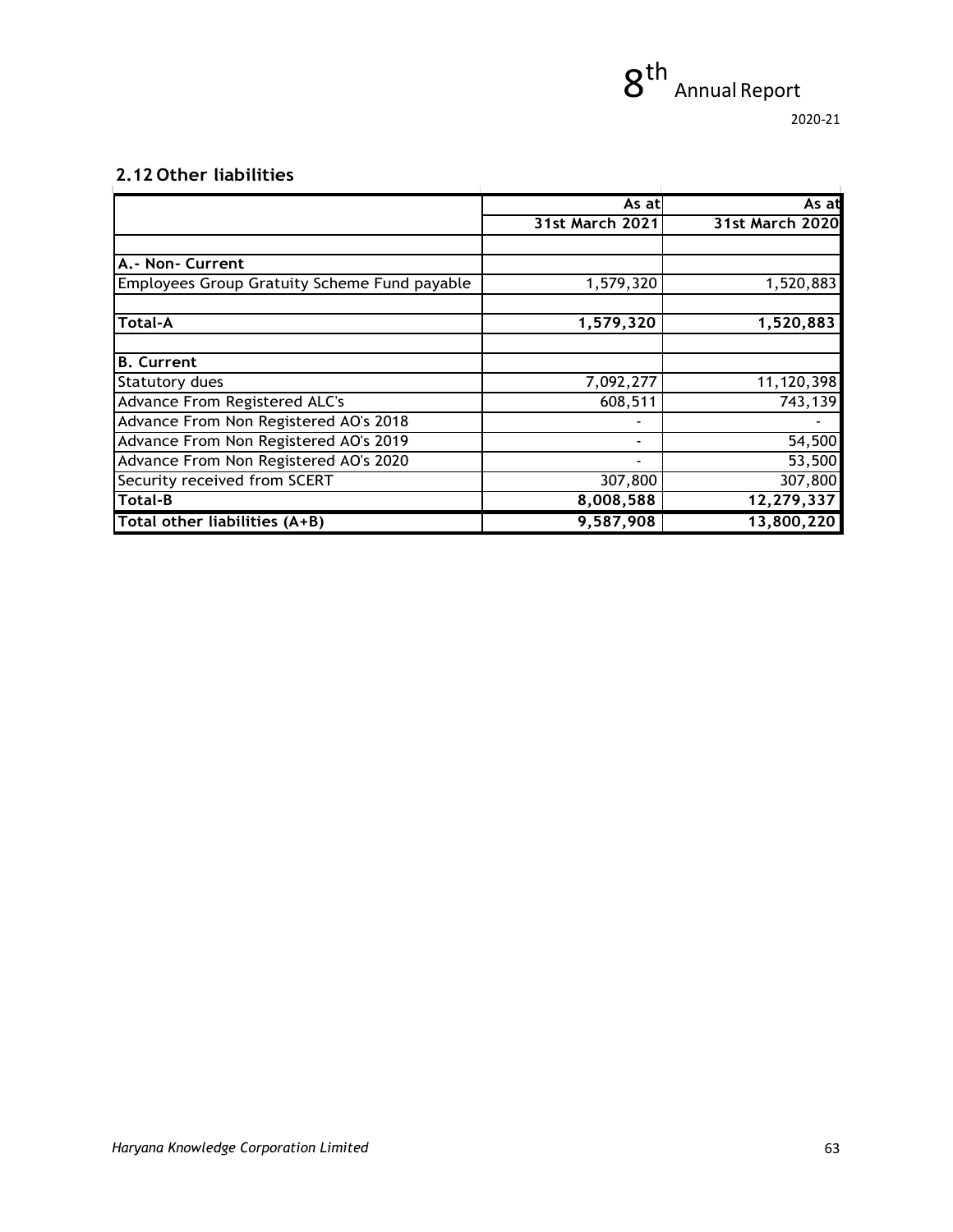

## **2.12 Other liabilities**

| <u>z. IZ Otilet tiabilities</u>              |                        |                        |  |  |  |
|----------------------------------------------|------------------------|------------------------|--|--|--|
|                                              | As at                  | As at                  |  |  |  |
|                                              | <b>31st March 2021</b> | <b>31st March 2020</b> |  |  |  |
| A.- Non- Current                             |                        |                        |  |  |  |
| Employees Group Gratuity Scheme Fund payable | 1,579,320              | 1,520,883              |  |  |  |
| <b>Total-A</b>                               | 1,579,320              | 1,520,883              |  |  |  |
| <b>B.</b> Current                            |                        |                        |  |  |  |
| <b>Statutory dues</b>                        | 7,092,277              | 11,120,398             |  |  |  |
| Advance From Registered ALC's                | 608,511                | 743,139                |  |  |  |
| Advance From Non Registered AO's 2018        |                        |                        |  |  |  |
| Advance From Non Registered AO's 2019        |                        | 54,500                 |  |  |  |
| Advance From Non Registered AO's 2020        |                        | 53,500                 |  |  |  |
| Security received from SCERT                 | 307,800                | 307,800                |  |  |  |
| Total-B                                      | 8,008,588              | 12,279,337             |  |  |  |
| Total other liabilities (A+B)                | 9,587,908              | 13,800,220             |  |  |  |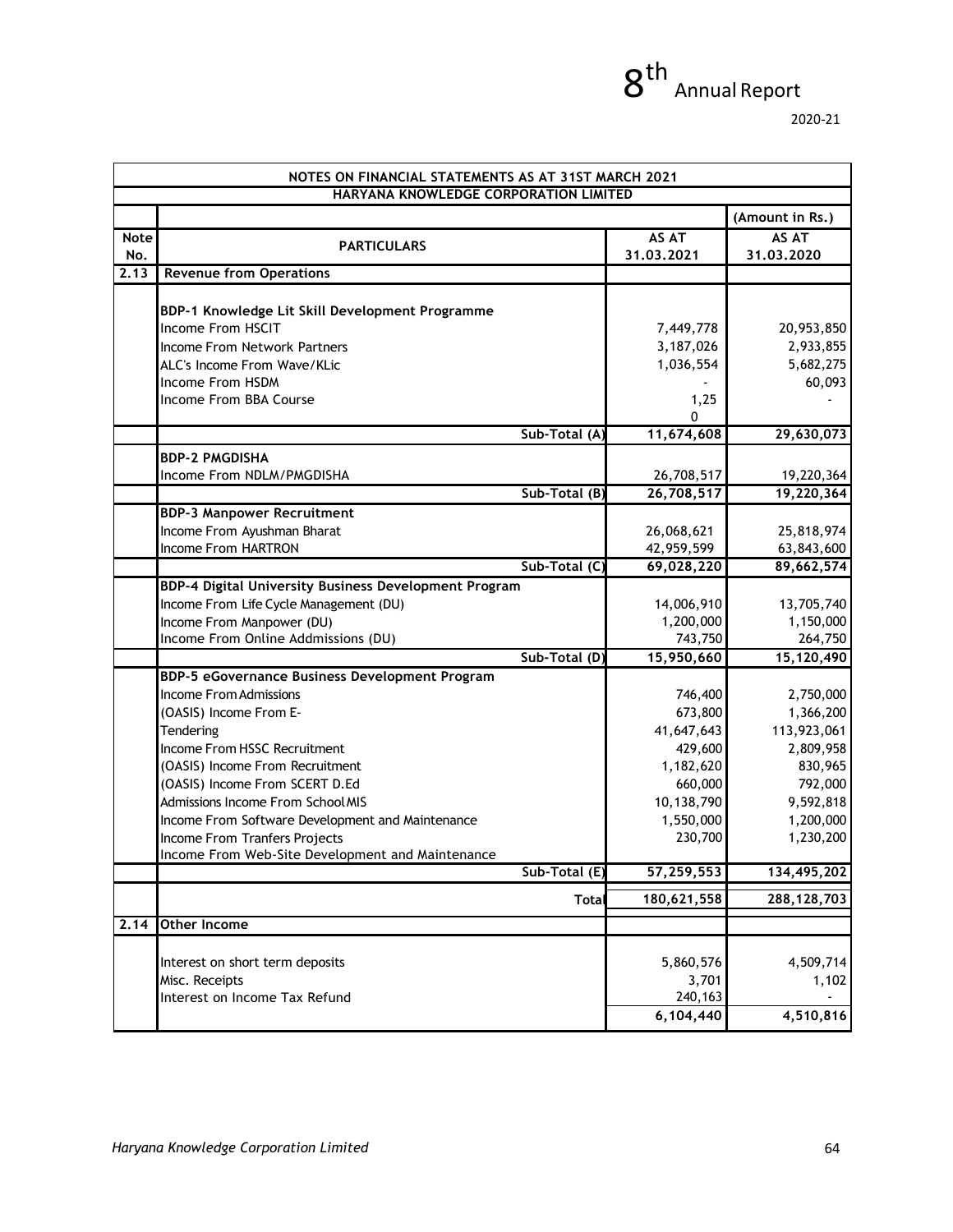

| NOTES ON FINANCIAL STATEMENTS AS AT 31ST MARCH 2021 |                                                       |               |                 |                 |  |
|-----------------------------------------------------|-------------------------------------------------------|---------------|-----------------|-----------------|--|
|                                                     | HARYANA KNOWLEDGE CORPORATION LIMITED                 |               |                 |                 |  |
|                                                     |                                                       |               |                 | (Amount in Rs.) |  |
| Note                                                | <b>PARTICULARS</b>                                    |               | AS AT           | AS AT           |  |
| No.                                                 |                                                       |               | 31.03.2021      | 31.03.2020      |  |
| 2.13                                                | <b>Revenue from Operations</b>                        |               |                 |                 |  |
|                                                     |                                                       |               |                 |                 |  |
|                                                     | BDP-1 Knowledge Lit Skill Development Programme       |               |                 |                 |  |
|                                                     | Income From HSCIT                                     |               | 7,449,778       | 20,953,850      |  |
|                                                     | Income From Network Partners                          |               | 3,187,026       | 2,933,855       |  |
|                                                     | ALC's Income From Wave/KLic                           |               | 1,036,554       | 5,682,275       |  |
|                                                     | Income From HSDM                                      |               |                 | 60,093          |  |
|                                                     | Income From BBA Course                                |               | 1,25            |                 |  |
|                                                     |                                                       | Sub-Total (A) | 0<br>11,674,608 | 29,630,073      |  |
|                                                     |                                                       |               |                 |                 |  |
|                                                     | <b>BDP-2 PMGDISHA</b><br>Income From NDLM/PMGDISHA    |               | 26,708,517      | 19,220,364      |  |
|                                                     |                                                       | Sub-Total (B) | 26,708,517      | 19,220,364      |  |
|                                                     | <b>BDP-3 Manpower Recruitment</b>                     |               |                 |                 |  |
|                                                     | Income From Ayushman Bharat                           |               | 26,068,621      | 25,818,974      |  |
|                                                     | Income From HARTRON                                   |               | 42,959,599      | 63,843,600      |  |
|                                                     |                                                       | Sub-Total (C) | 69,028,220      | 89,662,574      |  |
|                                                     | BDP-4 Digital University Business Development Program |               |                 |                 |  |
|                                                     | Income From Life Cycle Management (DU)                |               | 14,006,910      | 13,705,740      |  |
|                                                     | Income From Manpower (DU)                             |               | 1,200,000       | 1,150,000       |  |
|                                                     | Income From Online Addmissions (DU)                   |               | 743,750         | 264,750         |  |
|                                                     |                                                       | Sub-Total (D) | 15,950,660      | 15,120,490      |  |
|                                                     | BDP-5 eGovernance Business Development Program        |               |                 |                 |  |
|                                                     | Income From Admissions                                |               | 746,400         | 2,750,000       |  |
|                                                     | (OASIS) Income From E-                                |               | 673,800         | 1,366,200       |  |
|                                                     | Tendering                                             |               | 41,647,643      | 113,923,061     |  |
|                                                     | Income From HSSC Recruitment                          |               | 429,600         | 2,809,958       |  |
|                                                     | (OASIS) Income From Recruitment                       |               | 1,182,620       | 830,965         |  |
|                                                     | (OASIS) Income From SCERT D.Ed                        |               | 660,000         | 792,000         |  |
|                                                     | Admissions Income From School MIS                     |               | 10,138,790      | 9,592,818       |  |
|                                                     | Income From Software Development and Maintenance      |               | 1,550,000       | 1,200,000       |  |
|                                                     | Income From Tranfers Projects                         |               | 230,700         | 1,230,200       |  |
|                                                     | Income From Web-Site Development and Maintenance      |               |                 |                 |  |
|                                                     |                                                       | Sub-Total (E) | 57,259,553      | 134,495,202     |  |
|                                                     |                                                       | <b>Total</b>  | 180,621,558     | 288, 128, 703   |  |
| 2.14                                                | Other Income                                          |               |                 |                 |  |
|                                                     |                                                       |               |                 |                 |  |
|                                                     | Interest on short term deposits                       |               | 5,860,576       | 4,509,714       |  |
|                                                     | Misc. Receipts                                        |               | 3,701           | 1,102           |  |
|                                                     | Interest on Income Tax Refund                         |               | 240,163         |                 |  |
|                                                     |                                                       |               | 6,104,440       | 4,510,816       |  |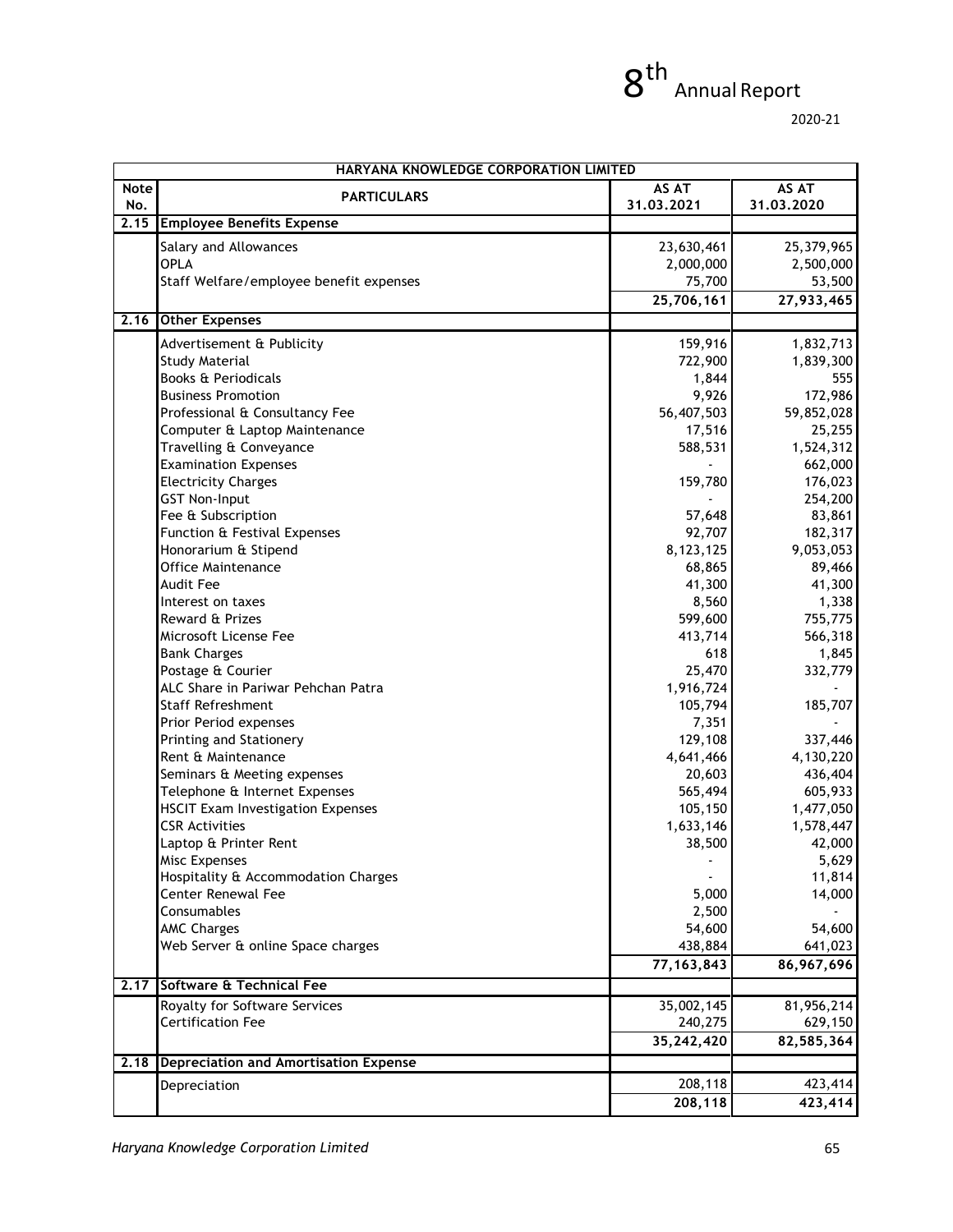

| AS AT<br>AS AT<br><b>Note</b><br><b>PARTICULARS</b><br>31.03.2021<br>31.03.2020<br>No.<br><b>Employee Benefits Expense</b><br>2.15<br>25,379,965<br>Salary and Allowances<br>23,630,461<br><b>OPLA</b><br>2,000,000<br>2,500,000<br>53,500<br>Staff Welfare/employee benefit expenses<br>75,700<br>25,706,161<br>27,933,465<br>2.16<br><b>Other Expenses</b><br>Advertisement & Publicity<br>159,916<br>1,832,713<br>722,900<br>1,839,300<br><b>Study Material</b><br><b>Books &amp; Periodicals</b><br>1,844<br>555<br>9,926<br><b>Business Promotion</b><br>172,986<br>56,407,503<br>59,852,028<br>Professional & Consultancy Fee<br>Computer & Laptop Maintenance<br>17,516<br>25,255<br>588,531<br>1,524,312<br>Travelling & Conveyance<br>662,000<br><b>Examination Expenses</b><br><b>Electricity Charges</b><br>159,780<br>176,023<br><b>GST Non-Input</b><br>254,200<br>Fee & Subscription<br>57,648<br>83,861<br>Function & Festival Expenses<br>182,317<br>92,707<br>Honorarium & Stipend<br>8,123,125<br>9,053,053<br><b>Office Maintenance</b><br>68,865<br>89,466<br>Audit Fee<br>41,300<br>41,300<br>8,560<br>1,338<br>Interest on taxes<br>Reward & Prizes<br>599,600<br>755,775<br>Microsoft License Fee<br>413,714<br>566,318<br>1,845<br><b>Bank Charges</b><br>618<br>Postage & Courier<br>25,470<br>332,779<br>ALC Share in Pariwar Pehchan Patra<br>1,916,724<br><b>Staff Refreshment</b><br>105,794<br>185,707<br>7,351<br>Prior Period expenses<br>Printing and Stationery<br>129,108<br>337,446<br>Rent & Maintenance<br>4,641,466<br>4,130,220<br>436,404<br>Seminars & Meeting expenses<br>20,603<br>565,494<br>Telephone & Internet Expenses<br>605,933<br><b>HSCIT Exam Investigation Expenses</b><br>105,150<br>1,477,050<br><b>CSR Activities</b><br>1,633,146<br>1,578,447<br>Laptop & Printer Rent<br>38,500<br>42,000<br>5,629<br>Misc Expenses<br>Hospitality & Accommodation Charges<br>11,814<br>Center Renewal Fee<br>5,000<br>14,000<br>Consumables<br>2,500<br>54,600<br><b>AMC Charges</b><br>54,600<br>Web Server & online Space charges<br>438,884<br>641,023<br>$\overline{77, 163, 843}$<br>86,967,696<br>2.17<br>Software & Technical Fee<br>Royalty for Software Services<br>35,002,145<br>81,956,214<br><b>Certification Fee</b><br>240,275<br>629,150<br>35,242,420<br>82,585,364<br>2.18<br><b>Depreciation and Amortisation Expense</b><br>208,118<br>423,414<br>Depreciation | HARYANA KNOWLEDGE CORPORATION LIMITED |         |         |  |
|---------------------------------------------------------------------------------------------------------------------------------------------------------------------------------------------------------------------------------------------------------------------------------------------------------------------------------------------------------------------------------------------------------------------------------------------------------------------------------------------------------------------------------------------------------------------------------------------------------------------------------------------------------------------------------------------------------------------------------------------------------------------------------------------------------------------------------------------------------------------------------------------------------------------------------------------------------------------------------------------------------------------------------------------------------------------------------------------------------------------------------------------------------------------------------------------------------------------------------------------------------------------------------------------------------------------------------------------------------------------------------------------------------------------------------------------------------------------------------------------------------------------------------------------------------------------------------------------------------------------------------------------------------------------------------------------------------------------------------------------------------------------------------------------------------------------------------------------------------------------------------------------------------------------------------------------------------------------------------------------------------------------------------------------------------------------------------------------------------------------------------------------------------------------------------------------------------------------------------------------------------------------------------------------------------------------------------------------------------------------------------------------------------------------------------|---------------------------------------|---------|---------|--|
|                                                                                                                                                                                                                                                                                                                                                                                                                                                                                                                                                                                                                                                                                                                                                                                                                                                                                                                                                                                                                                                                                                                                                                                                                                                                                                                                                                                                                                                                                                                                                                                                                                                                                                                                                                                                                                                                                                                                                                                                                                                                                                                                                                                                                                                                                                                                                                                                                                 |                                       |         |         |  |
|                                                                                                                                                                                                                                                                                                                                                                                                                                                                                                                                                                                                                                                                                                                                                                                                                                                                                                                                                                                                                                                                                                                                                                                                                                                                                                                                                                                                                                                                                                                                                                                                                                                                                                                                                                                                                                                                                                                                                                                                                                                                                                                                                                                                                                                                                                                                                                                                                                 |                                       |         |         |  |
|                                                                                                                                                                                                                                                                                                                                                                                                                                                                                                                                                                                                                                                                                                                                                                                                                                                                                                                                                                                                                                                                                                                                                                                                                                                                                                                                                                                                                                                                                                                                                                                                                                                                                                                                                                                                                                                                                                                                                                                                                                                                                                                                                                                                                                                                                                                                                                                                                                 |                                       |         |         |  |
|                                                                                                                                                                                                                                                                                                                                                                                                                                                                                                                                                                                                                                                                                                                                                                                                                                                                                                                                                                                                                                                                                                                                                                                                                                                                                                                                                                                                                                                                                                                                                                                                                                                                                                                                                                                                                                                                                                                                                                                                                                                                                                                                                                                                                                                                                                                                                                                                                                 |                                       |         |         |  |
|                                                                                                                                                                                                                                                                                                                                                                                                                                                                                                                                                                                                                                                                                                                                                                                                                                                                                                                                                                                                                                                                                                                                                                                                                                                                                                                                                                                                                                                                                                                                                                                                                                                                                                                                                                                                                                                                                                                                                                                                                                                                                                                                                                                                                                                                                                                                                                                                                                 |                                       |         |         |  |
|                                                                                                                                                                                                                                                                                                                                                                                                                                                                                                                                                                                                                                                                                                                                                                                                                                                                                                                                                                                                                                                                                                                                                                                                                                                                                                                                                                                                                                                                                                                                                                                                                                                                                                                                                                                                                                                                                                                                                                                                                                                                                                                                                                                                                                                                                                                                                                                                                                 |                                       |         |         |  |
|                                                                                                                                                                                                                                                                                                                                                                                                                                                                                                                                                                                                                                                                                                                                                                                                                                                                                                                                                                                                                                                                                                                                                                                                                                                                                                                                                                                                                                                                                                                                                                                                                                                                                                                                                                                                                                                                                                                                                                                                                                                                                                                                                                                                                                                                                                                                                                                                                                 |                                       |         |         |  |
|                                                                                                                                                                                                                                                                                                                                                                                                                                                                                                                                                                                                                                                                                                                                                                                                                                                                                                                                                                                                                                                                                                                                                                                                                                                                                                                                                                                                                                                                                                                                                                                                                                                                                                                                                                                                                                                                                                                                                                                                                                                                                                                                                                                                                                                                                                                                                                                                                                 |                                       |         |         |  |
|                                                                                                                                                                                                                                                                                                                                                                                                                                                                                                                                                                                                                                                                                                                                                                                                                                                                                                                                                                                                                                                                                                                                                                                                                                                                                                                                                                                                                                                                                                                                                                                                                                                                                                                                                                                                                                                                                                                                                                                                                                                                                                                                                                                                                                                                                                                                                                                                                                 |                                       |         |         |  |
|                                                                                                                                                                                                                                                                                                                                                                                                                                                                                                                                                                                                                                                                                                                                                                                                                                                                                                                                                                                                                                                                                                                                                                                                                                                                                                                                                                                                                                                                                                                                                                                                                                                                                                                                                                                                                                                                                                                                                                                                                                                                                                                                                                                                                                                                                                                                                                                                                                 |                                       |         |         |  |
|                                                                                                                                                                                                                                                                                                                                                                                                                                                                                                                                                                                                                                                                                                                                                                                                                                                                                                                                                                                                                                                                                                                                                                                                                                                                                                                                                                                                                                                                                                                                                                                                                                                                                                                                                                                                                                                                                                                                                                                                                                                                                                                                                                                                                                                                                                                                                                                                                                 |                                       |         |         |  |
|                                                                                                                                                                                                                                                                                                                                                                                                                                                                                                                                                                                                                                                                                                                                                                                                                                                                                                                                                                                                                                                                                                                                                                                                                                                                                                                                                                                                                                                                                                                                                                                                                                                                                                                                                                                                                                                                                                                                                                                                                                                                                                                                                                                                                                                                                                                                                                                                                                 |                                       |         |         |  |
|                                                                                                                                                                                                                                                                                                                                                                                                                                                                                                                                                                                                                                                                                                                                                                                                                                                                                                                                                                                                                                                                                                                                                                                                                                                                                                                                                                                                                                                                                                                                                                                                                                                                                                                                                                                                                                                                                                                                                                                                                                                                                                                                                                                                                                                                                                                                                                                                                                 |                                       |         |         |  |
|                                                                                                                                                                                                                                                                                                                                                                                                                                                                                                                                                                                                                                                                                                                                                                                                                                                                                                                                                                                                                                                                                                                                                                                                                                                                                                                                                                                                                                                                                                                                                                                                                                                                                                                                                                                                                                                                                                                                                                                                                                                                                                                                                                                                                                                                                                                                                                                                                                 |                                       |         |         |  |
|                                                                                                                                                                                                                                                                                                                                                                                                                                                                                                                                                                                                                                                                                                                                                                                                                                                                                                                                                                                                                                                                                                                                                                                                                                                                                                                                                                                                                                                                                                                                                                                                                                                                                                                                                                                                                                                                                                                                                                                                                                                                                                                                                                                                                                                                                                                                                                                                                                 |                                       |         |         |  |
|                                                                                                                                                                                                                                                                                                                                                                                                                                                                                                                                                                                                                                                                                                                                                                                                                                                                                                                                                                                                                                                                                                                                                                                                                                                                                                                                                                                                                                                                                                                                                                                                                                                                                                                                                                                                                                                                                                                                                                                                                                                                                                                                                                                                                                                                                                                                                                                                                                 |                                       |         |         |  |
|                                                                                                                                                                                                                                                                                                                                                                                                                                                                                                                                                                                                                                                                                                                                                                                                                                                                                                                                                                                                                                                                                                                                                                                                                                                                                                                                                                                                                                                                                                                                                                                                                                                                                                                                                                                                                                                                                                                                                                                                                                                                                                                                                                                                                                                                                                                                                                                                                                 |                                       |         |         |  |
|                                                                                                                                                                                                                                                                                                                                                                                                                                                                                                                                                                                                                                                                                                                                                                                                                                                                                                                                                                                                                                                                                                                                                                                                                                                                                                                                                                                                                                                                                                                                                                                                                                                                                                                                                                                                                                                                                                                                                                                                                                                                                                                                                                                                                                                                                                                                                                                                                                 |                                       |         |         |  |
|                                                                                                                                                                                                                                                                                                                                                                                                                                                                                                                                                                                                                                                                                                                                                                                                                                                                                                                                                                                                                                                                                                                                                                                                                                                                                                                                                                                                                                                                                                                                                                                                                                                                                                                                                                                                                                                                                                                                                                                                                                                                                                                                                                                                                                                                                                                                                                                                                                 |                                       |         |         |  |
|                                                                                                                                                                                                                                                                                                                                                                                                                                                                                                                                                                                                                                                                                                                                                                                                                                                                                                                                                                                                                                                                                                                                                                                                                                                                                                                                                                                                                                                                                                                                                                                                                                                                                                                                                                                                                                                                                                                                                                                                                                                                                                                                                                                                                                                                                                                                                                                                                                 |                                       |         |         |  |
|                                                                                                                                                                                                                                                                                                                                                                                                                                                                                                                                                                                                                                                                                                                                                                                                                                                                                                                                                                                                                                                                                                                                                                                                                                                                                                                                                                                                                                                                                                                                                                                                                                                                                                                                                                                                                                                                                                                                                                                                                                                                                                                                                                                                                                                                                                                                                                                                                                 |                                       |         |         |  |
|                                                                                                                                                                                                                                                                                                                                                                                                                                                                                                                                                                                                                                                                                                                                                                                                                                                                                                                                                                                                                                                                                                                                                                                                                                                                                                                                                                                                                                                                                                                                                                                                                                                                                                                                                                                                                                                                                                                                                                                                                                                                                                                                                                                                                                                                                                                                                                                                                                 |                                       |         |         |  |
|                                                                                                                                                                                                                                                                                                                                                                                                                                                                                                                                                                                                                                                                                                                                                                                                                                                                                                                                                                                                                                                                                                                                                                                                                                                                                                                                                                                                                                                                                                                                                                                                                                                                                                                                                                                                                                                                                                                                                                                                                                                                                                                                                                                                                                                                                                                                                                                                                                 |                                       |         |         |  |
|                                                                                                                                                                                                                                                                                                                                                                                                                                                                                                                                                                                                                                                                                                                                                                                                                                                                                                                                                                                                                                                                                                                                                                                                                                                                                                                                                                                                                                                                                                                                                                                                                                                                                                                                                                                                                                                                                                                                                                                                                                                                                                                                                                                                                                                                                                                                                                                                                                 |                                       |         |         |  |
|                                                                                                                                                                                                                                                                                                                                                                                                                                                                                                                                                                                                                                                                                                                                                                                                                                                                                                                                                                                                                                                                                                                                                                                                                                                                                                                                                                                                                                                                                                                                                                                                                                                                                                                                                                                                                                                                                                                                                                                                                                                                                                                                                                                                                                                                                                                                                                                                                                 |                                       |         |         |  |
|                                                                                                                                                                                                                                                                                                                                                                                                                                                                                                                                                                                                                                                                                                                                                                                                                                                                                                                                                                                                                                                                                                                                                                                                                                                                                                                                                                                                                                                                                                                                                                                                                                                                                                                                                                                                                                                                                                                                                                                                                                                                                                                                                                                                                                                                                                                                                                                                                                 |                                       |         |         |  |
|                                                                                                                                                                                                                                                                                                                                                                                                                                                                                                                                                                                                                                                                                                                                                                                                                                                                                                                                                                                                                                                                                                                                                                                                                                                                                                                                                                                                                                                                                                                                                                                                                                                                                                                                                                                                                                                                                                                                                                                                                                                                                                                                                                                                                                                                                                                                                                                                                                 |                                       |         |         |  |
|                                                                                                                                                                                                                                                                                                                                                                                                                                                                                                                                                                                                                                                                                                                                                                                                                                                                                                                                                                                                                                                                                                                                                                                                                                                                                                                                                                                                                                                                                                                                                                                                                                                                                                                                                                                                                                                                                                                                                                                                                                                                                                                                                                                                                                                                                                                                                                                                                                 |                                       |         |         |  |
|                                                                                                                                                                                                                                                                                                                                                                                                                                                                                                                                                                                                                                                                                                                                                                                                                                                                                                                                                                                                                                                                                                                                                                                                                                                                                                                                                                                                                                                                                                                                                                                                                                                                                                                                                                                                                                                                                                                                                                                                                                                                                                                                                                                                                                                                                                                                                                                                                                 |                                       |         |         |  |
|                                                                                                                                                                                                                                                                                                                                                                                                                                                                                                                                                                                                                                                                                                                                                                                                                                                                                                                                                                                                                                                                                                                                                                                                                                                                                                                                                                                                                                                                                                                                                                                                                                                                                                                                                                                                                                                                                                                                                                                                                                                                                                                                                                                                                                                                                                                                                                                                                                 |                                       |         |         |  |
|                                                                                                                                                                                                                                                                                                                                                                                                                                                                                                                                                                                                                                                                                                                                                                                                                                                                                                                                                                                                                                                                                                                                                                                                                                                                                                                                                                                                                                                                                                                                                                                                                                                                                                                                                                                                                                                                                                                                                                                                                                                                                                                                                                                                                                                                                                                                                                                                                                 |                                       |         |         |  |
|                                                                                                                                                                                                                                                                                                                                                                                                                                                                                                                                                                                                                                                                                                                                                                                                                                                                                                                                                                                                                                                                                                                                                                                                                                                                                                                                                                                                                                                                                                                                                                                                                                                                                                                                                                                                                                                                                                                                                                                                                                                                                                                                                                                                                                                                                                                                                                                                                                 |                                       |         |         |  |
|                                                                                                                                                                                                                                                                                                                                                                                                                                                                                                                                                                                                                                                                                                                                                                                                                                                                                                                                                                                                                                                                                                                                                                                                                                                                                                                                                                                                                                                                                                                                                                                                                                                                                                                                                                                                                                                                                                                                                                                                                                                                                                                                                                                                                                                                                                                                                                                                                                 |                                       |         |         |  |
|                                                                                                                                                                                                                                                                                                                                                                                                                                                                                                                                                                                                                                                                                                                                                                                                                                                                                                                                                                                                                                                                                                                                                                                                                                                                                                                                                                                                                                                                                                                                                                                                                                                                                                                                                                                                                                                                                                                                                                                                                                                                                                                                                                                                                                                                                                                                                                                                                                 |                                       |         |         |  |
|                                                                                                                                                                                                                                                                                                                                                                                                                                                                                                                                                                                                                                                                                                                                                                                                                                                                                                                                                                                                                                                                                                                                                                                                                                                                                                                                                                                                                                                                                                                                                                                                                                                                                                                                                                                                                                                                                                                                                                                                                                                                                                                                                                                                                                                                                                                                                                                                                                 |                                       |         |         |  |
|                                                                                                                                                                                                                                                                                                                                                                                                                                                                                                                                                                                                                                                                                                                                                                                                                                                                                                                                                                                                                                                                                                                                                                                                                                                                                                                                                                                                                                                                                                                                                                                                                                                                                                                                                                                                                                                                                                                                                                                                                                                                                                                                                                                                                                                                                                                                                                                                                                 |                                       |         |         |  |
|                                                                                                                                                                                                                                                                                                                                                                                                                                                                                                                                                                                                                                                                                                                                                                                                                                                                                                                                                                                                                                                                                                                                                                                                                                                                                                                                                                                                                                                                                                                                                                                                                                                                                                                                                                                                                                                                                                                                                                                                                                                                                                                                                                                                                                                                                                                                                                                                                                 |                                       |         |         |  |
|                                                                                                                                                                                                                                                                                                                                                                                                                                                                                                                                                                                                                                                                                                                                                                                                                                                                                                                                                                                                                                                                                                                                                                                                                                                                                                                                                                                                                                                                                                                                                                                                                                                                                                                                                                                                                                                                                                                                                                                                                                                                                                                                                                                                                                                                                                                                                                                                                                 |                                       |         |         |  |
|                                                                                                                                                                                                                                                                                                                                                                                                                                                                                                                                                                                                                                                                                                                                                                                                                                                                                                                                                                                                                                                                                                                                                                                                                                                                                                                                                                                                                                                                                                                                                                                                                                                                                                                                                                                                                                                                                                                                                                                                                                                                                                                                                                                                                                                                                                                                                                                                                                 |                                       |         |         |  |
|                                                                                                                                                                                                                                                                                                                                                                                                                                                                                                                                                                                                                                                                                                                                                                                                                                                                                                                                                                                                                                                                                                                                                                                                                                                                                                                                                                                                                                                                                                                                                                                                                                                                                                                                                                                                                                                                                                                                                                                                                                                                                                                                                                                                                                                                                                                                                                                                                                 |                                       |         |         |  |
|                                                                                                                                                                                                                                                                                                                                                                                                                                                                                                                                                                                                                                                                                                                                                                                                                                                                                                                                                                                                                                                                                                                                                                                                                                                                                                                                                                                                                                                                                                                                                                                                                                                                                                                                                                                                                                                                                                                                                                                                                                                                                                                                                                                                                                                                                                                                                                                                                                 |                                       |         |         |  |
|                                                                                                                                                                                                                                                                                                                                                                                                                                                                                                                                                                                                                                                                                                                                                                                                                                                                                                                                                                                                                                                                                                                                                                                                                                                                                                                                                                                                                                                                                                                                                                                                                                                                                                                                                                                                                                                                                                                                                                                                                                                                                                                                                                                                                                                                                                                                                                                                                                 |                                       |         |         |  |
|                                                                                                                                                                                                                                                                                                                                                                                                                                                                                                                                                                                                                                                                                                                                                                                                                                                                                                                                                                                                                                                                                                                                                                                                                                                                                                                                                                                                                                                                                                                                                                                                                                                                                                                                                                                                                                                                                                                                                                                                                                                                                                                                                                                                                                                                                                                                                                                                                                 |                                       |         |         |  |
|                                                                                                                                                                                                                                                                                                                                                                                                                                                                                                                                                                                                                                                                                                                                                                                                                                                                                                                                                                                                                                                                                                                                                                                                                                                                                                                                                                                                                                                                                                                                                                                                                                                                                                                                                                                                                                                                                                                                                                                                                                                                                                                                                                                                                                                                                                                                                                                                                                 |                                       |         |         |  |
|                                                                                                                                                                                                                                                                                                                                                                                                                                                                                                                                                                                                                                                                                                                                                                                                                                                                                                                                                                                                                                                                                                                                                                                                                                                                                                                                                                                                                                                                                                                                                                                                                                                                                                                                                                                                                                                                                                                                                                                                                                                                                                                                                                                                                                                                                                                                                                                                                                 |                                       |         |         |  |
|                                                                                                                                                                                                                                                                                                                                                                                                                                                                                                                                                                                                                                                                                                                                                                                                                                                                                                                                                                                                                                                                                                                                                                                                                                                                                                                                                                                                                                                                                                                                                                                                                                                                                                                                                                                                                                                                                                                                                                                                                                                                                                                                                                                                                                                                                                                                                                                                                                 |                                       |         |         |  |
|                                                                                                                                                                                                                                                                                                                                                                                                                                                                                                                                                                                                                                                                                                                                                                                                                                                                                                                                                                                                                                                                                                                                                                                                                                                                                                                                                                                                                                                                                                                                                                                                                                                                                                                                                                                                                                                                                                                                                                                                                                                                                                                                                                                                                                                                                                                                                                                                                                 |                                       |         |         |  |
|                                                                                                                                                                                                                                                                                                                                                                                                                                                                                                                                                                                                                                                                                                                                                                                                                                                                                                                                                                                                                                                                                                                                                                                                                                                                                                                                                                                                                                                                                                                                                                                                                                                                                                                                                                                                                                                                                                                                                                                                                                                                                                                                                                                                                                                                                                                                                                                                                                 |                                       |         |         |  |
|                                                                                                                                                                                                                                                                                                                                                                                                                                                                                                                                                                                                                                                                                                                                                                                                                                                                                                                                                                                                                                                                                                                                                                                                                                                                                                                                                                                                                                                                                                                                                                                                                                                                                                                                                                                                                                                                                                                                                                                                                                                                                                                                                                                                                                                                                                                                                                                                                                 |                                       |         |         |  |
|                                                                                                                                                                                                                                                                                                                                                                                                                                                                                                                                                                                                                                                                                                                                                                                                                                                                                                                                                                                                                                                                                                                                                                                                                                                                                                                                                                                                                                                                                                                                                                                                                                                                                                                                                                                                                                                                                                                                                                                                                                                                                                                                                                                                                                                                                                                                                                                                                                 |                                       |         |         |  |
|                                                                                                                                                                                                                                                                                                                                                                                                                                                                                                                                                                                                                                                                                                                                                                                                                                                                                                                                                                                                                                                                                                                                                                                                                                                                                                                                                                                                                                                                                                                                                                                                                                                                                                                                                                                                                                                                                                                                                                                                                                                                                                                                                                                                                                                                                                                                                                                                                                 |                                       |         |         |  |
|                                                                                                                                                                                                                                                                                                                                                                                                                                                                                                                                                                                                                                                                                                                                                                                                                                                                                                                                                                                                                                                                                                                                                                                                                                                                                                                                                                                                                                                                                                                                                                                                                                                                                                                                                                                                                                                                                                                                                                                                                                                                                                                                                                                                                                                                                                                                                                                                                                 |                                       |         |         |  |
|                                                                                                                                                                                                                                                                                                                                                                                                                                                                                                                                                                                                                                                                                                                                                                                                                                                                                                                                                                                                                                                                                                                                                                                                                                                                                                                                                                                                                                                                                                                                                                                                                                                                                                                                                                                                                                                                                                                                                                                                                                                                                                                                                                                                                                                                                                                                                                                                                                 |                                       | 208,118 | 423,414 |  |